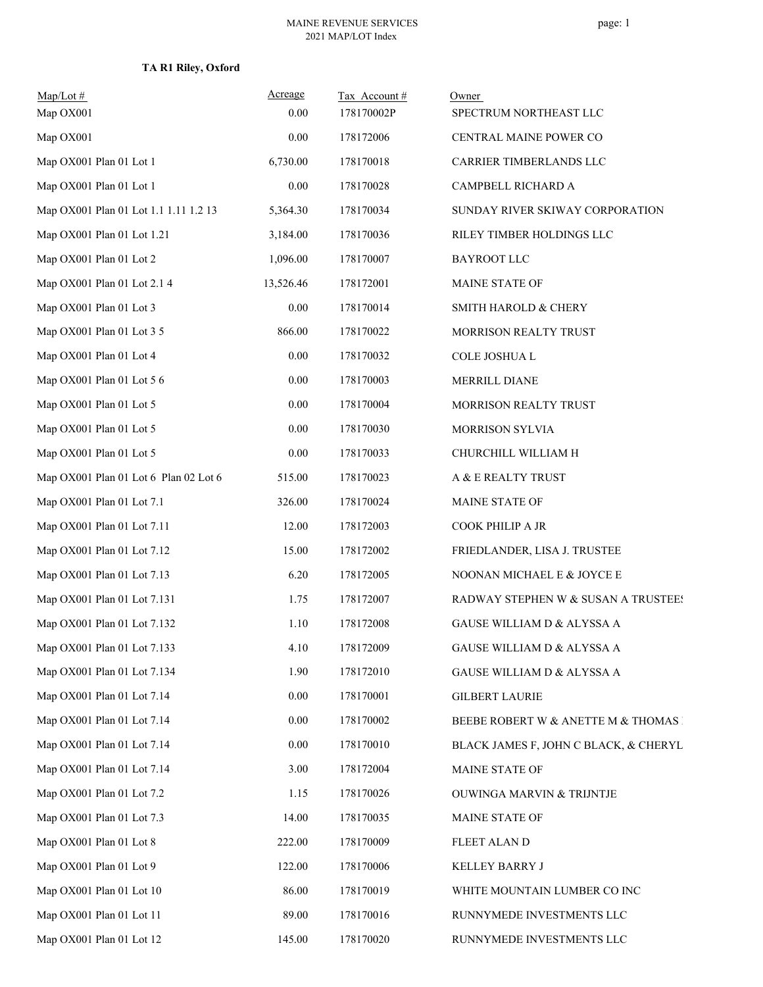**TA R1 Riley, Oxford**

| $Map/Lot \#$<br>Map OX001             | Acreage<br>0.00 | Tax Account#<br>178170002P | Owner<br>SPECTRUM NORTHEAST LLC       |
|---------------------------------------|-----------------|----------------------------|---------------------------------------|
| Map OX001                             | 0.00            | 178172006                  | CENTRAL MAINE POWER CO                |
| Map OX001 Plan 01 Lot 1               | 6,730.00        | 178170018                  | CARRIER TIMBERLANDS LLC               |
| Map OX001 Plan 01 Lot 1               | $0.00\,$        | 178170028                  | CAMPBELL RICHARD A                    |
| Map OX001 Plan 01 Lot 1.1 1.11 1.2 13 | 5,364.30        | 178170034                  | SUNDAY RIVER SKIWAY CORPORATION       |
| Map OX001 Plan 01 Lot 1.21            | 3,184.00        | 178170036                  | RILEY TIMBER HOLDINGS LLC             |
| Map OX001 Plan 01 Lot 2               | 1,096.00        | 178170007                  | <b>BAYROOT LLC</b>                    |
| Map OX001 Plan 01 Lot 2.1 4           | 13,526.46       | 178172001                  | MAINE STATE OF                        |
| Map OX001 Plan 01 Lot 3               | $0.00\,$        | 178170014                  | SMITH HAROLD & CHERY                  |
| Map OX001 Plan 01 Lot 3 5             | 866.00          | 178170022                  | <b>MORRISON REALTY TRUST</b>          |
| Map OX001 Plan 01 Lot 4               | 0.00            | 178170032                  | COLE JOSHUA L                         |
| Map OX001 Plan 01 Lot 5 6             | 0.00            | 178170003                  | MERRILL DIANE                         |
| Map OX001 Plan 01 Lot 5               | 0.00            | 178170004                  | MORRISON REALTY TRUST                 |
| Map OX001 Plan 01 Lot 5               | 0.00            | 178170030                  | MORRISON SYLVIA                       |
| Map OX001 Plan 01 Lot 5               | 0.00            | 178170033                  | CHURCHILL WILLIAM H                   |
| Map OX001 Plan 01 Lot 6 Plan 02 Lot 6 | 515.00          | 178170023                  | A & E REALTY TRUST                    |
| Map OX001 Plan 01 Lot 7.1             | 326.00          | 178170024                  | MAINE STATE OF                        |
| Map OX001 Plan 01 Lot 7.11            | 12.00           | 178172003                  | COOK PHILIP A JR                      |
| Map OX001 Plan 01 Lot 7.12            | 15.00           | 178172002                  | FRIEDLANDER, LISA J. TRUSTEE          |
| Map OX001 Plan 01 Lot 7.13            | 6.20            | 178172005                  | NOONAN MICHAEL E & JOYCE E            |
| Map OX001 Plan 01 Lot 7.131           | 1.75            | 178172007                  | RADWAY STEPHEN W & SUSAN A TRUSTEE!   |
| Map OX001 Plan 01 Lot 7.132           | 1.10            | 178172008                  | GAUSE WILLIAM D & ALYSSA A            |
| Map OX001 Plan 01 Lot 7.133           | 4.10            | 178172009                  | GAUSE WILLIAM D & ALYSSA A            |
| Map OX001 Plan 01 Lot 7.134           | 1.90            | 178172010                  | GAUSE WILLIAM D & ALYSSA A            |
| Map OX001 Plan 01 Lot 7.14            | 0.00            | 178170001                  | <b>GILBERT LAURIE</b>                 |
| Map OX001 Plan 01 Lot 7.14            | 0.00            | 178170002                  | BEEBE ROBERT W & ANETTE M & THOMAS I  |
| Map OX001 Plan 01 Lot 7.14            | 0.00            | 178170010                  | BLACK JAMES F, JOHN C BLACK, & CHERYL |
| Map OX001 Plan 01 Lot 7.14            | 3.00            | 178172004                  | MAINE STATE OF                        |
| Map OX001 Plan 01 Lot 7.2             | 1.15            | 178170026                  | <b>OUWINGA MARVIN &amp; TRIJNTJE</b>  |
| Map OX001 Plan 01 Lot 7.3             | 14.00           | 178170035                  | MAINE STATE OF                        |
| Map OX001 Plan 01 Lot 8               | 222.00          | 178170009                  | FLEET ALAN D                          |
| Map OX001 Plan 01 Lot 9               | 122.00          | 178170006                  | KELLEY BARRY J                        |
| Map OX001 Plan 01 Lot 10              | 86.00           | 178170019                  | WHITE MOUNTAIN LUMBER CO INC          |
| Map OX001 Plan 01 Lot 11              | 89.00           | 178170016                  | RUNNYMEDE INVESTMENTS LLC             |
| Map OX001 Plan 01 Lot 12              | 145.00          | 178170020                  | RUNNYMEDE INVESTMENTS LLC             |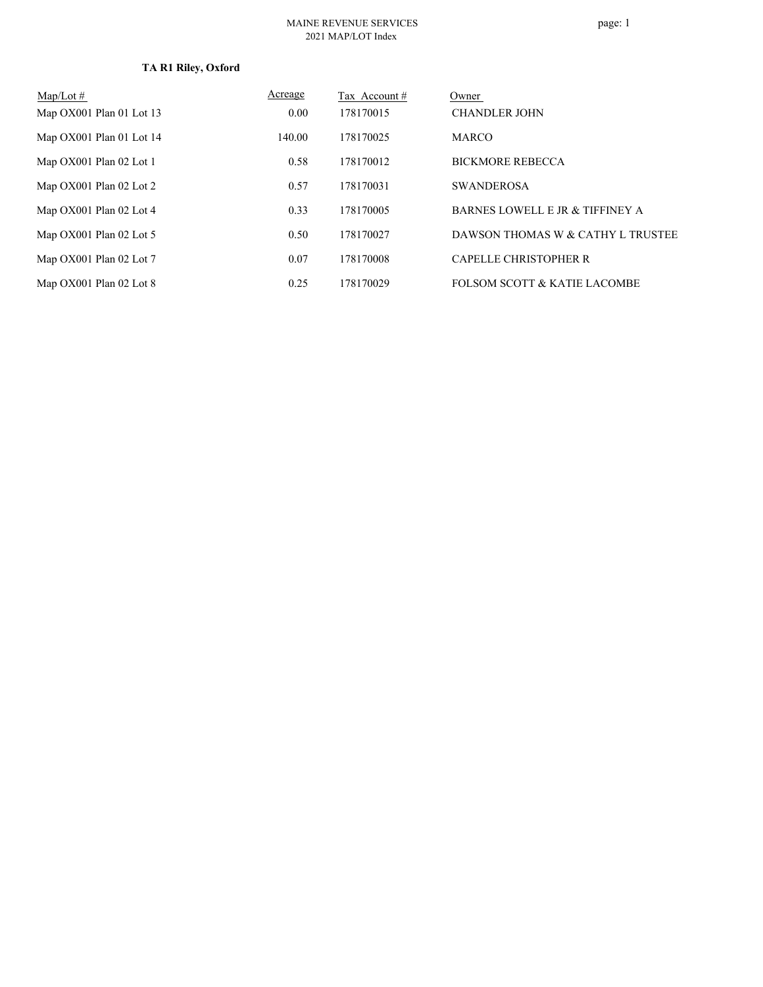# **TA R1 Riley, Oxford**

| $Map/Lot \#$               | Acreage | Tax Account # | Owner                                   |
|----------------------------|---------|---------------|-----------------------------------------|
| Map $OX001$ Plan 01 Lot 13 | 0.00    | 178170015     | <b>CHANDLER JOHN</b>                    |
| Map OX001 Plan 01 Lot 14   | 140.00  | 178170025     | <b>MARCO</b>                            |
| Map OX001 Plan 02 Lot 1    | 0.58    | 178170012     | <b>BICKMORE REBECCA</b>                 |
| Map OX001 Plan 02 Lot 2    | 0.57    | 178170031     | <b>SWANDEROSA</b>                       |
| Map OX001 Plan 02 Lot 4    | 0.33    | 178170005     | BARNES LOWELL E JR & TIFFINEY A         |
| Map OX001 Plan 02 Lot 5    | 0.50    | 178170027     | DAWSON THOMAS W & CATHY L TRUSTEE       |
| Map OX001 Plan 02 Lot 7    | 0.07    | 178170008     | CAPELLE CHRISTOPHER R                   |
| Map OX001 Plan 02 Lot 8    | 0.25    | 178170029     | <b>FOLSOM SCOTT &amp; KATIE LACOMBE</b> |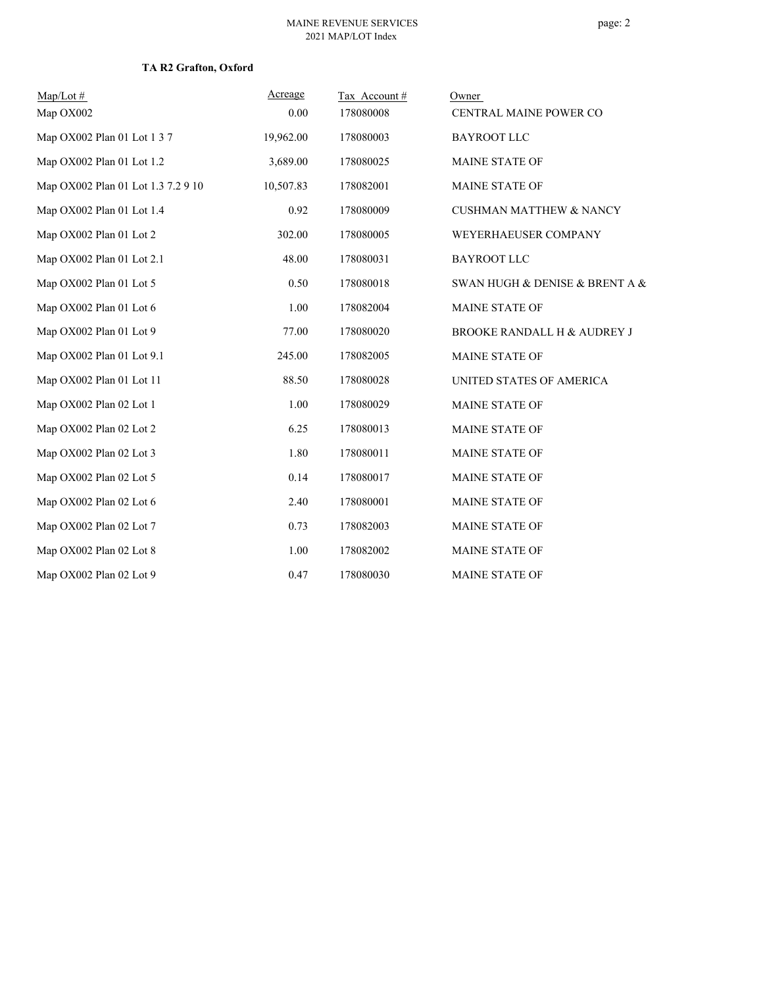#### **TA R2 Grafton, Oxford**

| $Map/Lot \#$<br>Map OX002          | Acreage<br>0.00 | Tax Account#<br>178080008 | Owner                              |
|------------------------------------|-----------------|---------------------------|------------------------------------|
|                                    |                 |                           | CENTRAL MAINE POWER CO             |
| Map OX002 Plan 01 Lot 1 3 7        | 19,962.00       | 178080003                 | <b>BAYROOT LLC</b>                 |
| Map OX002 Plan 01 Lot 1.2          | 3,689.00        | 178080025                 | MAINE STATE OF                     |
| Map OX002 Plan 01 Lot 1.3 7.2 9 10 | 10,507.83       | 178082001                 | <b>MAINE STATE OF</b>              |
| Map OX002 Plan 01 Lot 1.4          | 0.92            | 178080009                 | <b>CUSHMAN MATTHEW &amp; NANCY</b> |
| Map OX002 Plan 01 Lot 2            | 302.00          | 178080005                 | WEYERHAEUSER COMPANY               |
| Map OX002 Plan 01 Lot 2.1          | 48.00           | 178080031                 | <b>BAYROOT LLC</b>                 |
| Map OX002 Plan 01 Lot 5            | 0.50            | 178080018                 | SWAN HUGH & DENISE & BRENT A &     |
| Map OX002 Plan 01 Lot 6            | 1.00            | 178082004                 | MAINE STATE OF                     |
| Map OX002 Plan 01 Lot 9            | 77.00           | 178080020                 | BROOKE RANDALL H & AUDREY J        |
| Map OX002 Plan 01 Lot 9.1          | 245.00          | 178082005                 | MAINE STATE OF                     |
| Map OX002 Plan 01 Lot 11           | 88.50           | 178080028                 | UNITED STATES OF AMERICA           |
| Map OX002 Plan 02 Lot 1            | 1.00            | 178080029                 | MAINE STATE OF                     |
| Map OX002 Plan 02 Lot 2            | 6.25            | 178080013                 | MAINE STATE OF                     |
| Map OX002 Plan 02 Lot 3            | 1.80            | 178080011                 | MAINE STATE OF                     |
| Map OX002 Plan 02 Lot 5            | 0.14            | 178080017                 | <b>MAINE STATE OF</b>              |
| Map OX002 Plan 02 Lot 6            | 2.40            | 178080001                 | MAINE STATE OF                     |
| Map OX002 Plan 02 Lot 7            | 0.73            | 178082003                 | MAINE STATE OF                     |
| Map OX002 Plan 02 Lot 8            | 1.00            | 178082002                 | MAINE STATE OF                     |
| Map OX002 Plan 02 Lot 9            | 0.47            | 178080030                 | <b>MAINE STATE OF</b>              |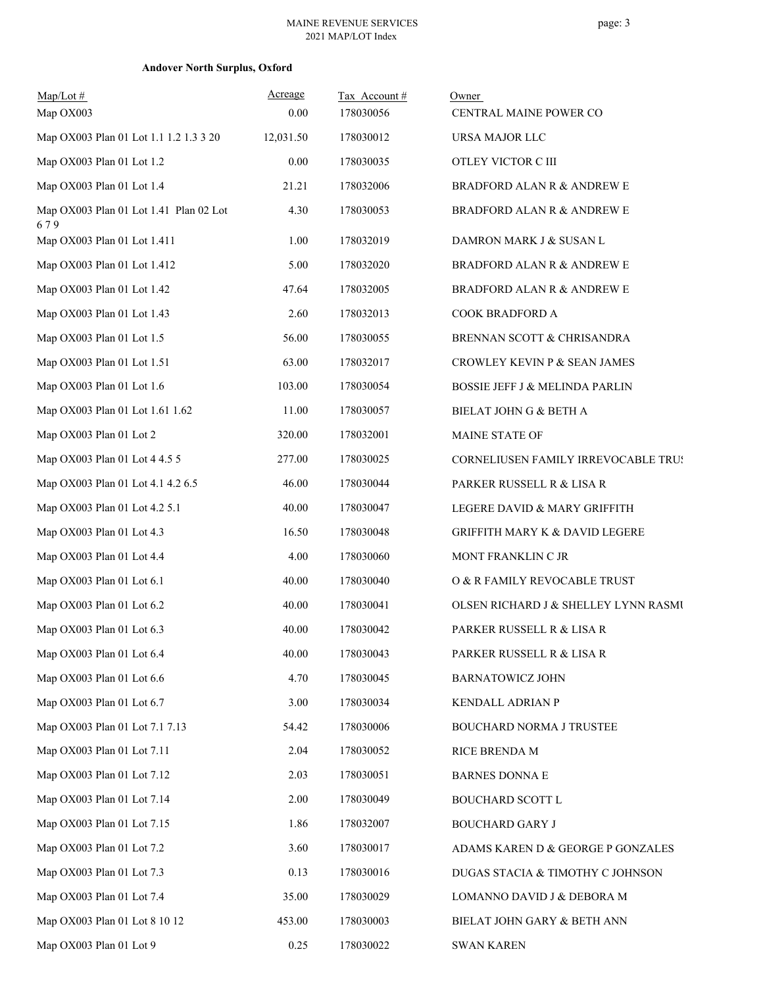| $Map/Lot \#$                                  | Acreage   | Tax Account# | Owner                                     |
|-----------------------------------------------|-----------|--------------|-------------------------------------------|
| Map OX003                                     | 0.00      | 178030056    | CENTRAL MAINE POWER CO                    |
| Map OX003 Plan 01 Lot 1.1 1.2 1.3 3 20        | 12,031.50 | 178030012    | URSA MAJOR LLC                            |
| Map OX003 Plan 01 Lot 1.2                     | 0.00      | 178030035    | OTLEY VICTOR C III                        |
| Map OX003 Plan 01 Lot 1.4                     | 21.21     | 178032006    | <b>BRADFORD ALAN R &amp; ANDREW E</b>     |
| Map OX003 Plan 01 Lot 1.41 Plan 02 Lot<br>679 | 4.30      | 178030053    | <b>BRADFORD ALAN R &amp; ANDREW E</b>     |
| Map OX003 Plan 01 Lot 1.411                   | 1.00      | 178032019    | DAMRON MARK J & SUSAN L                   |
| Map OX003 Plan 01 Lot 1.412                   | 5.00      | 178032020    | <b>BRADFORD ALAN R &amp; ANDREW E</b>     |
| Map OX003 Plan 01 Lot 1.42                    | 47.64     | 178032005    | <b>BRADFORD ALAN R &amp; ANDREW E</b>     |
| Map OX003 Plan 01 Lot 1.43                    | 2.60      | 178032013    | COOK BRADFORD A                           |
| Map OX003 Plan 01 Lot 1.5                     | 56.00     | 178030055    | BRENNAN SCOTT & CHRISANDRA                |
| Map OX003 Plan 01 Lot 1.51                    | 63.00     | 178032017    | CROWLEY KEVIN P & SEAN JAMES              |
| Map OX003 Plan 01 Lot 1.6                     | 103.00    | 178030054    | <b>BOSSIE JEFF J &amp; MELINDA PARLIN</b> |
| Map OX003 Plan 01 Lot 1.61 1.62               | 11.00     | 178030057    | BIELAT JOHN G & BETH A                    |
| Map OX003 Plan 01 Lot 2                       | 320.00    | 178032001    | MAINE STATE OF                            |
| Map OX003 Plan 01 Lot 4 4.5 5                 | 277.00    | 178030025    | CORNELIUSEN FAMILY IRREVOCABLE TRUS       |
| Map OX003 Plan 01 Lot 4.1 4.2 6.5             | 46.00     | 178030044    | PARKER RUSSELL R & LISA R                 |
| Map OX003 Plan 01 Lot 4.2 5.1                 | 40.00     | 178030047    | LEGERE DAVID & MARY GRIFFITH              |
| Map OX003 Plan 01 Lot 4.3                     | 16.50     | 178030048    | <b>GRIFFITH MARY K &amp; DAVID LEGERE</b> |
| Map OX003 Plan 01 Lot 4.4                     | 4.00      | 178030060    | MONT FRANKLIN C JR                        |
| Map OX003 Plan 01 Lot 6.1                     | 40.00     | 178030040    | O & R FAMILY REVOCABLE TRUST              |
| Map OX003 Plan 01 Lot 6.2                     | 40.00     | 178030041    | OLSEN RICHARD J & SHELLEY LYNN RASMU      |
| Map OX003 Plan 01 Lot 6.3                     | 40.00     | 178030042    | PARKER RUSSELL R & LISA R                 |
| Map OX003 Plan 01 Lot 6.4                     | 40.00     | 178030043    | PARKER RUSSELL R & LISA R                 |
| Map OX003 Plan 01 Lot 6.6                     | 4.70      | 178030045    | <b>BARNATOWICZ JOHN</b>                   |
| Map OX003 Plan 01 Lot 6.7                     | 3.00      | 178030034    | KENDALL ADRIAN P                          |
| Map OX003 Plan 01 Lot 7.1 7.13                | 54.42     | 178030006    | BOUCHARD NORMA J TRUSTEE                  |
| Map OX003 Plan 01 Lot 7.11                    | 2.04      | 178030052    | RICE BRENDA M                             |
| Map OX003 Plan 01 Lot 7.12                    | 2.03      | 178030051    | <b>BARNES DONNA E</b>                     |
| Map OX003 Plan 01 Lot 7.14                    | 2.00      | 178030049    | <b>BOUCHARD SCOTT L</b>                   |
| Map OX003 Plan 01 Lot 7.15                    | 1.86      | 178032007    | <b>BOUCHARD GARY J</b>                    |
| Map OX003 Plan 01 Lot 7.2                     | 3.60      | 178030017    | ADAMS KAREN D & GEORGE P GONZALES         |
| Map OX003 Plan 01 Lot 7.3                     | 0.13      | 178030016    | DUGAS STACIA & TIMOTHY C JOHNSON          |
| Map OX003 Plan 01 Lot 7.4                     | 35.00     | 178030029    | LOMANNO DAVID J & DEBORA M                |
| Map OX003 Plan 01 Lot 8 10 12                 | 453.00    | 178030003    | BIELAT JOHN GARY & BETH ANN               |
| Map OX003 Plan 01 Lot 9                       | 0.25      | 178030022    | <b>SWAN KAREN</b>                         |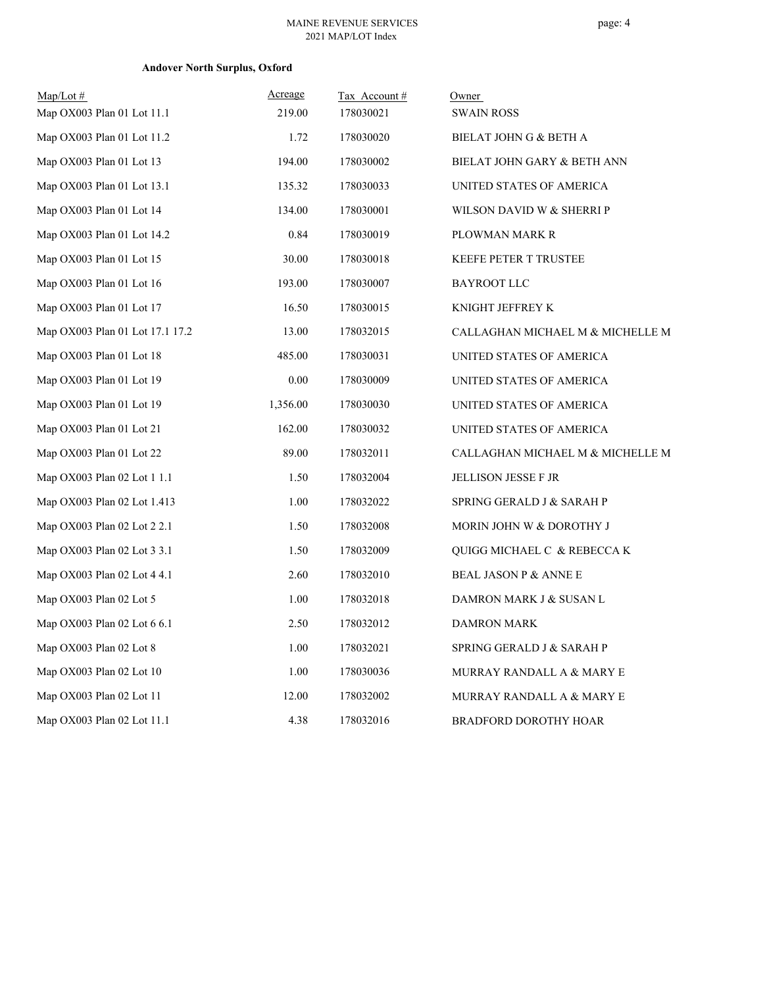# **Andover North Surplus, Oxford**

| $Map/Lot$ #                     | Acreage  | Tax Account# | Owner                            |
|---------------------------------|----------|--------------|----------------------------------|
| Map OX003 Plan 01 Lot 11.1      | 219.00   | 178030021    | <b>SWAIN ROSS</b>                |
| Map OX003 Plan 01 Lot 11.2      | 1.72     | 178030020    | BIELAT JOHN G & BETH A           |
| Map OX003 Plan 01 Lot 13        | 194.00   | 178030002    | BIELAT JOHN GARY & BETH ANN      |
| Map OX003 Plan 01 Lot 13.1      | 135.32   | 178030033    | UNITED STATES OF AMERICA         |
| Map OX003 Plan 01 Lot 14        | 134.00   | 178030001    | WILSON DAVID W & SHERRI P        |
| Map OX003 Plan 01 Lot 14.2      | 0.84     | 178030019    | PLOWMAN MARK R                   |
| Map OX003 Plan 01 Lot 15        | 30.00    | 178030018    | <b>KEEFE PETER T TRUSTEE</b>     |
| Map OX003 Plan 01 Lot 16        | 193.00   | 178030007    | <b>BAYROOT LLC</b>               |
| Map OX003 Plan 01 Lot 17        | 16.50    | 178030015    | KNIGHT JEFFREY K                 |
| Map OX003 Plan 01 Lot 17.1 17.2 | 13.00    | 178032015    | CALLAGHAN MICHAEL M & MICHELLE M |
| Map OX003 Plan 01 Lot 18        | 485.00   | 178030031    | UNITED STATES OF AMERICA         |
| Map OX003 Plan 01 Lot 19        | 0.00     | 178030009    | UNITED STATES OF AMERICA         |
| Map OX003 Plan 01 Lot 19        | 1,356.00 | 178030030    | UNITED STATES OF AMERICA         |
| Map OX003 Plan 01 Lot 21        | 162.00   | 178030032    | UNITED STATES OF AMERICA         |
| Map OX003 Plan 01 Lot 22        | 89.00    | 178032011    | CALLAGHAN MICHAEL M & MICHELLE M |
| Map OX003 Plan 02 Lot 1 1.1     | 1.50     | 178032004    | <b>JELLISON JESSE F JR</b>       |
| Map OX003 Plan 02 Lot 1.413     | 1.00     | 178032022    | SPRING GERALD J & SARAH P        |
| Map OX003 Plan 02 Lot 2 2.1     | 1.50     | 178032008    | MORIN JOHN W & DOROTHY J         |
| Map OX003 Plan 02 Lot 3 3.1     | 1.50     | 178032009    | QUIGG MICHAEL C & REBECCA K      |
| Map OX003 Plan 02 Lot 4 4.1     | 2.60     | 178032010    | <b>BEAL JASON P &amp; ANNE E</b> |
| Map OX003 Plan 02 Lot 5         | 1.00     | 178032018    | DAMRON MARK J & SUSAN L          |
| Map OX003 Plan 02 Lot 6 6.1     | 2.50     | 178032012    | <b>DAMRON MARK</b>               |
| Map OX003 Plan 02 Lot 8         | 1.00     | 178032021    | SPRING GERALD J & SARAH P        |
| Map OX003 Plan 02 Lot 10        | 1.00     | 178030036    | MURRAY RANDALL A & MARY E        |
| Map OX003 Plan 02 Lot 11        | 12.00    | 178032002    | MURRAY RANDALL A & MARY E        |
| Map OX003 Plan 02 Lot 11.1      | 4.38     | 178032016    | <b>BRADFORD DOROTHY HOAR</b>     |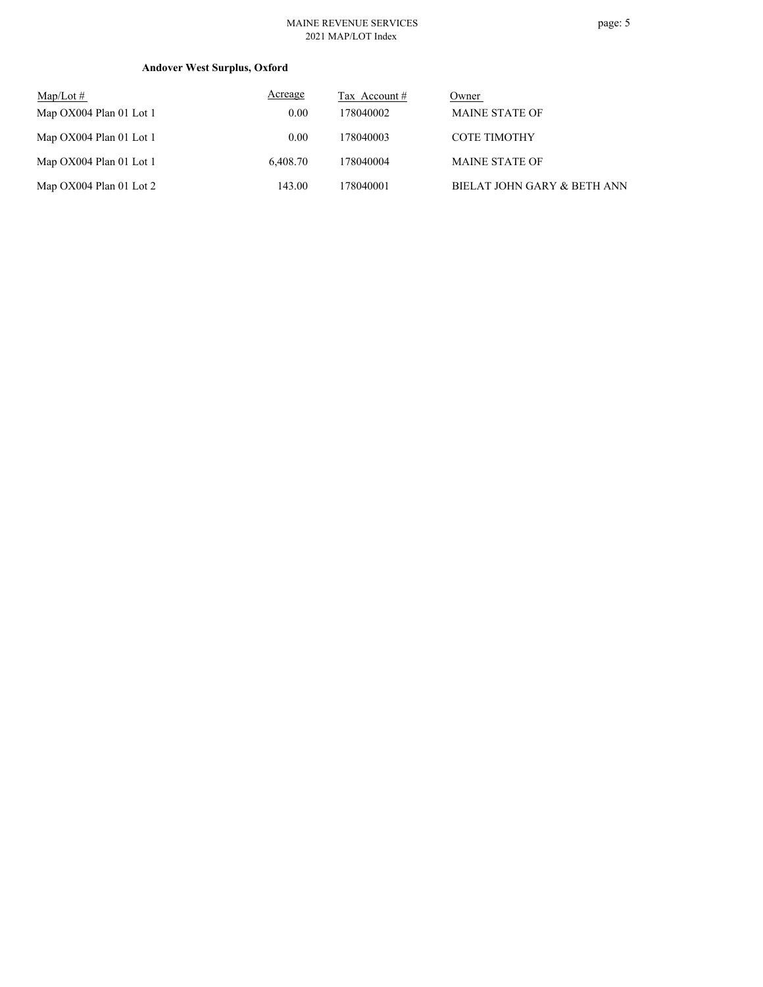# **Andover West Surplus, Oxford**

| $\text{Map/Lot} \#$     | Acreage  | Tax Account # | Owner                       |
|-------------------------|----------|---------------|-----------------------------|
| Map OX004 Plan 01 Lot 1 | 0.00     | 178040002     | <b>MAINE STATE OF</b>       |
| Map OX004 Plan 01 Lot 1 | 0.00     | 178040003     | <b>COTE TIMOTHY</b>         |
| Map OX004 Plan 01 Lot 1 | 6.408.70 | 178040004     | <b>MAINE STATE OF</b>       |
| Map OX004 Plan 01 Lot 2 | 143.00   | 178040001     | BIELAT JOHN GARY & BETH ANN |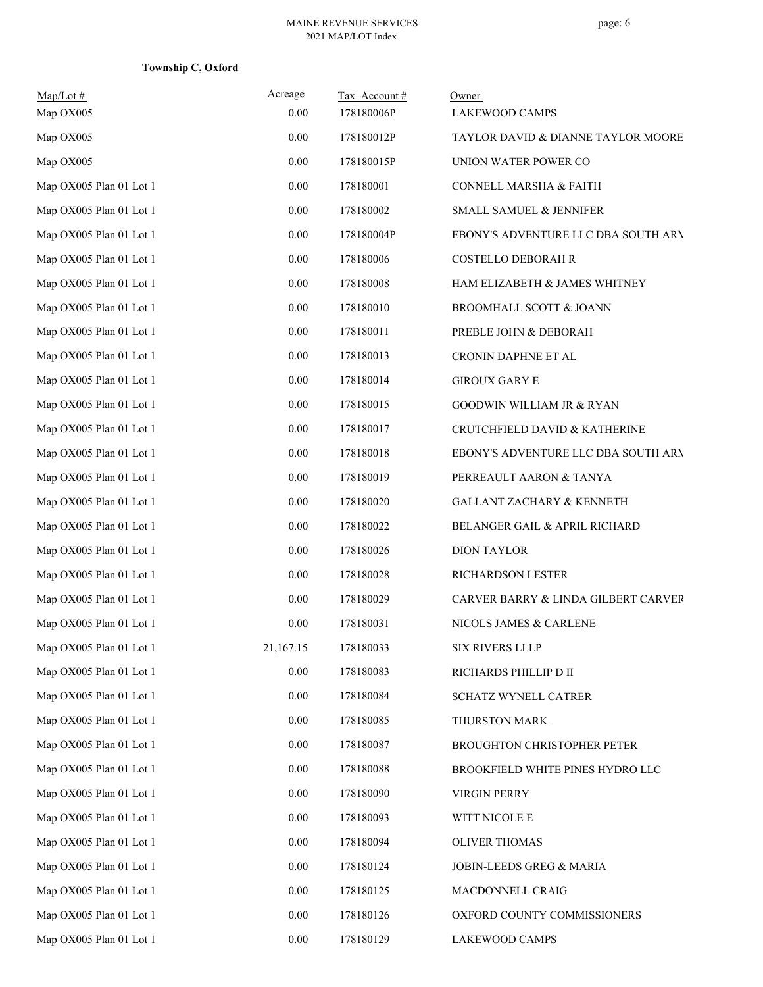**Township C, Oxford**

| $Map/Lot \#$<br>Map OX005 | Acreage<br>0.00 | Tax Account#<br>178180006P | Owner<br><b>LAKEWOOD CAMPS</b>      |
|---------------------------|-----------------|----------------------------|-------------------------------------|
| Map OX005                 | 0.00            | 178180012P                 | TAYLOR DAVID & DIANNE TAYLOR MOORE  |
| Map OX005                 | 0.00            | 178180015P                 | UNION WATER POWER CO                |
| Map OX005 Plan 01 Lot 1   | $0.00\,$        | 178180001                  | CONNELL MARSHA & FAITH              |
| Map OX005 Plan 01 Lot 1   | 0.00            | 178180002                  | SMALL SAMUEL & JENNIFER             |
| Map OX005 Plan 01 Lot 1   | $0.00\,$        | 178180004P                 | EBONY'S ADVENTURE LLC DBA SOUTH ARM |
| Map OX005 Plan 01 Lot 1   | 0.00            | 178180006                  | COSTELLO DEBORAH R                  |
| Map OX005 Plan 01 Lot 1   | $0.00\,$        | 178180008                  | HAM ELIZABETH & JAMES WHITNEY       |
| Map OX005 Plan 01 Lot 1   | $0.00\,$        | 178180010                  | BROOMHALL SCOTT & JOANN             |
| Map OX005 Plan 01 Lot 1   | 0.00            | 178180011                  | PREBLE JOHN & DEBORAH               |
| Map OX005 Plan 01 Lot 1   | 0.00            | 178180013                  | CRONIN DAPHNE ET AL                 |
| Map OX005 Plan 01 Lot 1   | $0.00\,$        | 178180014                  | <b>GIROUX GARY E</b>                |
| Map OX005 Plan 01 Lot 1   | 0.00            | 178180015                  | GOODWIN WILLIAM JR & RYAN           |
| Map OX005 Plan 01 Lot 1   | $0.00\,$        | 178180017                  | CRUTCHFIELD DAVID & KATHERINE       |
| Map OX005 Plan 01 Lot 1   | 0.00            | 178180018                  | EBONY'S ADVENTURE LLC DBA SOUTH ARM |
| Map OX005 Plan 01 Lot 1   | $0.00\,$        | 178180019                  | PERREAULT AARON & TANYA             |
| Map OX005 Plan 01 Lot 1   | $0.00\,$        | 178180020                  | GALLANT ZACHARY & KENNETH           |
| Map OX005 Plan 01 Lot 1   | 0.00            | 178180022                  | BELANGER GAIL & APRIL RICHARD       |
| Map OX005 Plan 01 Lot 1   | $0.00\,$        | 178180026                  | <b>DION TAYLOR</b>                  |
| Map OX005 Plan 01 Lot 1   | $0.00\,$        | 178180028                  | RICHARDSON LESTER                   |
| Map OX005 Plan 01 Lot 1   | $0.00\,$        | 178180029                  | CARVER BARRY & LINDA GILBERT CARVER |
| Map OX005 Plan 01 Lot 1   | 0.00            | 178180031                  | NICOLS JAMES & CARLENE              |
| Map OX005 Plan 01 Lot 1   | 21,167.15       | 178180033                  | SIX RIVERS LLLP                     |
| Map OX005 Plan 01 Lot 1   | $0.00\,$        | 178180083                  | RICHARDS PHILLIP D II               |
| Map OX005 Plan 01 Lot 1   | $0.00\,$        | 178180084                  | SCHATZ WYNELL CATRER                |
| Map OX005 Plan 01 Lot 1   | 0.00            | 178180085                  | THURSTON MARK                       |
| Map OX005 Plan 01 Lot 1   | $0.00\,$        | 178180087                  | BROUGHTON CHRISTOPHER PETER         |
| Map OX005 Plan 01 Lot 1   | $0.00\,$        | 178180088                  | BROOKFIELD WHITE PINES HYDRO LLC    |
| Map OX005 Plan 01 Lot 1   | $0.00\,$        | 178180090                  | VIRGIN PERRY                        |
| Map OX005 Plan 01 Lot 1   | 0.00            | 178180093                  | WITT NICOLE E                       |
| Map OX005 Plan 01 Lot 1   | $0.00\,$        | 178180094                  | <b>OLIVER THOMAS</b>                |
| Map OX005 Plan 01 Lot 1   | $0.00\,$        | 178180124                  | JOBIN-LEEDS GREG & MARIA            |
| Map OX005 Plan 01 Lot 1   | 0.00            | 178180125                  | MACDONNELL CRAIG                    |
| Map OX005 Plan 01 Lot 1   | 0.00            | 178180126                  | OXFORD COUNTY COMMISSIONERS         |
| Map OX005 Plan 01 Lot 1   | $0.00\,$        | 178180129                  | LAKEWOOD CAMPS                      |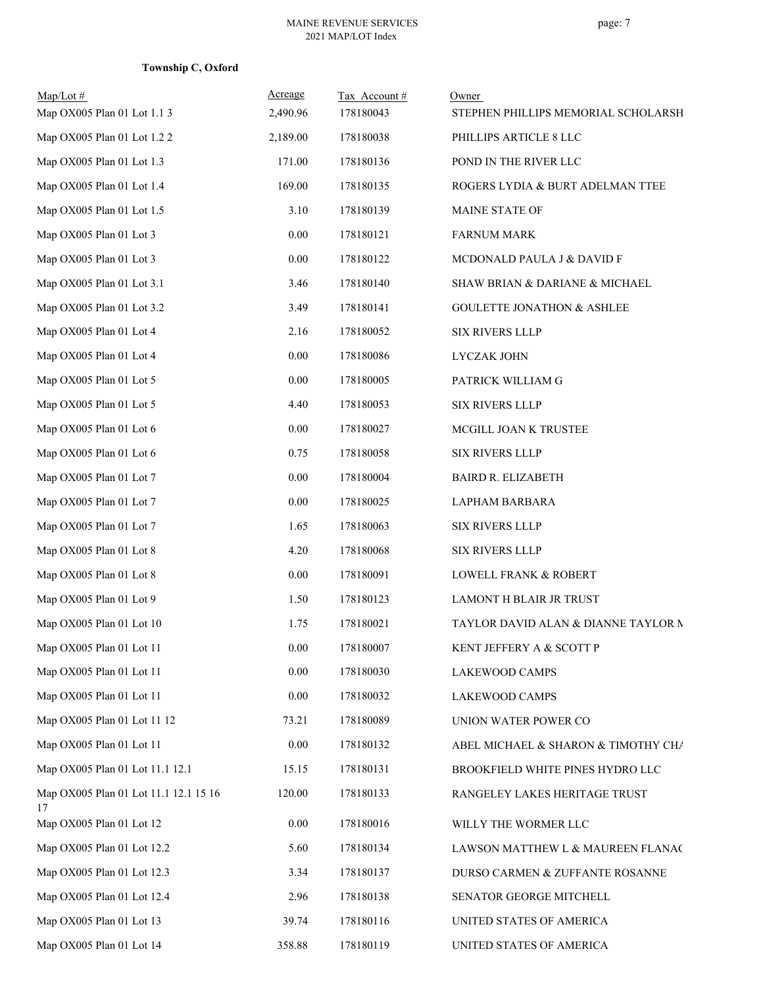# **Township C, Oxford**

| $Map/Lot \#$<br>Map OX005 Plan 01 Lot 1.1 3 | Acreage<br>2,490.96 | Tax Account#<br>178180043 | Owner<br>STEPHEN PHILLIPS MEMORIAL SCHOLARSH |
|---------------------------------------------|---------------------|---------------------------|----------------------------------------------|
| Map OX005 Plan 01 Lot 1.2 2                 | 2,189.00            | 178180038                 | PHILLIPS ARTICLE 8 LLC                       |
| Map OX005 Plan 01 Lot 1.3                   | 171.00              | 178180136                 | POND IN THE RIVER LLC                        |
| Map OX005 Plan 01 Lot 1.4                   | 169.00              | 178180135                 | ROGERS LYDIA & BURT ADELMAN TTEE             |
| Map OX005 Plan 01 Lot 1.5                   | 3.10                | 178180139                 | MAINE STATE OF                               |
| Map OX005 Plan 01 Lot 3                     | $0.00\,$            | 178180121                 | <b>FARNUM MARK</b>                           |
| Map OX005 Plan 01 Lot 3                     | $0.00\,$            | 178180122                 | MCDONALD PAULA J & DAVID F                   |
| Map OX005 Plan 01 Lot 3.1                   | 3.46                | 178180140                 | SHAW BRIAN & DARIANE & MICHAEL               |
| Map OX005 Plan 01 Lot 3.2                   | 3.49                | 178180141                 | <b>GOULETTE JONATHON &amp; ASHLEE</b>        |
| Map OX005 Plan 01 Lot 4                     | 2.16                | 178180052                 | <b>SIX RIVERS LLLP</b>                       |
| Map OX005 Plan 01 Lot 4                     | $0.00\,$            | 178180086                 | LYCZAK JOHN                                  |
| Map OX005 Plan 01 Lot 5                     | $0.00\,$            | 178180005                 | PATRICK WILLIAM G                            |
| Map OX005 Plan 01 Lot 5                     | 4.40                | 178180053                 | <b>SIX RIVERS LLLP</b>                       |
| Map OX005 Plan 01 Lot 6                     | $0.00\,$            | 178180027                 | MCGILL JOAN K TRUSTEE                        |
| Map OX005 Plan 01 Lot 6                     | 0.75                | 178180058                 | <b>SIX RIVERS LLLP</b>                       |
| Map OX005 Plan 01 Lot 7                     | $0.00\,$            | 178180004                 | <b>BAIRD R. ELIZABETH</b>                    |
| Map OX005 Plan 01 Lot 7                     | $0.00\,$            | 178180025                 | LAPHAM BARBARA                               |
| Map OX005 Plan 01 Lot 7                     | 1.65                | 178180063                 | <b>SIX RIVERS LLLP</b>                       |
| Map OX005 Plan 01 Lot 8                     | 4.20                | 178180068                 | SIX RIVERS LLLP                              |
| Map OX005 Plan 01 Lot 8                     | $0.00\,$            | 178180091                 | LOWELL FRANK & ROBERT                        |
| Map OX005 Plan 01 Lot 9                     | 1.50                | 178180123                 | LAMONT H BLAIR JR TRUST                      |
| Map OX005 Plan 01 Lot 10                    | 1.75                | 178180021                 | TAYLOR DAVID ALAN & DIANNE TAYLOR M          |
| Map OX005 Plan 01 Lot 11                    | 0.00                | 178180007                 | KENT JEFFERY A & SCOTT P                     |
| Map OX005 Plan 01 Lot 11                    | $0.00\,$            | 178180030                 | LAKEWOOD CAMPS                               |
| Map OX005 Plan 01 Lot 11                    | 0.00                | 178180032                 | LAKEWOOD CAMPS                               |
| Map OX005 Plan 01 Lot 11 12                 | 73.21               | 178180089                 | UNION WATER POWER CO                         |
| Map OX005 Plan 01 Lot 11                    | 0.00                | 178180132                 | ABEL MICHAEL & SHARON & TIMOTHY CHA          |
| Map OX005 Plan 01 Lot 11.1 12.1             | 15.15               | 178180131                 | BROOKFIELD WHITE PINES HYDRO LLC             |
| Map OX005 Plan 01 Lot 11.1 12.1 15 16<br>17 | 120.00              | 178180133                 | RANGELEY LAKES HERITAGE TRUST                |
| Map OX005 Plan 01 Lot 12                    | $0.00\,$            | 178180016                 | WILLY THE WORMER LLC                         |
| Map OX005 Plan 01 Lot 12.2                  | 5.60                | 178180134                 | LAWSON MATTHEW L & MAUREEN FLANAC            |
| Map OX005 Plan 01 Lot 12.3                  | 3.34                | 178180137                 | DURSO CARMEN & ZUFFANTE ROSANNE              |
| Map OX005 Plan 01 Lot 12.4                  | 2.96                | 178180138                 | SENATOR GEORGE MITCHELL                      |
| Map OX005 Plan 01 Lot 13                    | 39.74               | 178180116                 | UNITED STATES OF AMERICA                     |
| Map OX005 Plan 01 Lot 14                    | 358.88              | 178180119                 | UNITED STATES OF AMERICA                     |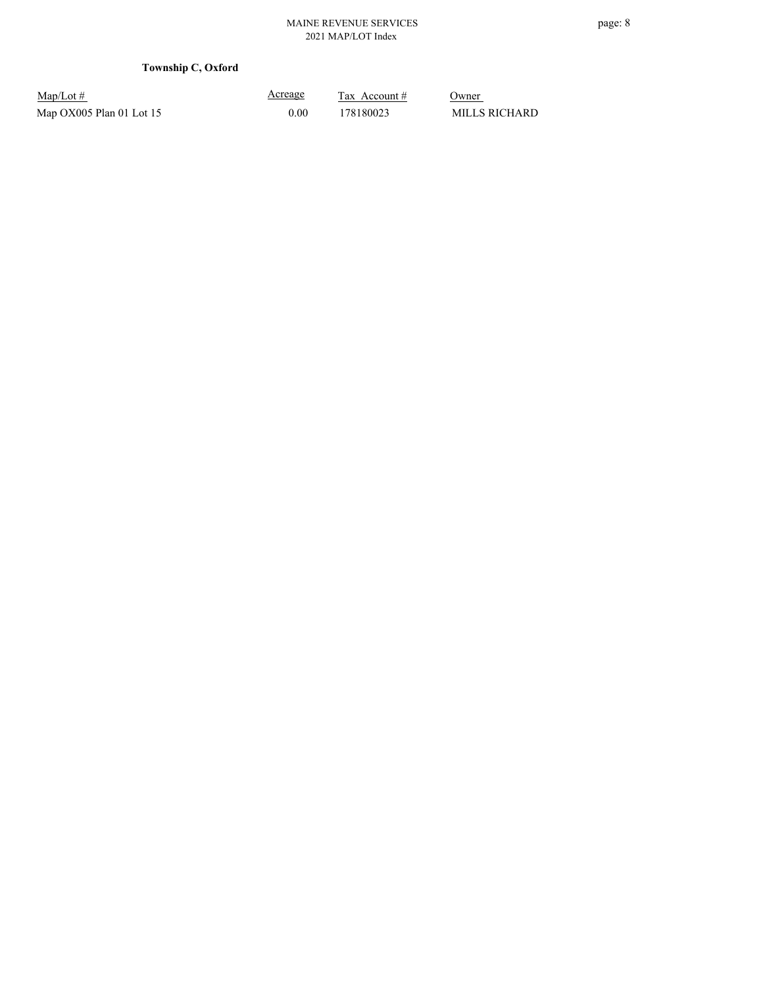# **Township C, Oxford**

| $Map/Lot \#$             |  |
|--------------------------|--|
| Map OX005 Plan 01 Lot 15 |  |

Acreage 0.00 178180023 MILLS RICHARD

 $\frac{\text{Tax} \text{ Account #}}{}$  Owner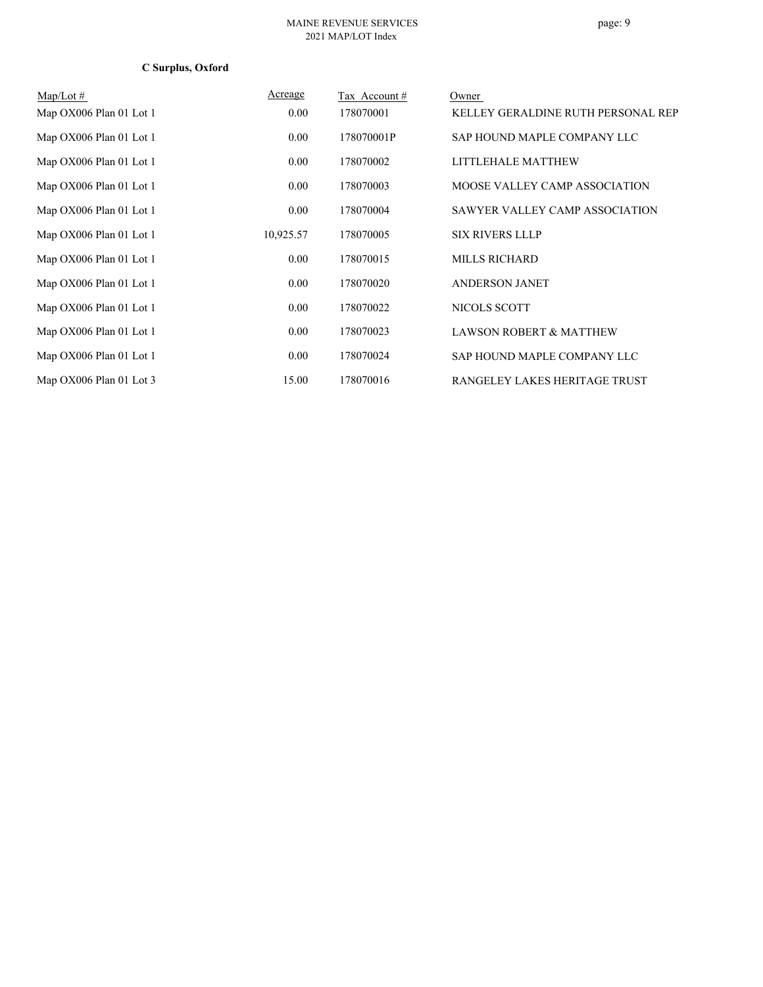# **C Surplus, Oxford**

| $Map/Lot \#$            | Acreage   | Tax Account# | Owner                              |
|-------------------------|-----------|--------------|------------------------------------|
| Map OX006 Plan 01 Lot 1 | 0.00      | 178070001    | KELLEY GERALDINE RUTH PERSONAL REP |
| Map OX006 Plan 01 Lot 1 | 0.00      | 178070001P   | SAP HOUND MAPLE COMPANY LLC        |
| Map OX006 Plan 01 Lot 1 | 0.00      | 178070002    | LITTLEHALE MATTHEW                 |
| Map OX006 Plan 01 Lot 1 | 0.00      | 178070003    | MOOSE VALLEY CAMP ASSOCIATION      |
| Map OX006 Plan 01 Lot 1 | 0.00      | 178070004    | SAWYER VALLEY CAMP ASSOCIATION     |
| Map OX006 Plan 01 Lot 1 | 10,925.57 | 178070005    | <b>SIX RIVERS LLLP</b>             |
| Map OX006 Plan 01 Lot 1 | 0.00      | 178070015    | <b>MILLS RICHARD</b>               |
| Map OX006 Plan 01 Lot 1 | 0.00      | 178070020    | <b>ANDERSON JANET</b>              |
| Map OX006 Plan 01 Lot 1 | 0.00      | 178070022    | NICOLS SCOTT                       |
| Map OX006 Plan 01 Lot 1 | 0.00      | 178070023    | <b>LAWSON ROBERT &amp; MATTHEW</b> |
| Map OX006 Plan 01 Lot 1 | 0.00      | 178070024    | SAP HOUND MAPLE COMPANY LLC        |
| Map OX006 Plan 01 Lot 3 | 15.00     | 178070016    | RANGELEY LAKES HERITAGE TRUST      |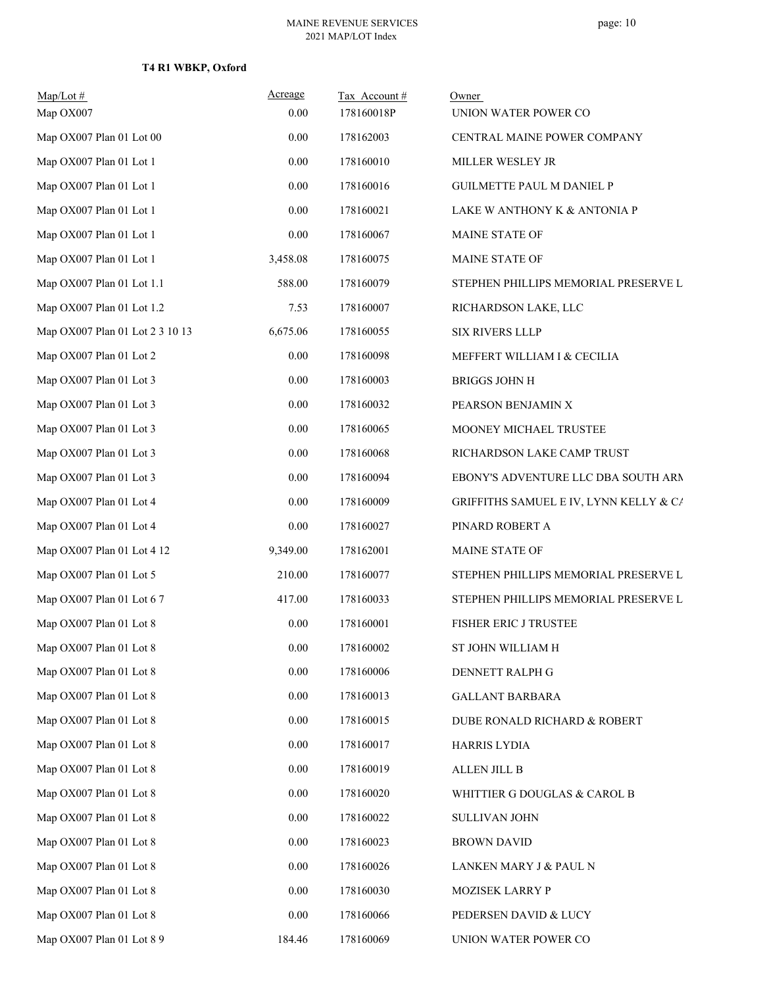| $Map/Lot$ #<br>Map OX007        | Acreage<br>0.00 | Tax Account#<br>178160018P | Owner<br>UNION WATER POWER CO          |
|---------------------------------|-----------------|----------------------------|----------------------------------------|
| Map OX007 Plan 01 Lot 00        | 0.00            | 178162003                  | CENTRAL MAINE POWER COMPANY            |
| Map OX007 Plan 01 Lot 1         | $0.00\,$        | 178160010                  | MILLER WESLEY JR                       |
| Map OX007 Plan 01 Lot 1         | 0.00            | 178160016                  | <b>GUILMETTE PAUL M DANIEL P</b>       |
| Map OX007 Plan 01 Lot 1         | 0.00            | 178160021                  | LAKE W ANTHONY K & ANTONIA P           |
| Map OX007 Plan 01 Lot 1         | 0.00            | 178160067                  | MAINE STATE OF                         |
| Map OX007 Plan 01 Lot 1         | 3,458.08        | 178160075                  | MAINE STATE OF                         |
| Map OX007 Plan 01 Lot 1.1       | 588.00          | 178160079                  | STEPHEN PHILLIPS MEMORIAL PRESERVE L   |
| Map OX007 Plan 01 Lot 1.2       | 7.53            | 178160007                  | RICHARDSON LAKE, LLC                   |
| Map OX007 Plan 01 Lot 2 3 10 13 | 6,675.06        | 178160055                  | SIX RIVERS LLLP                        |
| Map OX007 Plan 01 Lot 2         | 0.00            | 178160098                  | MEFFERT WILLIAM I & CECILIA            |
| Map OX007 Plan 01 Lot 3         | 0.00            | 178160003                  | <b>BRIGGS JOHN H</b>                   |
| Map OX007 Plan 01 Lot 3         | 0.00            | 178160032                  | PEARSON BENJAMIN X                     |
| Map OX007 Plan 01 Lot 3         | $0.00\,$        | 178160065                  | MOONEY MICHAEL TRUSTEE                 |
| Map OX007 Plan 01 Lot 3         | 0.00            | 178160068                  | RICHARDSON LAKE CAMP TRUST             |
| Map OX007 Plan 01 Lot 3         | 0.00            | 178160094                  | EBONY'S ADVENTURE LLC DBA SOUTH ARM    |
| Map OX007 Plan 01 Lot 4         | 0.00            | 178160009                  | GRIFFITHS SAMUEL E IV, LYNN KELLY & CA |
| Map OX007 Plan 01 Lot 4         | 0.00            | 178160027                  | PINARD ROBERT A                        |
| Map OX007 Plan 01 Lot 4 12      | 9,349.00        | 178162001                  | MAINE STATE OF                         |
| Map OX007 Plan 01 Lot 5         | 210.00          | 178160077                  | STEPHEN PHILLIPS MEMORIAL PRESERVE L   |
| Map OX007 Plan 01 Lot 6 7       | 417.00          | 178160033                  | STEPHEN PHILLIPS MEMORIAL PRESERVE L   |
| Map OX007 Plan 01 Lot 8         | 0.00            | 178160001                  | FISHER ERIC J TRUSTEE                  |
| Map OX007 Plan 01 Lot 8         | 0.00            | 178160002                  | ST JOHN WILLIAM H                      |
| Map OX007 Plan 01 Lot 8         | $0.00\,$        | 178160006                  | DENNETT RALPH G                        |
| Map OX007 Plan 01 Lot 8         | 0.00            | 178160013                  | <b>GALLANT BARBARA</b>                 |
| Map OX007 Plan 01 Lot 8         | 0.00            | 178160015                  | DUBE RONALD RICHARD & ROBERT           |
| Map OX007 Plan 01 Lot 8         | 0.00            | 178160017                  | HARRIS LYDIA                           |
| Map OX007 Plan 01 Lot 8         | 0.00            | 178160019                  | <b>ALLEN JILL B</b>                    |
| Map OX007 Plan 01 Lot 8         | $0.00\,$        | 178160020                  | WHITTIER G DOUGLAS & CAROL B           |
| Map OX007 Plan 01 Lot 8         | 0.00            | 178160022                  | SULLIVAN JOHN                          |
| Map OX007 Plan 01 Lot 8         | 0.00            | 178160023                  | <b>BROWN DAVID</b>                     |
| Map OX007 Plan 01 Lot 8         | 0.00            | 178160026                  | LANKEN MARY J & PAUL N                 |
| Map OX007 Plan 01 Lot 8         | 0.00            | 178160030                  | MOZISEK LARRY P                        |
| Map OX007 Plan 01 Lot 8         | 0.00            | 178160066                  | PEDERSEN DAVID & LUCY                  |
| Map OX007 Plan 01 Lot 8 9       | 184.46          | 178160069                  | UNION WATER POWER CO                   |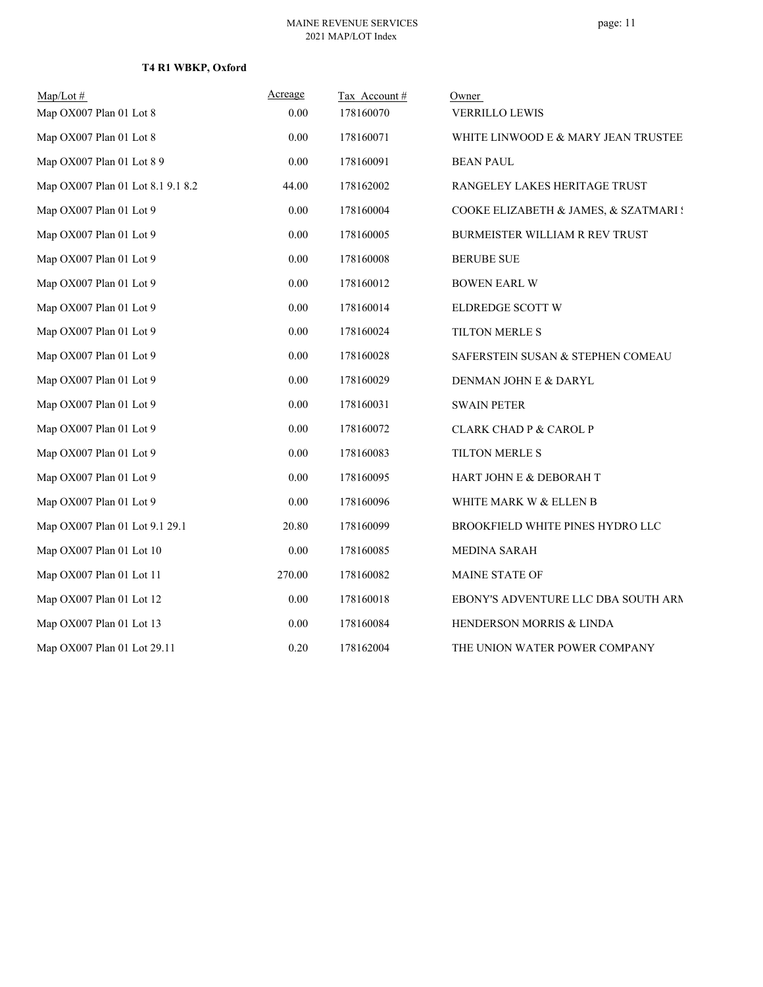| $Map/Lot \#$                      | Acreage | Tax Account# | Owner                                 |
|-----------------------------------|---------|--------------|---------------------------------------|
| Map OX007 Plan 01 Lot 8           | 0.00    | 178160070    | <b>VERRILLO LEWIS</b>                 |
| Map OX007 Plan 01 Lot 8           | 0.00    | 178160071    | WHITE LINWOOD E & MARY JEAN TRUSTEE   |
| Map OX007 Plan 01 Lot 8 9         | 0.00    | 178160091    | <b>BEAN PAUL</b>                      |
| Map OX007 Plan 01 Lot 8.1 9.1 8.2 | 44.00   | 178162002    | RANGELEY LAKES HERITAGE TRUST         |
| Map OX007 Plan 01 Lot 9           | 0.00    | 178160004    | COOKE ELIZABETH & JAMES, & SZATMARI ! |
| Map OX007 Plan 01 Lot 9           | 0.00    | 178160005    | BURMEISTER WILLIAM R REV TRUST        |
| Map OX007 Plan 01 Lot 9           | 0.00    | 178160008    | <b>BERUBE SUE</b>                     |
| Map OX007 Plan 01 Lot 9           | 0.00    | 178160012    | <b>BOWEN EARL W</b>                   |
| Map OX007 Plan 01 Lot 9           | 0.00    | 178160014    | ELDREDGE SCOTT W                      |
| Map OX007 Plan 01 Lot 9           | 0.00    | 178160024    | TILTON MERLE S                        |
| Map OX007 Plan 01 Lot 9           | 0.00    | 178160028    | SAFERSTEIN SUSAN & STEPHEN COMEAU     |
| Map OX007 Plan 01 Lot 9           | 0.00    | 178160029    | DENMAN JOHN E & DARYL                 |
| Map OX007 Plan 01 Lot 9           | 0.00    | 178160031    | <b>SWAIN PETER</b>                    |
| Map OX007 Plan 01 Lot 9           | 0.00    | 178160072    | <b>CLARK CHAD P &amp; CAROL P</b>     |
| Map OX007 Plan 01 Lot 9           | 0.00    | 178160083    | TILTON MERLE S                        |
| Map OX007 Plan 01 Lot 9           | 0.00    | 178160095    | HART JOHN E & DEBORAH T               |
| Map OX007 Plan 01 Lot 9           | 0.00    | 178160096    | WHITE MARK W & ELLEN B                |
| Map OX007 Plan 01 Lot 9.1 29.1    | 20.80   | 178160099    | BROOKFIELD WHITE PINES HYDRO LLC      |
| Map OX007 Plan 01 Lot 10          | 0.00    | 178160085    | MEDINA SARAH                          |
| Map OX007 Plan 01 Lot 11          | 270.00  | 178160082    | MAINE STATE OF                        |
| Map OX007 Plan 01 Lot 12          | 0.00    | 178160018    | EBONY'S ADVENTURE LLC DBA SOUTH ARM   |
| Map OX007 Plan 01 Lot 13          | 0.00    | 178160084    | HENDERSON MORRIS & LINDA              |
| Map OX007 Plan 01 Lot 29.11       | 0.20    | 178162004    | THE UNION WATER POWER COMPANY         |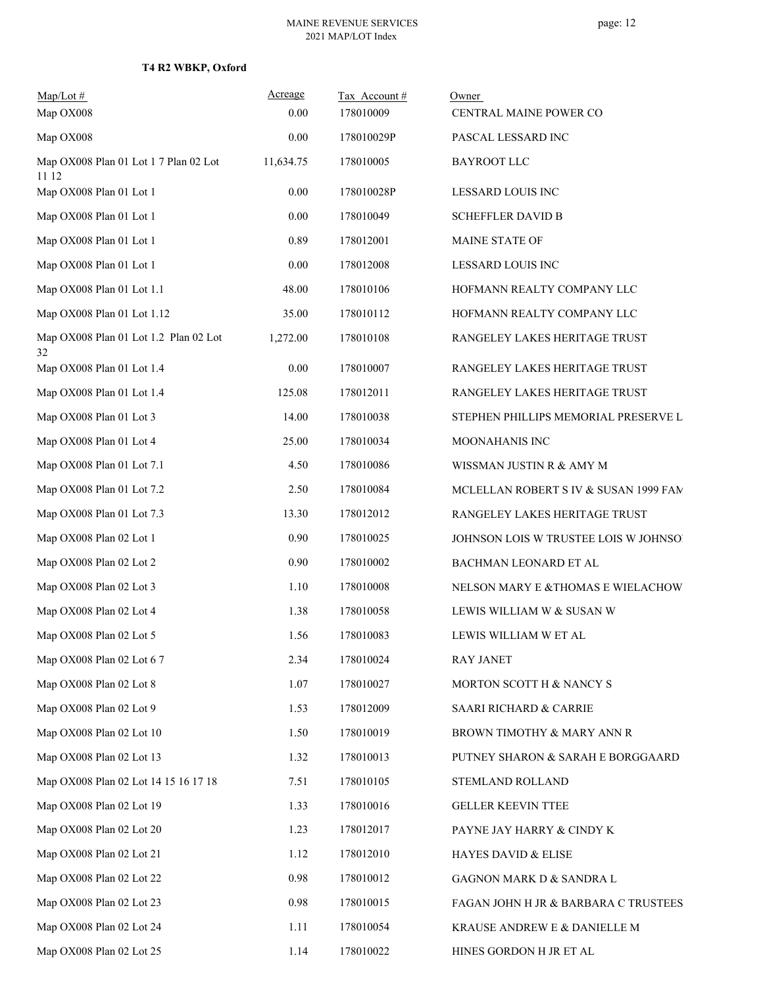| $Map/Lot \#$<br>Map OX008                      | Acreage<br>0.00 | Tax Account#<br>178010009 | Owner<br>CENTRAL MAINE POWER CO       |
|------------------------------------------------|-----------------|---------------------------|---------------------------------------|
| Map OX008                                      | $0.00\,$        | 178010029P                | PASCAL LESSARD INC                    |
| Map OX008 Plan 01 Lot 1 7 Plan 02 Lot<br>11 12 | 11,634.75       | 178010005                 | <b>BAYROOT LLC</b>                    |
| Map OX008 Plan 01 Lot 1                        | $0.00\,$        | 178010028P                | LESSARD LOUIS INC                     |
| Map OX008 Plan 01 Lot 1                        | 0.00            | 178010049                 | <b>SCHEFFLER DAVID B</b>              |
| Map OX008 Plan 01 Lot 1                        | 0.89            | 178012001                 | MAINE STATE OF                        |
| Map OX008 Plan 01 Lot 1                        | $0.00\,$        | 178012008                 | LESSARD LOUIS INC                     |
| Map OX008 Plan 01 Lot 1.1                      | 48.00           | 178010106                 | HOFMANN REALTY COMPANY LLC            |
| Map OX008 Plan 01 Lot 1.12                     | 35.00           | 178010112                 | HOFMANN REALTY COMPANY LLC            |
| Map OX008 Plan 01 Lot 1.2 Plan 02 Lot<br>32    | 1,272.00        | 178010108                 | RANGELEY LAKES HERITAGE TRUST         |
| Map OX008 Plan 01 Lot 1.4                      | $0.00\,$        | 178010007                 | RANGELEY LAKES HERITAGE TRUST         |
| Map OX008 Plan 01 Lot 1.4                      | 125.08          | 178012011                 | RANGELEY LAKES HERITAGE TRUST         |
| Map OX008 Plan 01 Lot 3                        | 14.00           | 178010038                 | STEPHEN PHILLIPS MEMORIAL PRESERVE L  |
| Map OX008 Plan 01 Lot 4                        | 25.00           | 178010034                 | MOONAHANIS INC                        |
| Map OX008 Plan 01 Lot 7.1                      | 4.50            | 178010086                 | WISSMAN JUSTIN R & AMY M              |
| Map OX008 Plan 01 Lot 7.2                      | 2.50            | 178010084                 | MCLELLAN ROBERT S IV & SUSAN 1999 FAM |
| Map OX008 Plan 01 Lot 7.3                      | 13.30           | 178012012                 | RANGELEY LAKES HERITAGE TRUST         |
| Map OX008 Plan 02 Lot 1                        | 0.90            | 178010025                 | JOHNSON LOIS W TRUSTEE LOIS W JOHNSO! |
| Map OX008 Plan 02 Lot 2                        | 0.90            | 178010002                 | BACHMAN LEONARD ET AL                 |
| Map OX008 Plan 02 Lot 3                        | 1.10            | 178010008                 | NELSON MARY E & THOMAS E WIELACHOW    |
| Map OX008 Plan 02 Lot 4                        | 1.38            | 178010058                 | LEWIS WILLIAM W & SUSAN W             |
| Map OX008 Plan 02 Lot 5                        | 1.56            | 178010083                 | LEWIS WILLIAM W ET AL                 |
| Map OX008 Plan 02 Lot 6 7                      | 2.34            | 178010024                 | <b>RAY JANET</b>                      |
| Map OX008 Plan 02 Lot 8                        | 1.07            | 178010027                 | MORTON SCOTT H & NANCY S              |
| Map OX008 Plan 02 Lot 9                        | 1.53            | 178012009                 | SAARI RICHARD & CARRIE                |
| Map OX008 Plan 02 Lot 10                       | 1.50            | 178010019                 | BROWN TIMOTHY & MARY ANN R            |
| Map OX008 Plan 02 Lot 13                       | 1.32            | 178010013                 | PUTNEY SHARON & SARAH E BORGGAARD     |
| Map OX008 Plan 02 Lot 14 15 16 17 18           | 7.51            | 178010105                 | STEMLAND ROLLAND                      |
| Map OX008 Plan 02 Lot 19                       | 1.33            | 178010016                 | <b>GELLER KEEVIN TTEE</b>             |
| Map OX008 Plan 02 Lot 20                       | 1.23            | 178012017                 | PAYNE JAY HARRY & CINDY K             |
| Map OX008 Plan 02 Lot 21                       | 1.12            | 178012010                 | HAYES DAVID & ELISE                   |
| Map OX008 Plan 02 Lot 22                       | 0.98            | 178010012                 | GAGNON MARK D & SANDRA L              |
| Map OX008 Plan 02 Lot 23                       | 0.98            | 178010015                 | FAGAN JOHN H JR & BARBARA C TRUSTEES  |
| Map OX008 Plan 02 Lot 24                       | 1.11            | 178010054                 | KRAUSE ANDREW E & DANIELLE M          |
| Map OX008 Plan 02 Lot 25                       | 1.14            | 178010022                 | HINES GORDON H JR ET AL               |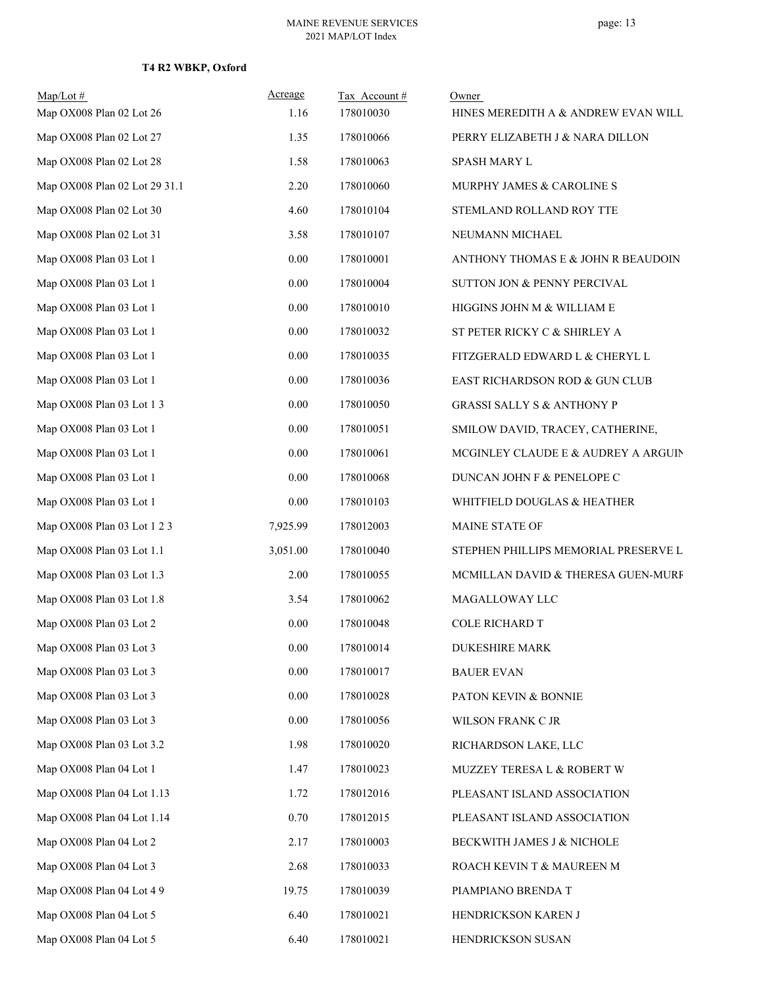| $Map/Lot$ #<br>Map OX008 Plan 02 Lot 26 | Acreage<br>1.16 | Tax Account#<br>178010030 | Owner<br>HINES MEREDITH A & ANDREW EVAN WILL |
|-----------------------------------------|-----------------|---------------------------|----------------------------------------------|
| Map OX008 Plan 02 Lot 27                | 1.35            | 178010066                 | PERRY ELIZABETH J & NARA DILLON              |
| Map OX008 Plan 02 Lot 28                | 1.58            | 178010063                 | SPASH MARY L                                 |
| Map OX008 Plan 02 Lot 29 31.1           | 2.20            | 178010060                 | MURPHY JAMES & CAROLINE S                    |
| Map OX008 Plan 02 Lot 30                | 4.60            | 178010104                 | STEMLAND ROLLAND ROY TTE                     |
| Map OX008 Plan 02 Lot 31                | 3.58            | 178010107                 | NEUMANN MICHAEL                              |
| Map OX008 Plan 03 Lot 1                 | 0.00            | 178010001                 | ANTHONY THOMAS E & JOHN R BEAUDOIN           |
| Map OX008 Plan 03 Lot 1                 | $0.00\,$        | 178010004                 | SUTTON JON & PENNY PERCIVAL                  |
| Map OX008 Plan 03 Lot 1                 | 0.00            | 178010010                 | HIGGINS JOHN M & WILLIAM E                   |
| Map OX008 Plan 03 Lot 1                 | 0.00            | 178010032                 | ST PETER RICKY C & SHIRLEY A                 |
| Map OX008 Plan 03 Lot 1                 | 0.00            | 178010035                 | FITZGERALD EDWARD L & CHERYL L               |
| Map OX008 Plan 03 Lot 1                 | 0.00            | 178010036                 | EAST RICHARDSON ROD & GUN CLUB               |
| Map OX008 Plan 03 Lot 1 3               | 0.00            | 178010050                 | <b>GRASSI SALLY S &amp; ANTHONY P</b>        |
| Map OX008 Plan 03 Lot 1                 | $0.00\,$        | 178010051                 | SMILOW DAVID, TRACEY, CATHERINE,             |
| Map OX008 Plan 03 Lot 1                 | 0.00            | 178010061                 | MCGINLEY CLAUDE E & AUDREY A ARGUIN          |
| Map OX008 Plan 03 Lot 1                 | $0.00\,$        | 178010068                 | DUNCAN JOHN F & PENELOPE C                   |
| Map OX008 Plan 03 Lot 1                 | 0.00            | 178010103                 | WHITFIELD DOUGLAS & HEATHER                  |
| Map OX008 Plan 03 Lot 1 2 3             | 7,925.99        | 178012003                 | MAINE STATE OF                               |
| Map OX008 Plan 03 Lot 1.1               | 3,051.00        | 178010040                 | STEPHEN PHILLIPS MEMORIAL PRESERVE L         |
| Map OX008 Plan 03 Lot 1.3               | 2.00            | 178010055                 | MCMILLAN DAVID & THERESA GUEN-MURF           |
| Map OX008 Plan 03 Lot 1.8               | 3.54            | 178010062                 | MAGALLOWAY LLC                               |
| Map OX008 Plan 03 Lot 2                 | 0.00            | 178010048                 | <b>COLE RICHARD T</b>                        |
| Map OX008 Plan 03 Lot 3                 | 0.00            | 178010014                 | <b>DUKESHIRE MARK</b>                        |
| Map OX008 Plan 03 Lot 3                 | 0.00            | 178010017                 | <b>BAUER EVAN</b>                            |
| Map OX008 Plan 03 Lot 3                 | 0.00            | 178010028                 | PATON KEVIN & BONNIE                         |
| Map OX008 Plan 03 Lot 3                 | $0.00\,$        | 178010056                 | WILSON FRANK C JR                            |
| Map OX008 Plan 03 Lot 3.2               | 1.98            | 178010020                 | RICHARDSON LAKE, LLC                         |
| Map OX008 Plan 04 Lot 1                 | 1.47            | 178010023                 | MUZZEY TERESA L & ROBERT W                   |
| Map OX008 Plan 04 Lot 1.13              | 1.72            | 178012016                 | PLEASANT ISLAND ASSOCIATION                  |
| Map OX008 Plan 04 Lot 1.14              | 0.70            | 178012015                 | PLEASANT ISLAND ASSOCIATION                  |
| Map OX008 Plan 04 Lot 2                 | 2.17            | 178010003                 | BECKWITH JAMES J & NICHOLE                   |
| Map OX008 Plan 04 Lot 3                 | 2.68            | 178010033                 | ROACH KEVIN T & MAUREEN M                    |
| Map OX008 Plan 04 Lot 4 9               | 19.75           | 178010039                 | PIAMPIANO BRENDA T                           |
| Map OX008 Plan 04 Lot 5                 | 6.40            | 178010021                 | HENDRICKSON KAREN J                          |
| Map OX008 Plan 04 Lot 5                 | 6.40            | 178010021                 | HENDRICKSON SUSAN                            |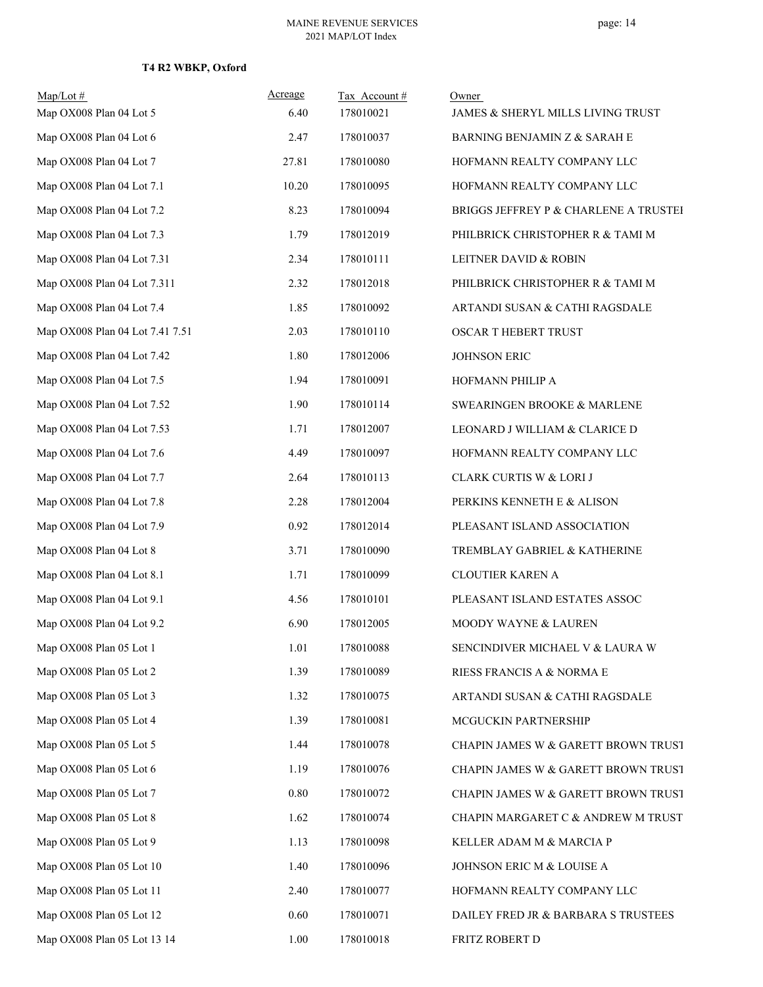| Map/Lot#<br>Map OX008 Plan 04 Lot 5 | Acreage<br>6.40 | Tax Account#<br>178010021 | Owner<br>JAMES & SHERYL MILLS LIVING TRUST |
|-------------------------------------|-----------------|---------------------------|--------------------------------------------|
| Map OX008 Plan 04 Lot 6             | 2.47            | 178010037                 |                                            |
|                                     |                 |                           | BARNING BENJAMIN Z & SARAH E               |
| Map OX008 Plan 04 Lot 7             | 27.81           | 178010080                 | HOFMANN REALTY COMPANY LLC                 |
| Map OX008 Plan 04 Lot 7.1           | 10.20           | 178010095                 | HOFMANN REALTY COMPANY LLC                 |
| Map OX008 Plan 04 Lot 7.2           | 8.23            | 178010094                 | BRIGGS JEFFREY P & CHARLENE A TRUSTEI      |
| Map OX008 Plan 04 Lot 7.3           | 1.79            | 178012019                 | PHILBRICK CHRISTOPHER R & TAMI M           |
| Map OX008 Plan 04 Lot 7.31          | 2.34            | 178010111                 | LEITNER DAVID & ROBIN                      |
| Map OX008 Plan 04 Lot 7.311         | 2.32            | 178012018                 | PHILBRICK CHRISTOPHER R & TAMI M           |
| Map OX008 Plan 04 Lot 7.4           | 1.85            | 178010092                 | ARTANDI SUSAN & CATHI RAGSDALE             |
| Map OX008 Plan 04 Lot 7.41 7.51     | 2.03            | 178010110                 | OSCAR T HEBERT TRUST                       |
| Map OX008 Plan 04 Lot 7.42          | 1.80            | 178012006                 | JOHNSON ERIC                               |
| Map OX008 Plan 04 Lot 7.5           | 1.94            | 178010091                 | HOFMANN PHILIP A                           |
| Map OX008 Plan 04 Lot 7.52          | 1.90            | 178010114                 | SWEARINGEN BROOKE & MARLENE                |
| Map OX008 Plan 04 Lot 7.53          | 1.71            | 178012007                 | LEONARD J WILLIAM & CLARICE D              |
| Map OX008 Plan 04 Lot 7.6           | 4.49            | 178010097                 | HOFMANN REALTY COMPANY LLC                 |
| Map OX008 Plan 04 Lot 7.7           | 2.64            | 178010113                 | CLARK CURTIS W & LORI J                    |
| Map OX008 Plan 04 Lot 7.8           | 2.28            | 178012004                 | PERKINS KENNETH E & ALISON                 |
| Map OX008 Plan 04 Lot 7.9           | 0.92            | 178012014                 | PLEASANT ISLAND ASSOCIATION                |
| Map OX008 Plan 04 Lot 8             | 3.71            | 178010090                 | TREMBLAY GABRIEL & KATHERINE               |
| Map OX008 Plan 04 Lot 8.1           | 1.71            | 178010099                 | CLOUTIER KAREN A                           |
| Map OX008 Plan 04 Lot 9.1           | 4.56            | 178010101                 | PLEASANT ISLAND ESTATES ASSOC              |
| Map OX008 Plan 04 Lot 9.2           | 6.90            | 178012005                 | MOODY WAYNE & LAUREN                       |
| Map OX008 Plan 05 Lot 1             | 1.01            | 178010088                 | SENCINDIVER MICHAEL V & LAURA W            |
| Map OX008 Plan 05 Lot 2             | 1.39            | 178010089                 | RIESS FRANCIS A & NORMA E                  |
| Map OX008 Plan 05 Lot 3             | 1.32            | 178010075                 | ARTANDI SUSAN & CATHI RAGSDALE             |
| Map OX008 Plan 05 Lot 4             | 1.39            | 178010081                 | MCGUCKIN PARTNERSHIP                       |
| Map OX008 Plan 05 Lot 5             | 1.44            | 178010078                 | CHAPIN JAMES W & GARETT BROWN TRUST        |
| Map OX008 Plan 05 Lot 6             | 1.19            | 178010076                 | CHAPIN JAMES W & GARETT BROWN TRUST        |
| Map OX008 Plan 05 Lot 7             | $0.80\,$        | 178010072                 | CHAPIN JAMES W & GARETT BROWN TRUST        |
| Map OX008 Plan 05 Lot 8             | 1.62            | 178010074                 | CHAPIN MARGARET C & ANDREW M TRUST         |
| Map OX008 Plan 05 Lot 9             | 1.13            | 178010098                 | KELLER ADAM M & MARCIA P                   |
| Map OX008 Plan 05 Lot 10            | 1.40            | 178010096                 | JOHNSON ERIC M & LOUISE A                  |
| Map OX008 Plan 05 Lot 11            | 2.40            | 178010077                 | HOFMANN REALTY COMPANY LLC                 |
| Map OX008 Plan 05 Lot 12            | 0.60            | 178010071                 | DAILEY FRED JR & BARBARA S TRUSTEES        |
| Map OX008 Plan 05 Lot 13 14         | 1.00            | 178010018                 | FRITZ ROBERT D                             |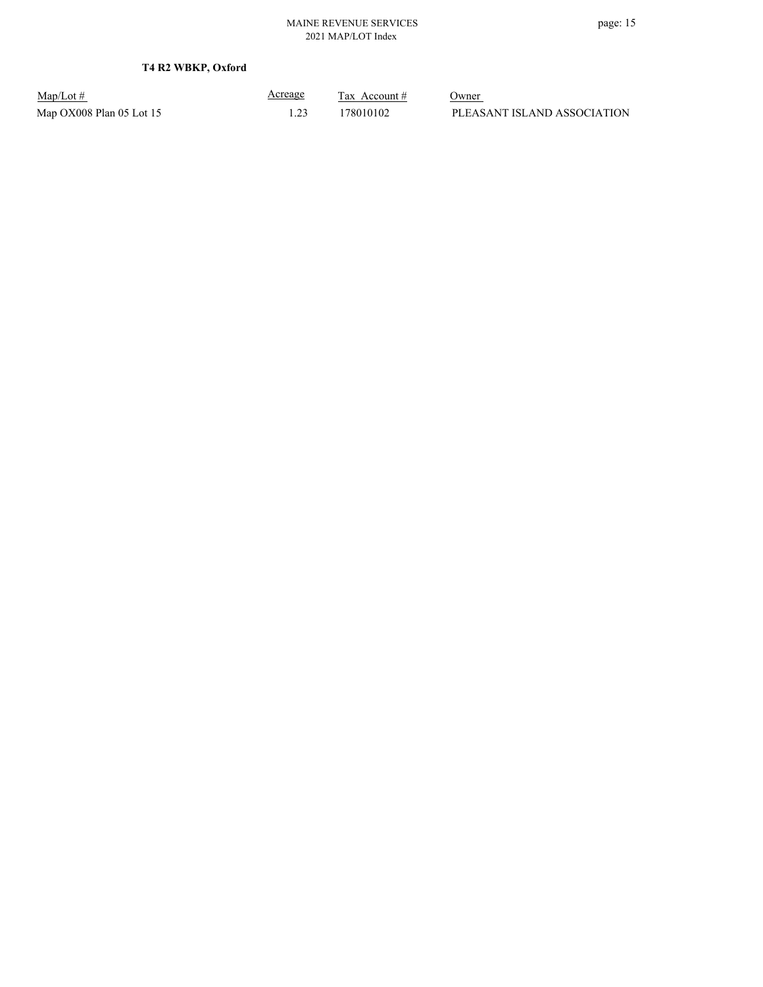| $Map/Lot \#$             | <u>Acreage</u> | Tax Account # | Owner                       |
|--------------------------|----------------|---------------|-----------------------------|
| Map OX008 Plan 05 Lot 15 |                | 178010102     | PLEASANT ISLAND ASSOCIATION |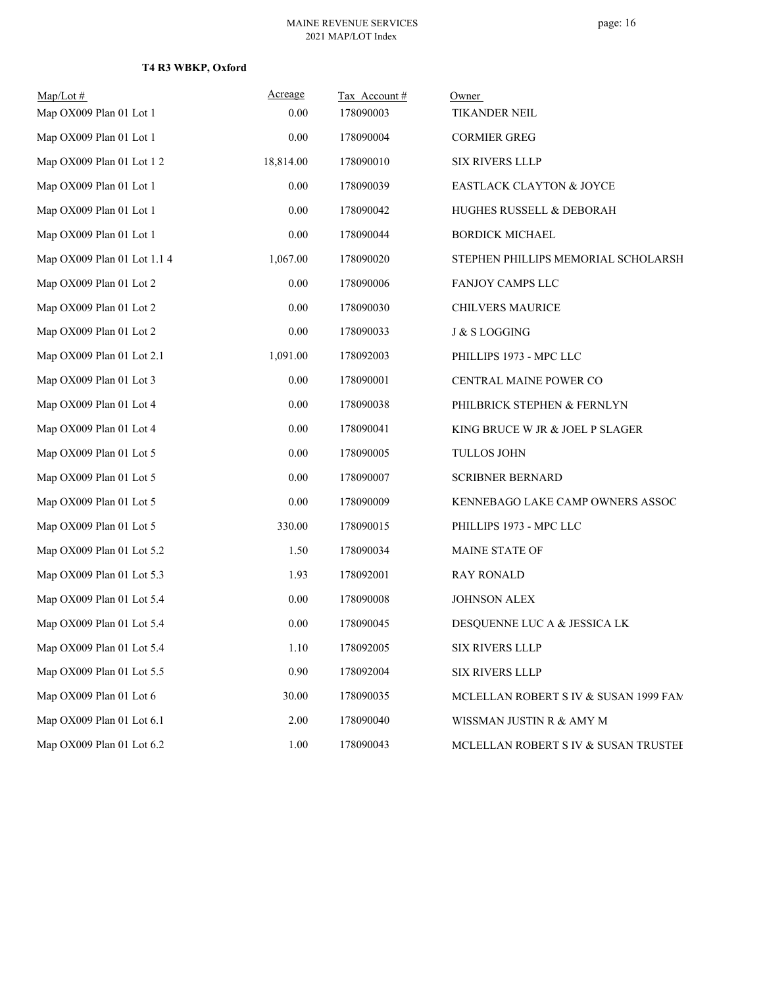| $Map/Lot \#$                | Acreage   | Tax Account# | Owner                                 |
|-----------------------------|-----------|--------------|---------------------------------------|
| Map OX009 Plan 01 Lot 1     | 0.00      | 178090003    | TIKANDER NEIL                         |
| Map OX009 Plan 01 Lot 1     | 0.00      | 178090004    | <b>CORMIER GREG</b>                   |
| Map OX009 Plan 01 Lot 1 2   | 18,814.00 | 178090010    | SIX RIVERS LLLP                       |
| Map OX009 Plan 01 Lot 1     | 0.00      | 178090039    | <b>EASTLACK CLAYTON &amp; JOYCE</b>   |
| Map OX009 Plan 01 Lot 1     | 0.00      | 178090042    | HUGHES RUSSELL & DEBORAH              |
| Map OX009 Plan 01 Lot 1     | 0.00      | 178090044    | <b>BORDICK MICHAEL</b>                |
| Map OX009 Plan 01 Lot 1.1 4 | 1,067.00  | 178090020    | STEPHEN PHILLIPS MEMORIAL SCHOLARSH   |
| Map OX009 Plan 01 Lot 2     | 0.00      | 178090006    | FANJOY CAMPS LLC                      |
| Map OX009 Plan 01 Lot 2     | 0.00      | 178090030    | <b>CHILVERS MAURICE</b>               |
| Map OX009 Plan 01 Lot 2     | 0.00      | 178090033    | J & S LOGGING                         |
| Map OX009 Plan 01 Lot 2.1   | 1,091.00  | 178092003    | PHILLIPS 1973 - MPC LLC               |
| Map OX009 Plan 01 Lot 3     | 0.00      | 178090001    | CENTRAL MAINE POWER CO                |
| Map OX009 Plan 01 Lot 4     | 0.00      | 178090038    | PHILBRICK STEPHEN & FERNLYN           |
| Map OX009 Plan 01 Lot 4     | 0.00      | 178090041    | KING BRUCE W JR & JOEL P SLAGER       |
| Map OX009 Plan 01 Lot 5     | 0.00      | 178090005    | <b>TULLOS JOHN</b>                    |
| Map OX009 Plan 01 Lot 5     | 0.00      | 178090007    | <b>SCRIBNER BERNARD</b>               |
| Map OX009 Plan 01 Lot 5     | 0.00      | 178090009    | KENNEBAGO LAKE CAMP OWNERS ASSOC      |
| Map OX009 Plan 01 Lot 5     | 330.00    | 178090015    | PHILLIPS 1973 - MPC LLC               |
| Map OX009 Plan 01 Lot 5.2   | 1.50      | 178090034    | MAINE STATE OF                        |
| Map OX009 Plan 01 Lot 5.3   | 1.93      | 178092001    | <b>RAY RONALD</b>                     |
| Map OX009 Plan 01 Lot 5.4   | 0.00      | 178090008    | <b>JOHNSON ALEX</b>                   |
| Map OX009 Plan 01 Lot 5.4   | 0.00      | 178090045    | DESQUENNE LUC A & JESSICA LK          |
| Map OX009 Plan 01 Lot 5.4   | 1.10      | 178092005    | SIX RIVERS LLLP                       |
| Map OX009 Plan 01 Lot 5.5   | 0.90      | 178092004    | SIX RIVERS LLLP                       |
| Map OX009 Plan 01 Lot 6     | 30.00     | 178090035    | MCLELLAN ROBERT S IV & SUSAN 1999 FAM |
| Map OX009 Plan 01 Lot 6.1   | 2.00      | 178090040    | WISSMAN JUSTIN R & AMY M              |
| Map OX009 Plan 01 Lot 6.2   | 1.00      | 178090043    | MCLELLAN ROBERT S IV & SUSAN TRUSTEE  |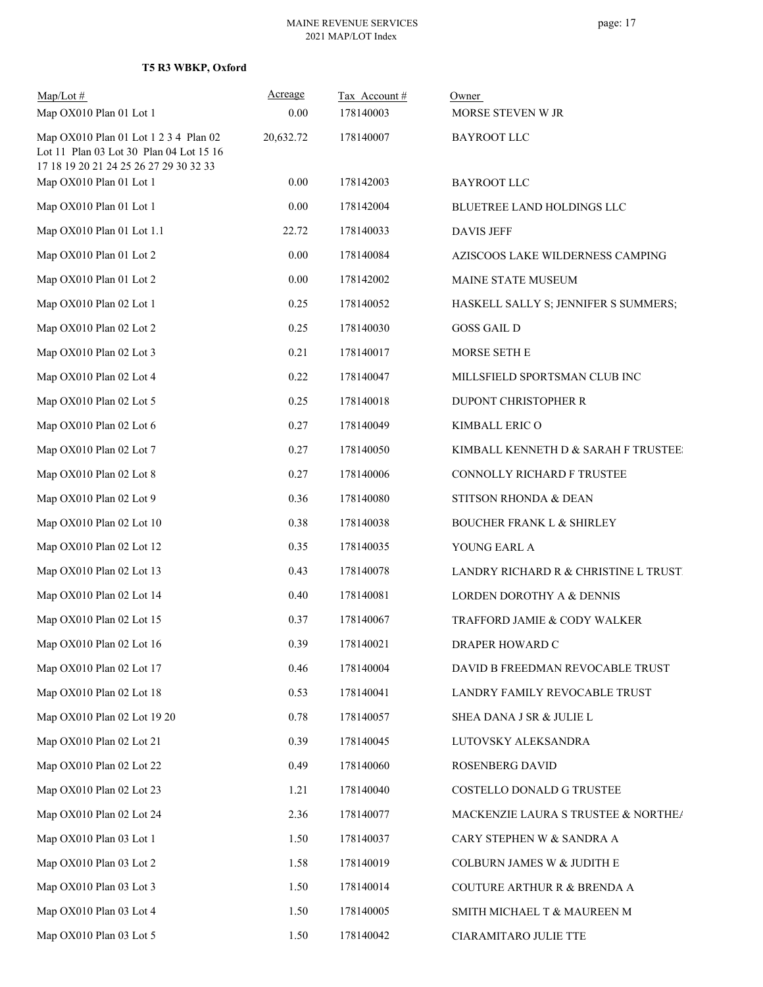# **T5 R3 WBKP, Oxford**

| $Map/Lot \#$<br>Map OX010 Plan 01 Lot 1                                          | Acreage<br>0.00 | Tax Account#<br>178140003 | Owner<br>MORSE STEVEN W JR           |
|----------------------------------------------------------------------------------|-----------------|---------------------------|--------------------------------------|
| Map OX010 Plan 01 Lot 1 2 3 4 Plan 02<br>Lot 11 Plan 03 Lot 30 Plan 04 Lot 15 16 | 20,632.72       | 178140007                 | <b>BAYROOT LLC</b>                   |
| 17 18 19 20 21 24 25 26 27 29 30 32 33<br>Map OX010 Plan 01 Lot 1                | 0.00            | 178142003                 | <b>BAYROOT LLC</b>                   |
| Map OX010 Plan 01 Lot 1                                                          | 0.00            | 178142004                 | BLUETREE LAND HOLDINGS LLC           |
| Map OX010 Plan 01 Lot 1.1                                                        | 22.72           | 178140033                 | <b>DAVIS JEFF</b>                    |
| Map OX010 Plan 01 Lot 2                                                          | 0.00            | 178140084                 | AZISCOOS LAKE WILDERNESS CAMPING     |
| Map OX010 Plan 01 Lot 2                                                          | 0.00            | 178142002                 | MAINE STATE MUSEUM                   |
| Map OX010 Plan 02 Lot 1                                                          | 0.25            | 178140052                 | HASKELL SALLY S; JENNIFER S SUMMERS; |
| Map OX010 Plan 02 Lot 2                                                          | 0.25            | 178140030                 | <b>GOSS GAIL D</b>                   |
| Map OX010 Plan 02 Lot 3                                                          | 0.21            | 178140017                 | MORSE SETH E                         |
| Map OX010 Plan 02 Lot 4                                                          | 0.22            | 178140047                 | MILLSFIELD SPORTSMAN CLUB INC        |
| Map OX010 Plan 02 Lot 5                                                          | 0.25            | 178140018                 | DUPONT CHRISTOPHER R                 |
| Map OX010 Plan 02 Lot 6                                                          | 0.27            | 178140049                 | KIMBALL ERIC O                       |
| Map OX010 Plan 02 Lot 7                                                          | 0.27            | 178140050                 | KIMBALL KENNETH D & SARAH F TRUSTEE: |
| Map OX010 Plan 02 Lot 8                                                          | 0.27            | 178140006                 | CONNOLLY RICHARD F TRUSTEE           |
| Map OX010 Plan 02 Lot 9                                                          | 0.36            | 178140080                 | STITSON RHONDA & DEAN                |
| Map OX010 Plan 02 Lot 10                                                         | 0.38            | 178140038                 | <b>BOUCHER FRANK L &amp; SHIRLEY</b> |
| Map OX010 Plan 02 Lot 12                                                         | 0.35            | 178140035                 | YOUNG EARL A                         |
| Map OX010 Plan 02 Lot 13                                                         | 0.43            | 178140078                 | LANDRY RICHARD R & CHRISTINE L TRUST |
| Map OX010 Plan 02 Lot 14                                                         | 0.40            | 178140081                 | LORDEN DOROTHY A & DENNIS            |
| Map OX010 Plan 02 Lot 15                                                         | 0.37            | 178140067                 | TRAFFORD JAMIE & CODY WALKER         |
| Map OX010 Plan 02 Lot 16                                                         | 0.39            | 178140021                 | DRAPER HOWARD C                      |
| Map OX010 Plan 02 Lot 17                                                         | 0.46            | 178140004                 | DAVID B FREEDMAN REVOCABLE TRUST     |
| Map OX010 Plan 02 Lot 18                                                         | 0.53            | 178140041                 | LANDRY FAMILY REVOCABLE TRUST        |
| Map OX010 Plan 02 Lot 19 20                                                      | 0.78            | 178140057                 | SHEA DANA J SR & JULIE L             |
| Map OX010 Plan 02 Lot 21                                                         | 0.39            | 178140045                 | LUTOVSKY ALEKSANDRA                  |
| Map OX010 Plan 02 Lot 22                                                         | 0.49            | 178140060                 | ROSENBERG DAVID                      |
| Map OX010 Plan 02 Lot 23                                                         | 1.21            | 178140040                 | COSTELLO DONALD G TRUSTEE            |
| Map OX010 Plan 02 Lot 24                                                         | 2.36            | 178140077                 | MACKENZIE LAURA S TRUSTEE & NORTHE/  |
| Map OX010 Plan 03 Lot 1                                                          | 1.50            | 178140037                 | CARY STEPHEN W & SANDRA A            |
| Map OX010 Plan 03 Lot 2                                                          | 1.58            | 178140019                 | COLBURN JAMES W & JUDITH E           |
| Map OX010 Plan 03 Lot 3                                                          | 1.50            | 178140014                 | COUTURE ARTHUR R & BRENDA A          |
| Map OX010 Plan 03 Lot 4                                                          | 1.50            | 178140005                 | SMITH MICHAEL T & MAUREEN M          |
| Map OX010 Plan 03 Lot 5                                                          | 1.50            | 178140042                 | CIARAMITARO JULIE TTE                |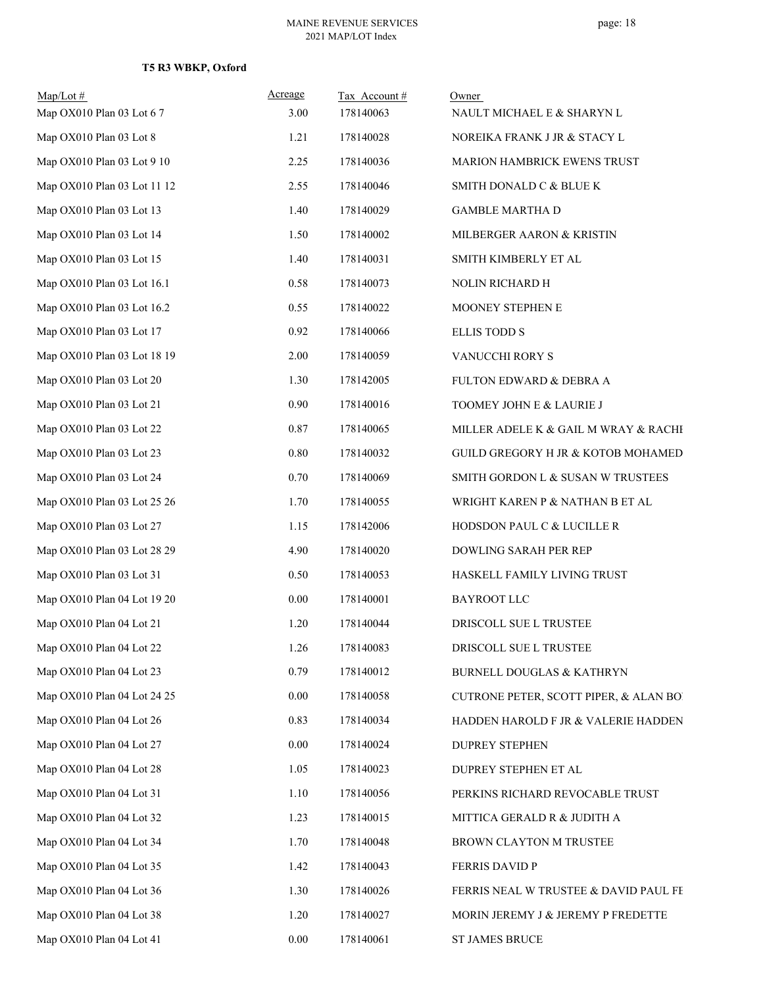# **T5 R3 WBKP, Oxford**

| $Map/Lot \#$<br>Map OX010 Plan 03 Lot 67 | Acreage<br>3.00 | Tax Account#<br>178140063 | Owner<br>NAULT MICHAEL E & SHARYN L    |
|------------------------------------------|-----------------|---------------------------|----------------------------------------|
| Map OX010 Plan 03 Lot 8                  | 1.21            | 178140028                 | NOREIKA FRANK J JR & STACY L           |
| Map OX010 Plan 03 Lot 9 10               | 2.25            | 178140036                 | MARION HAMBRICK EWENS TRUST            |
| Map OX010 Plan 03 Lot 11 12              | 2.55            | 178140046                 | SMITH DONALD C & BLUE K                |
| Map OX010 Plan 03 Lot 13                 | 1.40            | 178140029                 | <b>GAMBLE MARTHA D</b>                 |
| Map OX010 Plan 03 Lot 14                 | 1.50            | 178140002                 | MILBERGER AARON & KRISTIN              |
| Map OX010 Plan 03 Lot 15                 | 1.40            | 178140031                 | SMITH KIMBERLY ET AL                   |
| Map OX010 Plan 03 Lot 16.1               | 0.58            | 178140073                 | NOLIN RICHARD H                        |
| Map OX010 Plan 03 Lot 16.2               | 0.55            | 178140022                 | MOONEY STEPHEN E                       |
| Map OX010 Plan 03 Lot 17                 | 0.92            | 178140066                 | <b>ELLIS TODD S</b>                    |
| Map OX010 Plan 03 Lot 18 19              | 2.00            | 178140059                 | VANUCCHI RORY S                        |
| Map OX010 Plan 03 Lot 20                 | 1.30            | 178142005                 | FULTON EDWARD & DEBRA A                |
| Map OX010 Plan 03 Lot 21                 | 0.90            | 178140016                 | TOOMEY JOHN E & LAURIE J               |
| Map OX010 Plan 03 Lot 22                 | 0.87            | 178140065                 | MILLER ADELE K & GAIL M WRAY & RACHI   |
| Map OX010 Plan 03 Lot 23                 | 0.80            | 178140032                 | GUILD GREGORY H JR & KOTOB MOHAMED     |
| Map OX010 Plan 03 Lot 24                 | 0.70            | 178140069                 | SMITH GORDON L & SUSAN W TRUSTEES      |
| Map OX010 Plan 03 Lot 25 26              | 1.70            | 178140055                 | WRIGHT KAREN P & NATHAN B ET AL        |
| Map OX010 Plan 03 Lot 27                 | 1.15            | 178142006                 | HODSDON PAUL C & LUCILLE R             |
| Map OX010 Plan 03 Lot 28 29              | 4.90            | 178140020                 | DOWLING SARAH PER REP                  |
| Map OX010 Plan 03 Lot 31                 | 0.50            | 178140053                 | HASKELL FAMILY LIVING TRUST            |
| Map OX010 Plan 04 Lot 19 20              | 0.00            | 178140001                 | <b>BAYROOT LLC</b>                     |
| Map OX010 Plan 04 Lot 21                 | 1.20            | 178140044                 | DRISCOLL SUE L TRUSTEE                 |
| Map OX010 Plan 04 Lot 22                 | 1.26            | 178140083                 | DRISCOLL SUE L TRUSTEE                 |
| Map OX010 Plan 04 Lot 23                 | 0.79            | 178140012                 | BURNELL DOUGLAS & KATHRYN              |
| Map OX010 Plan 04 Lot 24 25              | 0.00            | 178140058                 | CUTRONE PETER, SCOTT PIPER, & ALAN BOI |
| Map OX010 Plan 04 Lot 26                 | 0.83            | 178140034                 | HADDEN HAROLD F JR & VALERIE HADDEN    |
| Map OX010 Plan 04 Lot 27                 | 0.00            | 178140024                 | <b>DUPREY STEPHEN</b>                  |
| Map OX010 Plan 04 Lot 28                 | 1.05            | 178140023                 | DUPREY STEPHEN ET AL                   |
| Map OX010 Plan 04 Lot 31                 | 1.10            | 178140056                 | PERKINS RICHARD REVOCABLE TRUST        |
| Map OX010 Plan 04 Lot 32                 | 1.23            | 178140015                 | MITTICA GERALD R & JUDITH A            |
| Map OX010 Plan 04 Lot 34                 | 1.70            | 178140048                 | BROWN CLAYTON M TRUSTEE                |
| Map OX010 Plan 04 Lot 35                 | 1.42            | 178140043                 | FERRIS DAVID P                         |
| Map OX010 Plan 04 Lot 36                 | 1.30            | 178140026                 | FERRIS NEAL W TRUSTEE & DAVID PAUL FE  |
| Map OX010 Plan 04 Lot 38                 | 1.20            | 178140027                 | MORIN JEREMY J & JEREMY P FREDETTE     |
| Map OX010 Plan 04 Lot 41                 | 0.00            | 178140061                 | ST JAMES BRUCE                         |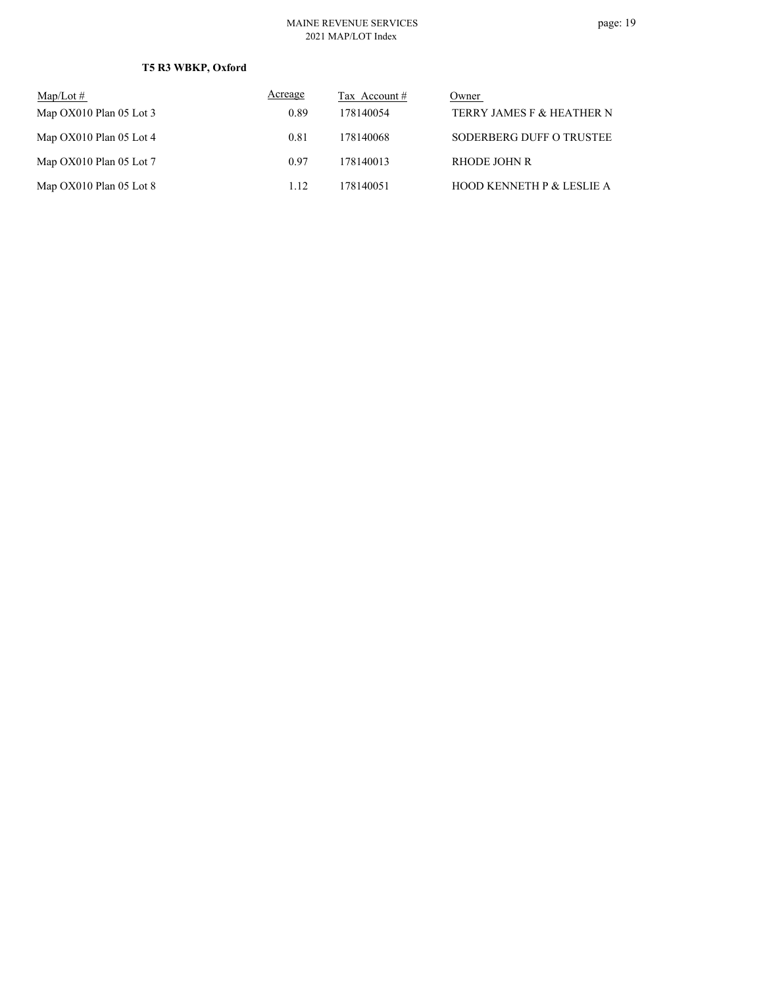# **T5 R3 WBKP, Oxford**

| $\text{Map/Lot} \#$       | Acreage | Tax Account # | Owner                                |
|---------------------------|---------|---------------|--------------------------------------|
| Map $OX010$ Plan 05 Lot 3 | 0.89    | 178140054     | TERRY JAMES F & HEATHER N            |
| Map $OX010$ Plan 05 Lot 4 | 0.81    | 178140068     | SODERBERG DUFF O TRUSTEE             |
| Map $OX010$ Plan 05 Lot 7 | 0.97    | 178140013     | RHODE JOHN R                         |
| Map $OX010$ Plan 05 Lot 8 | 1.12    | 178140051     | <b>HOOD KENNETH P &amp; LESLIE A</b> |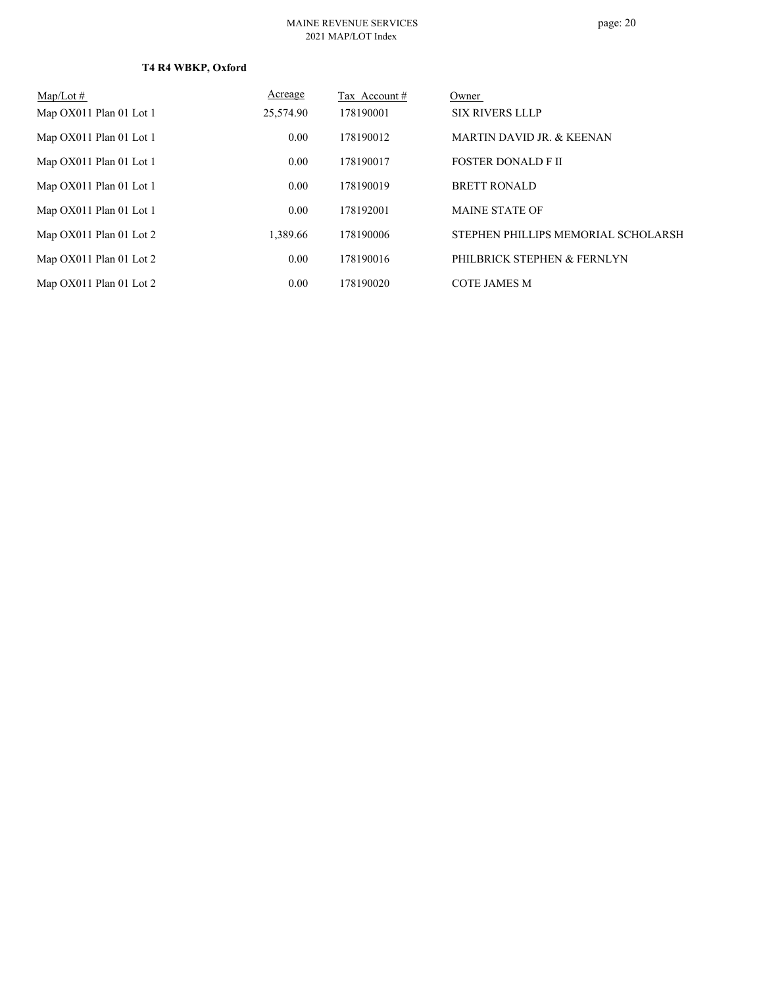| $Map/Lot \#$            | Acreage   | Tax Account # | Owner                                |
|-------------------------|-----------|---------------|--------------------------------------|
| Map OX011 Plan 01 Lot 1 | 25,574.90 | 178190001     | <b>SIX RIVERS LLLP</b>               |
| Map OX011 Plan 01 Lot 1 | 0.00      | 178190012     | <b>MARTIN DAVID JR. &amp; KEENAN</b> |
| Map OX011 Plan 01 Lot 1 | 0.00      | 178190017     | <b>FOSTER DONALD FIL</b>             |
| Map OX011 Plan 01 Lot 1 | 0.00      | 178190019     | <b>BRETT RONALD</b>                  |
| Map OX011 Plan 01 Lot 1 | 0.00      | 178192001     | <b>MAINE STATE OF</b>                |
| Map OX011 Plan 01 Lot 2 | 1.389.66  | 178190006     | STEPHEN PHILLIPS MEMORIAL SCHOLARSH  |
| Map OX011 Plan 01 Lot 2 | 0.00      | 178190016     | PHILBRICK STEPHEN & FERNLYN          |
| Map OX011 Plan 01 Lot 2 | 0.00      | 178190020     | <b>COTE JAMES M</b>                  |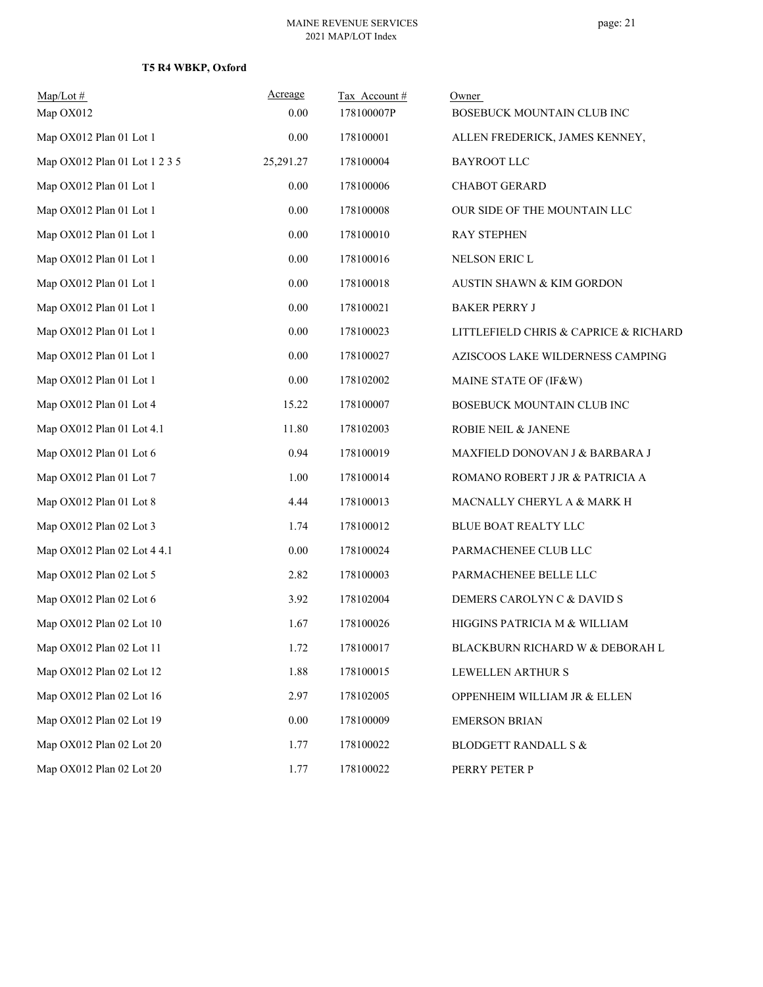# **T5 R4 WBKP, Oxford**

| $Map/Lot \#$                  | Acreage   | Tax Account# | Owner                                 |
|-------------------------------|-----------|--------------|---------------------------------------|
| Map OX012                     | 0.00      | 178100007P   | BOSEBUCK MOUNTAIN CLUB INC            |
| Map OX012 Plan 01 Lot 1       | 0.00      | 178100001    | ALLEN FREDERICK, JAMES KENNEY,        |
| Map OX012 Plan 01 Lot 1 2 3 5 | 25,291.27 | 178100004    | <b>BAYROOT LLC</b>                    |
| Map OX012 Plan 01 Lot 1       | $0.00\,$  | 178100006    | CHABOT GERARD                         |
| Map OX012 Plan 01 Lot 1       | 0.00      | 178100008    | OUR SIDE OF THE MOUNTAIN LLC          |
| Map OX012 Plan 01 Lot 1       | 0.00      | 178100010    | <b>RAY STEPHEN</b>                    |
| Map OX012 Plan 01 Lot 1       | 0.00      | 178100016    | NELSON ERIC L                         |
| Map OX012 Plan 01 Lot 1       | $0.00\,$  | 178100018    | AUSTIN SHAWN & KIM GORDON             |
| Map OX012 Plan 01 Lot 1       | 0.00      | 178100021    | <b>BAKER PERRY J</b>                  |
| Map OX012 Plan 01 Lot 1       | 0.00      | 178100023    | LITTLEFIELD CHRIS & CAPRICE & RICHARD |
| Map OX012 Plan 01 Lot 1       | 0.00      | 178100027    | AZISCOOS LAKE WILDERNESS CAMPING      |
| Map OX012 Plan 01 Lot 1       | $0.00\,$  | 178102002    | MAINE STATE OF (IF&W)                 |
| Map OX012 Plan 01 Lot 4       | 15.22     | 178100007    | BOSEBUCK MOUNTAIN CLUB INC            |
| Map OX012 Plan 01 Lot 4.1     | 11.80     | 178102003    | ROBIE NEIL & JANENE                   |
| Map OX012 Plan 01 Lot 6       | 0.94      | 178100019    | MAXFIELD DONOVAN J & BARBARA J        |
| Map OX012 Plan 01 Lot 7       | 1.00      | 178100014    | ROMANO ROBERT J JR & PATRICIA A       |
| Map OX012 Plan 01 Lot 8       | 4.44      | 178100013    | MACNALLY CHERYL A & MARK H            |
| Map OX012 Plan 02 Lot 3       | 1.74      | 178100012    | BLUE BOAT REALTY LLC                  |
| Map OX012 Plan 02 Lot 4 4.1   | 0.00      | 178100024    | PARMACHENEE CLUB LLC                  |
| Map OX012 Plan 02 Lot 5       | 2.82      | 178100003    | PARMACHENEE BELLE LLC                 |
| Map OX012 Plan 02 Lot 6       | 3.92      | 178102004    | DEMERS CAROLYN C & DAVID S            |
| Map OX012 Plan 02 Lot 10      | 1.67      | 178100026    | HIGGINS PATRICIA M & WILLIAM          |
| Map OX012 Plan 02 Lot 11      | 1.72      | 178100017    | BLACKBURN RICHARD W & DEBORAH L       |
| Map OX012 Plan 02 Lot 12      | 1.88      | 178100015    | LEWELLEN ARTHUR S                     |
| Map OX012 Plan 02 Lot 16      | 2.97      | 178102005    | OPPENHEIM WILLIAM JR & ELLEN          |
| Map OX012 Plan 02 Lot 19      | $0.00\,$  | 178100009    | <b>EMERSON BRIAN</b>                  |
| Map OX012 Plan 02 Lot 20      | 1.77      | 178100022    | BLODGETT RANDALL S $\&$               |
| Map OX012 Plan 02 Lot 20      | 1.77      | 178100022    | PERRY PETER P                         |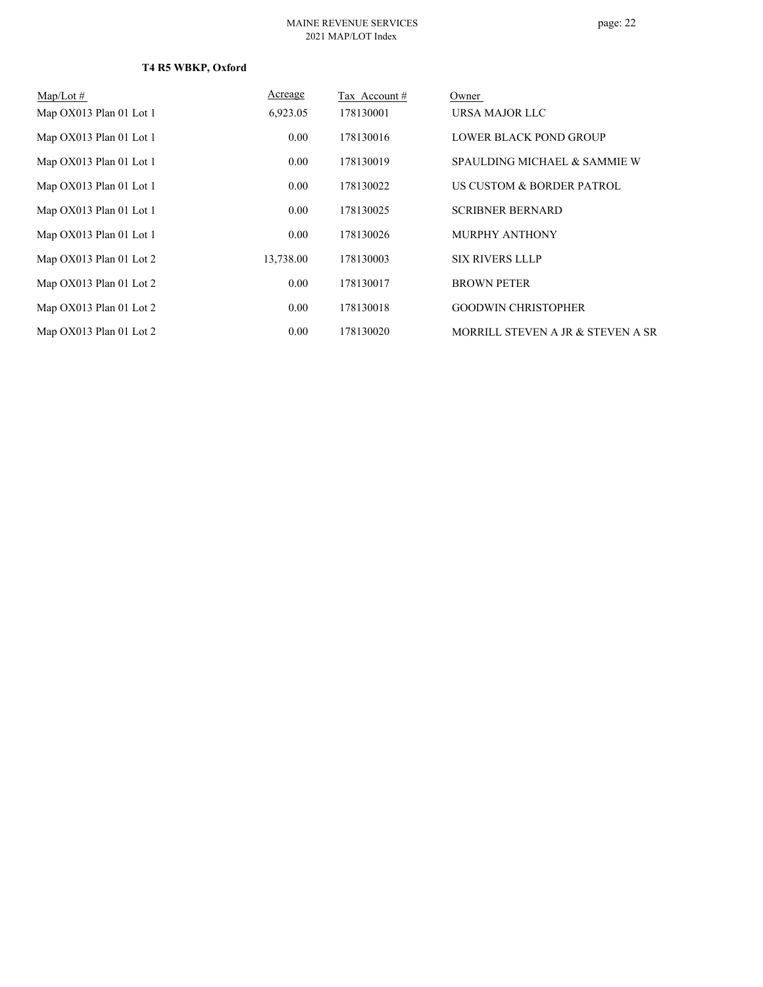| $Map/Lot \#$            | Acreage   | Tax Account# | Owner                             |
|-------------------------|-----------|--------------|-----------------------------------|
| Map OX013 Plan 01 Lot 1 | 6,923.05  | 178130001    | URSA MAJOR LLC                    |
| Map OX013 Plan 01 Lot 1 | 0.00      | 178130016    | <b>LOWER BLACK POND GROUP</b>     |
| Map OX013 Plan 01 Lot 1 | 0.00      | 178130019    | SPAULDING MICHAEL & SAMMIE W      |
| Map OX013 Plan 01 Lot 1 | 0.00      | 178130022    | US CUSTOM & BORDER PATROL         |
| Map OX013 Plan 01 Lot 1 | 0.00      | 178130025    | <b>SCRIBNER BERNARD</b>           |
| Map OX013 Plan 01 Lot 1 | 0.00      | 178130026    | <b>MURPHY ANTHONY</b>             |
| Map OX013 Plan 01 Lot 2 | 13,738.00 | 178130003    | <b>SIX RIVERS LLLP</b>            |
| Map OX013 Plan 01 Lot 2 | 0.00      | 178130017    | <b>BROWN PETER</b>                |
| Map OX013 Plan 01 Lot 2 | 0.00      | 178130018    | <b>GOODWIN CHRISTOPHER</b>        |
| Map OX013 Plan 01 Lot 2 | 0.00      | 178130020    | MORRILL STEVEN A JR & STEVEN A SR |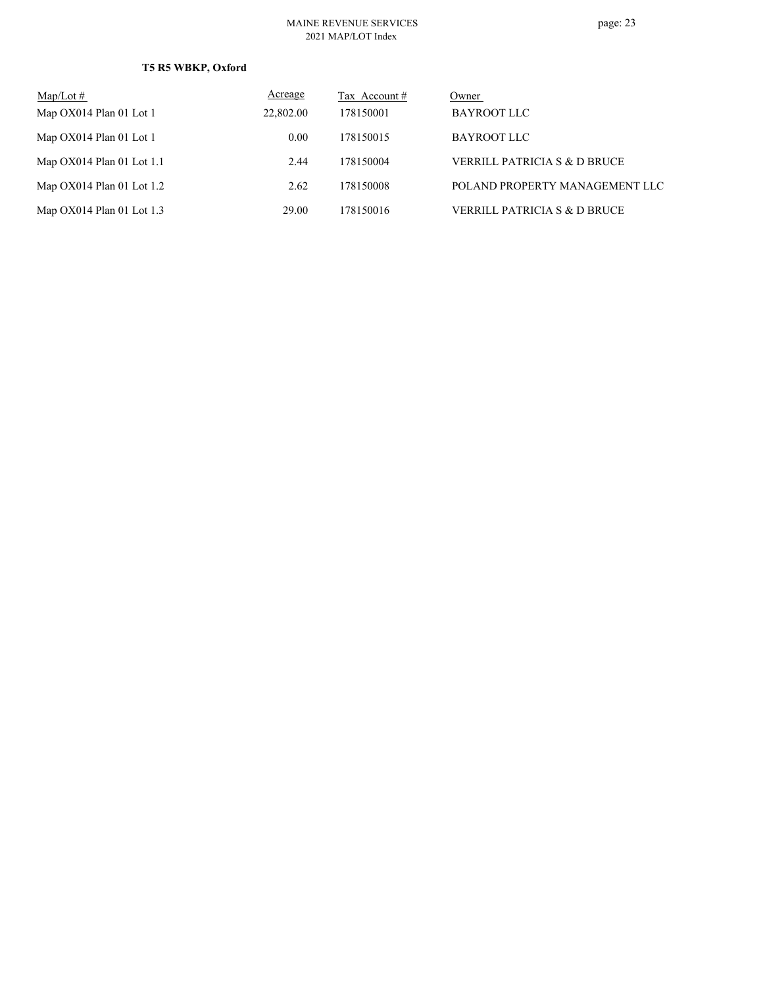# **T5 R5 WBKP, Oxford**

| $Map/Lot \#$                | Acreage   | Tax Account # | Owner                                   |
|-----------------------------|-----------|---------------|-----------------------------------------|
| Map OX014 Plan 01 Lot 1     | 22,802.00 | 178150001     | BAYROOT LLC                             |
| Map OX014 Plan 01 Lot 1     | 0.00      | 178150015     | BAYROOT LLC                             |
| Map $OX014$ Plan 01 Lot 1.1 | 2.44      | 178150004     | VERRILL PATRICIA S & D BRUCE            |
| Map $OX014$ Plan 01 Lot 1.2 | 2.62      | 178150008     | POLAND PROPERTY MANAGEMENT LLC          |
| Map $OX014$ Plan 01 Lot 1.3 | 29.00     | 178150016     | <b>VERRILL PATRICIA S &amp; D BRUCE</b> |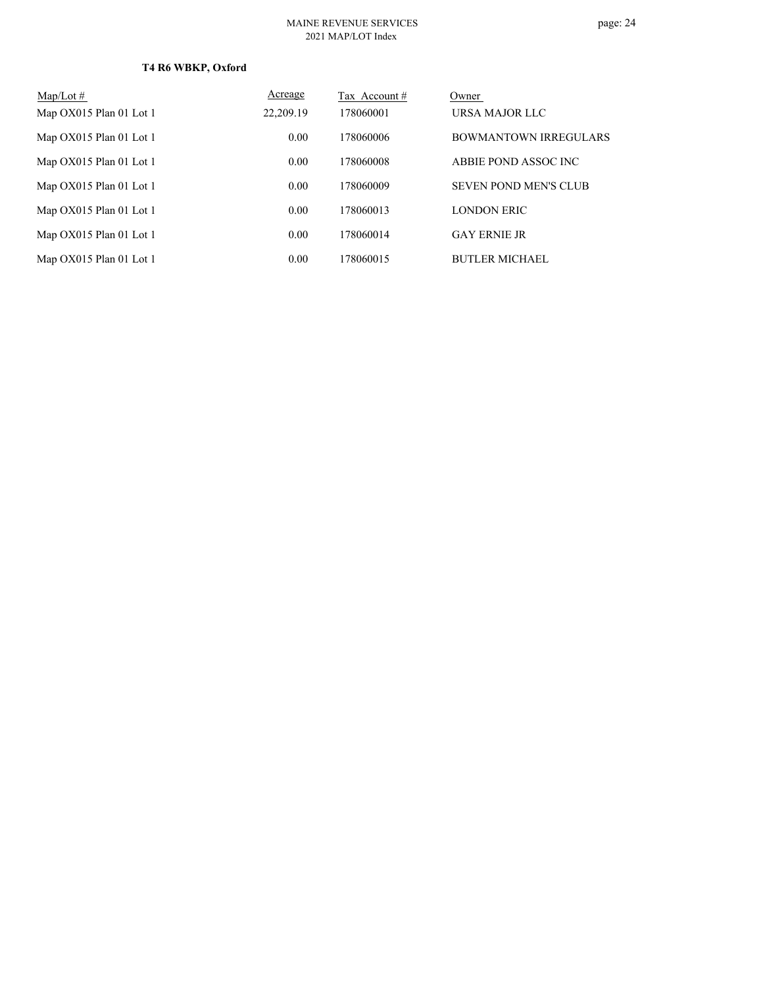| $Map/Lot \#$            | Acreage   | Tax Account # | Owner                        |
|-------------------------|-----------|---------------|------------------------------|
| Map OX015 Plan 01 Lot 1 | 22,209.19 | 178060001     | URSA MAJOR LLC               |
| Map OX015 Plan 01 Lot 1 | 0.00      | 178060006     | <b>BOWMANTOWN IRREGULARS</b> |
| Map OX015 Plan 01 Lot 1 | 0.00      | 178060008     | ABBIE POND ASSOC INC         |
| Map OX015 Plan 01 Lot 1 | 0.00      | 178060009     | <b>SEVEN POND MEN'S CLUB</b> |
| Map OX015 Plan 01 Lot 1 | 0.00      | 178060013     | <b>LONDON ERIC</b>           |
| Map OX015 Plan 01 Lot 1 | 0.00      | 178060014     | <b>GAY ERNIE JR</b>          |
| Map OX015 Plan 01 Lot 1 | 0.00      | 178060015     | <b>BUTLER MICHAEL</b>        |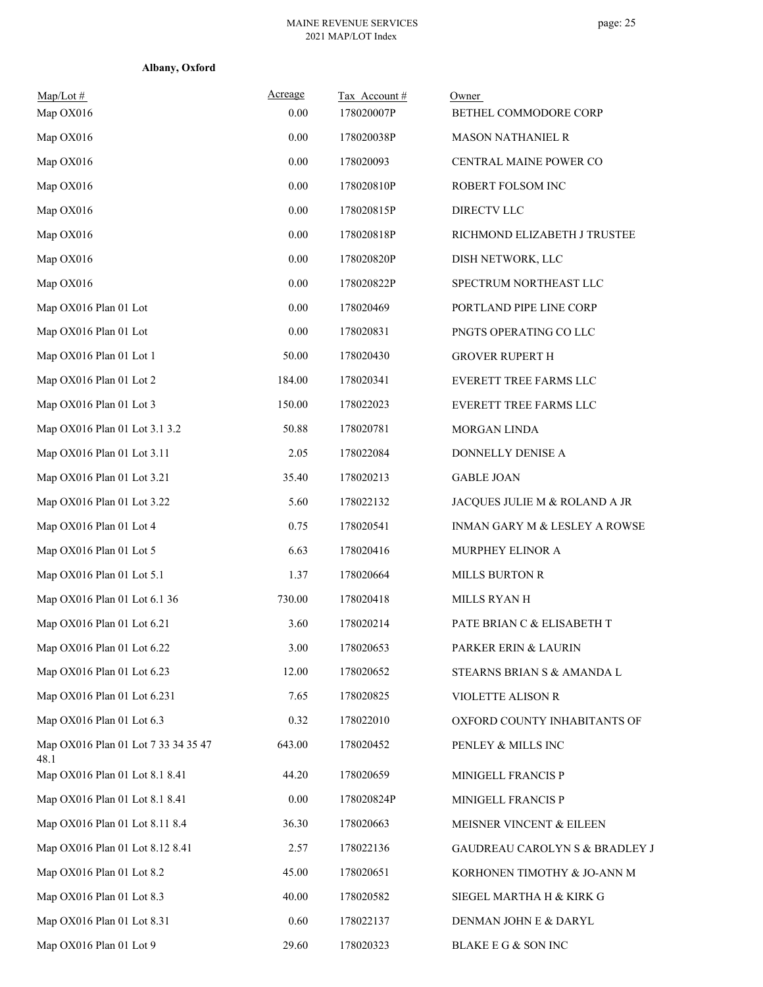| $Map/Lot \#$<br>Map OX016                   | Acreage<br>0.00 | Tax Account#<br>178020007P | Owner<br>BETHEL COMMODORE CORP |
|---------------------------------------------|-----------------|----------------------------|--------------------------------|
| Map OX016                                   | 0.00            | 178020038P                 | <b>MASON NATHANIEL R</b>       |
| Map OX016                                   | 0.00            | 178020093                  | CENTRAL MAINE POWER CO         |
| Map OX016                                   | 0.00            | 178020810P                 | ROBERT FOLSOM INC              |
| Map OX016                                   | 0.00            | 178020815P                 | DIRECTV LLC                    |
| Map OX016                                   | 0.00            | 178020818P                 | RICHMOND ELIZABETH J TRUSTEE   |
| Map OX016                                   | 0.00            | 178020820P                 | DISH NETWORK, LLC              |
| Map OX016                                   | 0.00            | 178020822P                 | SPECTRUM NORTHEAST LLC         |
| Map OX016 Plan 01 Lot                       | 0.00            | 178020469                  | PORTLAND PIPE LINE CORP        |
| Map OX016 Plan 01 Lot                       | 0.00            | 178020831                  | PNGTS OPERATING CO LLC         |
| Map OX016 Plan 01 Lot 1                     | 50.00           | 178020430                  | <b>GROVER RUPERT H</b>         |
| Map OX016 Plan 01 Lot 2                     | 184.00          | 178020341                  | <b>EVERETT TREE FARMS LLC</b>  |
| Map OX016 Plan 01 Lot 3                     | 150.00          | 178022023                  | EVERETT TREE FARMS LLC         |
| Map OX016 Plan 01 Lot 3.1 3.2               | 50.88           | 178020781                  | MORGAN LINDA                   |
| Map OX016 Plan 01 Lot 3.11                  | 2.05            | 178022084                  | DONNELLY DENISE A              |
| Map OX016 Plan 01 Lot 3.21                  | 35.40           | 178020213                  | <b>GABLE JOAN</b>              |
| Map OX016 Plan 01 Lot 3.22                  | 5.60            | 178022132                  | JACQUES JULIE M & ROLAND A JR  |
| Map OX016 Plan 01 Lot 4                     | 0.75            | 178020541                  | INMAN GARY M & LESLEY A ROWSE  |
| Map OX016 Plan 01 Lot 5                     | 6.63            | 178020416                  | MURPHEY ELINOR A               |
| Map OX016 Plan 01 Lot 5.1                   | 1.37            | 178020664                  | <b>MILLS BURTON R</b>          |
| Map OX016 Plan 01 Lot 6.1 36                | 730.00          | 178020418                  | MILLS RYAN H                   |
| Map OX016 Plan 01 Lot 6.21                  | 3.60            | 178020214                  | PATE BRIAN C & ELISABETH T     |
| Map OX016 Plan 01 Lot 6.22                  | 3.00            | 178020653                  | PARKER ERIN & LAURIN           |
| Map OX016 Plan 01 Lot 6.23                  | 12.00           | 178020652                  | STEARNS BRIAN S & AMANDA L     |
| Map OX016 Plan 01 Lot 6.231                 | 7.65            | 178020825                  | VIOLETTE ALISON R              |
| Map OX016 Plan 01 Lot 6.3                   | 0.32            | 178022010                  | OXFORD COUNTY INHABITANTS OF   |
| Map OX016 Plan 01 Lot 7 33 34 35 47<br>48.1 | 643.00          | 178020452                  | PENLEY & MILLS INC             |
| Map OX016 Plan 01 Lot 8.1 8.41              | 44.20           | 178020659                  | MINIGELL FRANCIS P             |
| Map OX016 Plan 01 Lot 8.1 8.41              | 0.00            | 178020824P                 | MINIGELL FRANCIS P             |
| Map OX016 Plan 01 Lot 8.11 8.4              | 36.30           | 178020663                  | MEISNER VINCENT & EILEEN       |
| Map OX016 Plan 01 Lot 8.12 8.41             | 2.57            | 178022136                  | GAUDREAU CAROLYN S & BRADLEY J |
| Map OX016 Plan 01 Lot 8.2                   | 45.00           | 178020651                  | KORHONEN TIMOTHY & JO-ANN M    |
| Map OX016 Plan 01 Lot 8.3                   | 40.00           | 178020582                  | SIEGEL MARTHA H & KIRK G       |
| Map OX016 Plan 01 Lot 8.31                  | 0.60            | 178022137                  | DENMAN JOHN E & DARYL          |
| Map OX016 Plan 01 Lot 9                     | 29.60           | 178020323                  | BLAKE E G & SON INC            |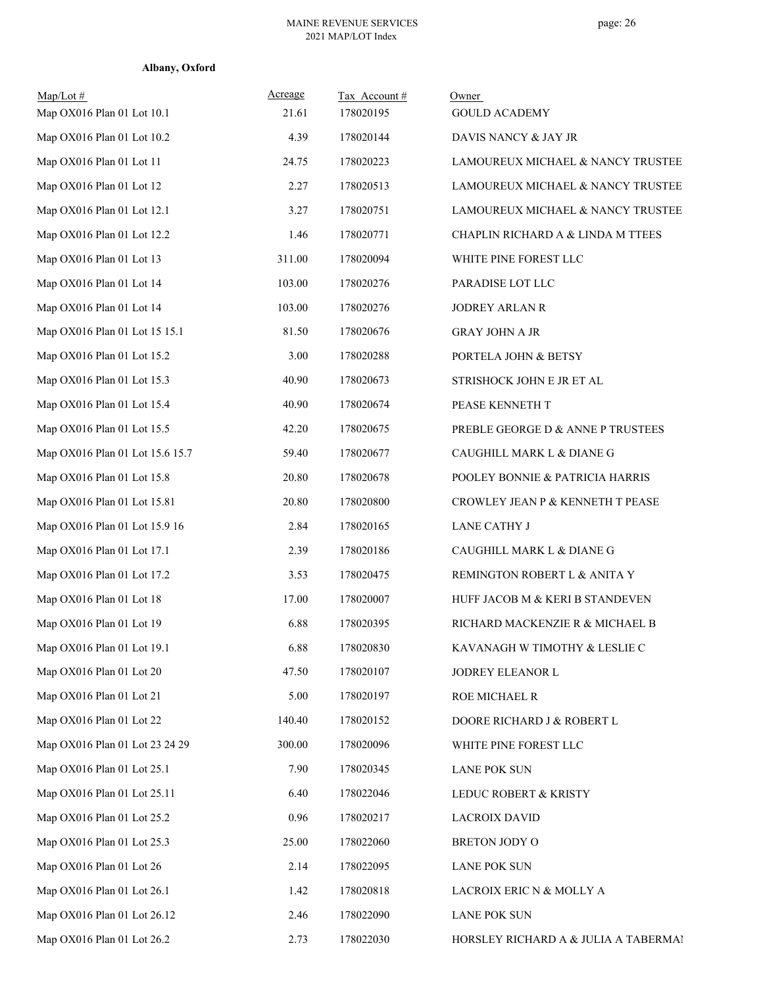| $Map/Lot \#$<br>Map OX016 Plan 01 Lot 10.1 | Acreage<br>21.61 | Tax Account#<br>178020195 | Owner<br><b>GOULD ACADEMY</b>        |
|--------------------------------------------|------------------|---------------------------|--------------------------------------|
| Map OX016 Plan 01 Lot 10.2                 | 4.39             | 178020144                 | DAVIS NANCY & JAY JR                 |
| Map OX016 Plan 01 Lot 11                   | 24.75            | 178020223                 | LAMOUREUX MICHAEL & NANCY TRUSTEE    |
| Map OX016 Plan 01 Lot 12                   | 2.27             | 178020513                 | LAMOUREUX MICHAEL & NANCY TRUSTEE    |
| Map OX016 Plan 01 Lot 12.1                 | 3.27             | 178020751                 | LAMOUREUX MICHAEL & NANCY TRUSTEE    |
| Map OX016 Plan 01 Lot 12.2                 | 1.46             | 178020771                 | CHAPLIN RICHARD A & LINDA M TTEES    |
| Map OX016 Plan 01 Lot 13                   | 311.00           | 178020094                 | WHITE PINE FOREST LLC                |
| Map OX016 Plan 01 Lot 14                   | 103.00           | 178020276                 | PARADISE LOT LLC                     |
| Map OX016 Plan 01 Lot 14                   | 103.00           | 178020276                 | <b>JODREY ARLAN R</b>                |
| Map OX016 Plan 01 Lot 15 15.1              | 81.50            | 178020676                 | <b>GRAY JOHN A JR</b>                |
| Map OX016 Plan 01 Lot 15.2                 | 3.00             | 178020288                 | PORTELA JOHN & BETSY                 |
| Map OX016 Plan 01 Lot 15.3                 | 40.90            | 178020673                 | STRISHOCK JOHN E JR ET AL            |
| Map OX016 Plan 01 Lot 15.4                 | 40.90            | 178020674                 | PEASE KENNETH T                      |
| Map OX016 Plan 01 Lot 15.5                 | 42.20            | 178020675                 | PREBLE GEORGE D & ANNE P TRUSTEES    |
| Map OX016 Plan 01 Lot 15.6 15.7            | 59.40            | 178020677                 | CAUGHILL MARK L & DIANE G            |
| Map OX016 Plan 01 Lot 15.8                 | 20.80            | 178020678                 | POOLEY BONNIE & PATRICIA HARRIS      |
| Map OX016 Plan 01 Lot 15.81                | 20.80            | 178020800                 | CROWLEY JEAN P & KENNETH T PEASE     |
| Map OX016 Plan 01 Lot 15.9 16              | 2.84             | 178020165                 | <b>LANE CATHY J</b>                  |
| Map OX016 Plan 01 Lot 17.1                 | 2.39             | 178020186                 | CAUGHILL MARK L & DIANE G            |
| Map OX016 Plan 01 Lot 17.2                 | 3.53             | 178020475                 | REMINGTON ROBERT L & ANITA Y         |
| Map OX016 Plan 01 Lot 18                   | 17.00            | 178020007                 | HUFF JACOB M & KERI B STANDEVEN      |
| Map OX016 Plan 01 Lot 19                   | 6.88             | 178020395                 | RICHARD MACKENZIE R & MICHAEL B      |
| Map OX016 Plan 01 Lot 19.1                 | 6.88             | 178020830                 | KAVANAGH W TIMOTHY & LESLIE C        |
| Map OX016 Plan 01 Lot 20                   | 47.50            | 178020107                 | JODREY ELEANOR L                     |
| Map OX016 Plan 01 Lot 21                   | 5.00             | 178020197                 | ROE MICHAEL R                        |
| Map OX016 Plan 01 Lot 22                   | 140.40           | 178020152                 | DOORE RICHARD J & ROBERT L           |
| Map OX016 Plan 01 Lot 23 24 29             | 300.00           | 178020096                 | WHITE PINE FOREST LLC                |
| Map OX016 Plan 01 Lot 25.1                 | 7.90             | 178020345                 | <b>LANE POK SUN</b>                  |
| Map OX016 Plan 01 Lot 25.11                | 6.40             | 178022046                 | LEDUC ROBERT & KRISTY                |
| Map OX016 Plan 01 Lot 25.2                 | 0.96             | 178020217                 | <b>LACROIX DAVID</b>                 |
| Map OX016 Plan 01 Lot 25.3                 | 25.00            | 178022060                 | BRETON JODY O                        |
| Map OX016 Plan 01 Lot 26                   | 2.14             | 178022095                 | <b>LANE POK SUN</b>                  |
| Map OX016 Plan 01 Lot 26.1                 | 1.42             | 178020818                 | LACROIX ERIC N & MOLLY A             |
| Map OX016 Plan 01 Lot 26.12                | 2.46             | 178022090                 | <b>LANE POK SUN</b>                  |
| Map OX016 Plan 01 Lot 26.2                 | 2.73             | 178022030                 | HORSLEY RICHARD A & JULIA A TABERMA! |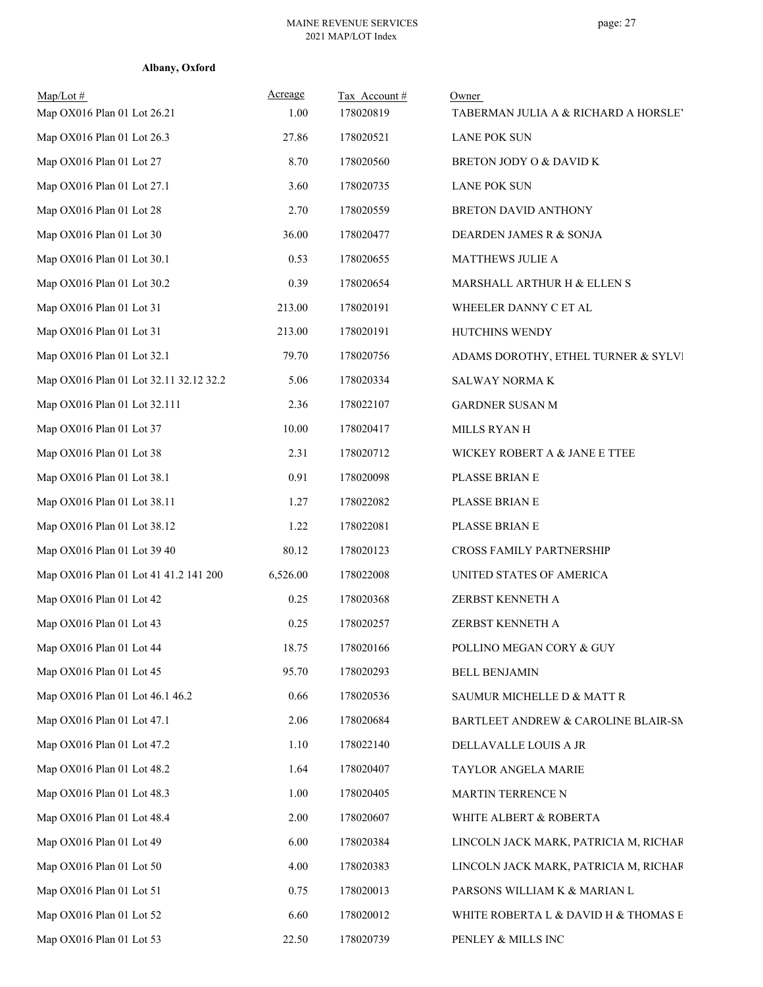| Albany, Oxford |  |
|----------------|--|
|----------------|--|

| $Map/Lot \#$<br>Map OX016 Plan 01 Lot 26.21 | Acreage<br>1.00 | Tax Account#<br>178020819 | Owner<br>TABERMAN JULIA A & RICHARD A HORSLEY |
|---------------------------------------------|-----------------|---------------------------|-----------------------------------------------|
| Map OX016 Plan 01 Lot 26.3                  | 27.86           | 178020521                 | <b>LANE POK SUN</b>                           |
| Map OX016 Plan 01 Lot 27                    | 8.70            | 178020560                 | BRETON JODY O & DAVID K                       |
| Map OX016 Plan 01 Lot 27.1                  | 3.60            | 178020735                 | <b>LANE POK SUN</b>                           |
| Map OX016 Plan 01 Lot 28                    | 2.70            | 178020559                 | <b>BRETON DAVID ANTHONY</b>                   |
| Map OX016 Plan 01 Lot 30                    | 36.00           | 178020477                 | DEARDEN JAMES R & SONJA                       |
| Map OX016 Plan 01 Lot 30.1                  | 0.53            | 178020655                 | MATTHEWS JULIE A                              |
| Map OX016 Plan 01 Lot 30.2                  | 0.39            | 178020654                 | MARSHALL ARTHUR H & ELLEN S                   |
| Map OX016 Plan 01 Lot 31                    | 213.00          | 178020191                 | WHEELER DANNY C ET AL                         |
| Map OX016 Plan 01 Lot 31                    | 213.00          | 178020191                 | HUTCHINS WENDY                                |
| Map OX016 Plan 01 Lot 32.1                  | 79.70           | 178020756                 | ADAMS DOROTHY, ETHEL TURNER & SYLVI           |
| Map OX016 Plan 01 Lot 32.11 32.12 32.2      | 5.06            | 178020334                 | SALWAY NORMA K                                |
| Map OX016 Plan 01 Lot 32.111                | 2.36            | 178022107                 | <b>GARDNER SUSAN M</b>                        |
| Map OX016 Plan 01 Lot 37                    | 10.00           | 178020417                 | MILLS RYAN H                                  |
| Map OX016 Plan 01 Lot 38                    | 2.31            | 178020712                 | WICKEY ROBERT A & JANE E TTEE                 |
| Map OX016 Plan 01 Lot 38.1                  | 0.91            | 178020098                 | PLASSE BRIAN E                                |
| Map OX016 Plan 01 Lot 38.11                 | 1.27            | 178022082                 | PLASSE BRIAN E                                |
| Map OX016 Plan 01 Lot 38.12                 | 1.22            | 178022081                 | PLASSE BRIAN E                                |
| Map OX016 Plan 01 Lot 39 40                 | 80.12           | 178020123                 | CROSS FAMILY PARTNERSHIP                      |
| Map OX016 Plan 01 Lot 41 41.2 141 200       | 6,526.00        | 178022008                 | UNITED STATES OF AMERICA                      |
| Map OX016 Plan 01 Lot 42                    | 0.25            | 178020368                 | ZERBST KENNETH A                              |
| Map OX016 Plan 01 Lot 43                    | 0.25            | 178020257                 | ZERBST KENNETH A                              |
| Map OX016 Plan 01 Lot 44                    | 18.75           | 178020166                 | POLLINO MEGAN CORY & GUY                      |
| Map OX016 Plan 01 Lot 45                    | 95.70           | 178020293                 | <b>BELL BENJAMIN</b>                          |
| Map OX016 Plan 01 Lot 46.1 46.2             | 0.66            | 178020536                 | SAUMUR MICHELLE D & MATT R                    |
| Map OX016 Plan 01 Lot 47.1                  | 2.06            | 178020684                 | BARTLEET ANDREW & CAROLINE BLAIR-SN           |
| Map OX016 Plan 01 Lot 47.2                  | 1.10            | 178022140                 | DELLAVALLE LOUIS A JR                         |
| Map OX016 Plan 01 Lot 48.2                  | 1.64            | 178020407                 | TAYLOR ANGELA MARIE                           |
| Map OX016 Plan 01 Lot 48.3                  | 1.00            | 178020405                 | MARTIN TERRENCE N                             |
| Map OX016 Plan 01 Lot 48.4                  | 2.00            | 178020607                 | WHITE ALBERT & ROBERTA                        |
| Map OX016 Plan 01 Lot 49                    | 6.00            | 178020384                 | LINCOLN JACK MARK, PATRICIA M, RICHAR         |
| Map OX016 Plan 01 Lot 50                    | 4.00            | 178020383                 | LINCOLN JACK MARK, PATRICIA M, RICHAR         |
| Map OX016 Plan 01 Lot 51                    | 0.75            | 178020013                 | PARSONS WILLIAM K & MARIAN L                  |
| Map OX016 Plan 01 Lot 52                    | 6.60            | 178020012                 | WHITE ROBERTA L & DAVID H & THOMAS E          |
| Map OX016 Plan 01 Lot 53                    | 22.50           | 178020739                 | PENLEY & MILLS INC                            |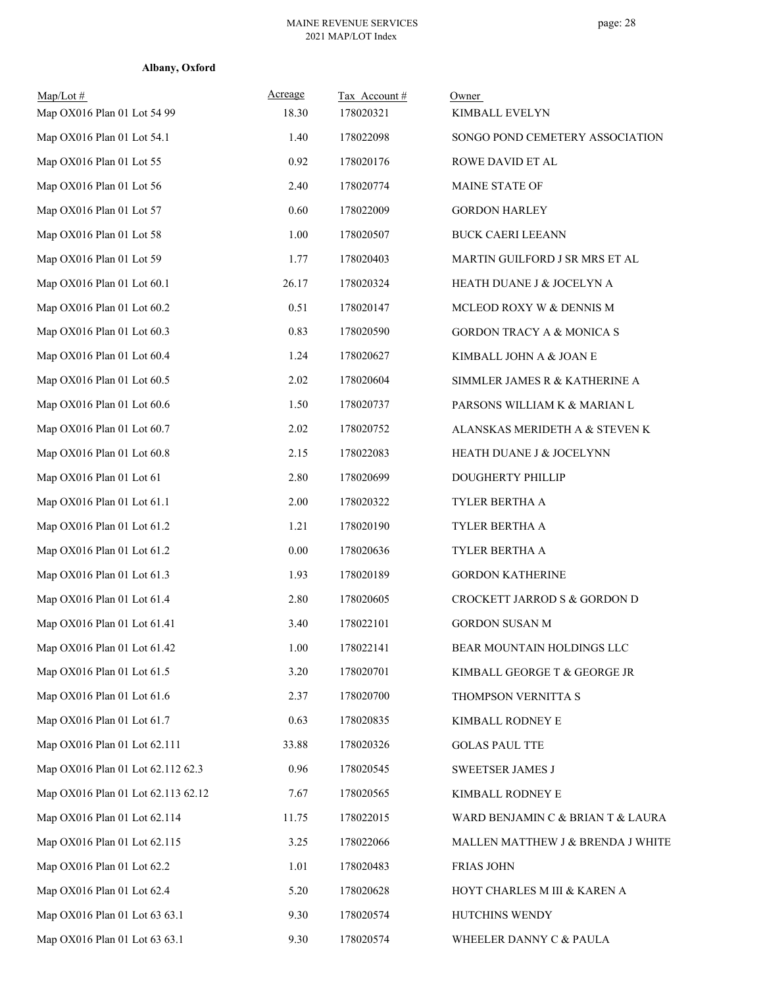| $Map/Lot \#$<br>Map OX016 Plan 01 Lot 54 99 | Acreage<br>18.30 | Tax Account#<br>178020321 | Owner<br>KIMBALL EVELYN              |
|---------------------------------------------|------------------|---------------------------|--------------------------------------|
| Map OX016 Plan 01 Lot 54.1                  | 1.40             | 178022098                 | SONGO POND CEMETERY ASSOCIATION      |
| Map OX016 Plan 01 Lot 55                    | 0.92             | 178020176                 | ROWE DAVID ET AL                     |
| Map OX016 Plan 01 Lot 56                    | 2.40             | 178020774                 | MAINE STATE OF                       |
| Map OX016 Plan 01 Lot 57                    | 0.60             | 178022009                 | <b>GORDON HARLEY</b>                 |
| Map OX016 Plan 01 Lot 58                    | 1.00             | 178020507                 | <b>BUCK CAERI LEEANN</b>             |
| Map OX016 Plan 01 Lot 59                    | 1.77             | 178020403                 | MARTIN GUILFORD J SR MRS ET AL       |
| Map OX016 Plan 01 Lot 60.1                  | 26.17            | 178020324                 | HEATH DUANE J & JOCELYN A            |
| Map OX016 Plan 01 Lot 60.2                  | 0.51             | 178020147                 | MCLEOD ROXY W & DENNIS M             |
| Map OX016 Plan 01 Lot 60.3                  | 0.83             | 178020590                 | <b>GORDON TRACY A &amp; MONICA S</b> |
| Map OX016 Plan 01 Lot 60.4                  | 1.24             | 178020627                 | KIMBALL JOHN A & JOAN E              |
| Map OX016 Plan 01 Lot 60.5                  | 2.02             | 178020604                 | SIMMLER JAMES R & KATHERINE A        |
| Map OX016 Plan 01 Lot 60.6                  | 1.50             | 178020737                 | PARSONS WILLIAM K & MARIAN L         |
| Map OX016 Plan 01 Lot 60.7                  | 2.02             | 178020752                 | ALANSKAS MERIDETH A & STEVEN K       |
| Map OX016 Plan 01 Lot 60.8                  | 2.15             | 178022083                 | HEATH DUANE J & JOCELYNN             |
| Map OX016 Plan 01 Lot 61                    | 2.80             | 178020699                 | DOUGHERTY PHILLIP                    |
| Map OX016 Plan 01 Lot 61.1                  | 2.00             | 178020322                 | TYLER BERTHA A                       |
| Map OX016 Plan 01 Lot 61.2                  | 1.21             | 178020190                 | TYLER BERTHA A                       |
| Map OX016 Plan 01 Lot 61.2                  | $0.00\,$         | 178020636                 | TYLER BERTHA A                       |
| Map OX016 Plan 01 Lot 61.3                  | 1.93             | 178020189                 | <b>GORDON KATHERINE</b>              |
| Map OX016 Plan 01 Lot 61.4                  | 2.80             | 178020605                 | CROCKETT JARROD S & GORDON D         |
| Map OX016 Plan 01 Lot 61.41                 | 3.40             | 178022101                 | <b>GORDON SUSAN M</b>                |
| Map OX016 Plan 01 Lot 61.42                 | 1.00             | 178022141                 | BEAR MOUNTAIN HOLDINGS LLC           |
| Map OX016 Plan 01 Lot 61.5                  | 3.20             | 178020701                 | KIMBALL GEORGE T & GEORGE JR         |
| Map OX016 Plan 01 Lot 61.6                  | 2.37             | 178020700                 | THOMPSON VERNITTA S                  |
| Map OX016 Plan 01 Lot 61.7                  | 0.63             | 178020835                 | KIMBALL RODNEY E                     |
| Map OX016 Plan 01 Lot 62.111                | 33.88            | 178020326                 | <b>GOLAS PAUL TTE</b>                |
| Map OX016 Plan 01 Lot 62.112 62.3           | 0.96             | 178020545                 | SWEETSER JAMES J                     |
| Map OX016 Plan 01 Lot 62.113 62.12          | 7.67             | 178020565                 | KIMBALL RODNEY E                     |
| Map OX016 Plan 01 Lot 62.114                | 11.75            | 178022015                 | WARD BENJAMIN C & BRIAN T & LAURA    |
| Map OX016 Plan 01 Lot 62.115                | 3.25             | 178022066                 | MALLEN MATTHEW J & BRENDA J WHITE    |
| Map OX016 Plan 01 Lot 62.2                  | 1.01             | 178020483                 | FRIAS JOHN                           |
| Map OX016 Plan 01 Lot 62.4                  | 5.20             | 178020628                 | HOYT CHARLES M III & KAREN A         |
| Map OX016 Plan 01 Lot 63 63.1               | 9.30             | 178020574                 | HUTCHINS WENDY                       |
| Map OX016 Plan 01 Lot 63 63.1               | 9.30             | 178020574                 | WHEELER DANNY C & PAULA              |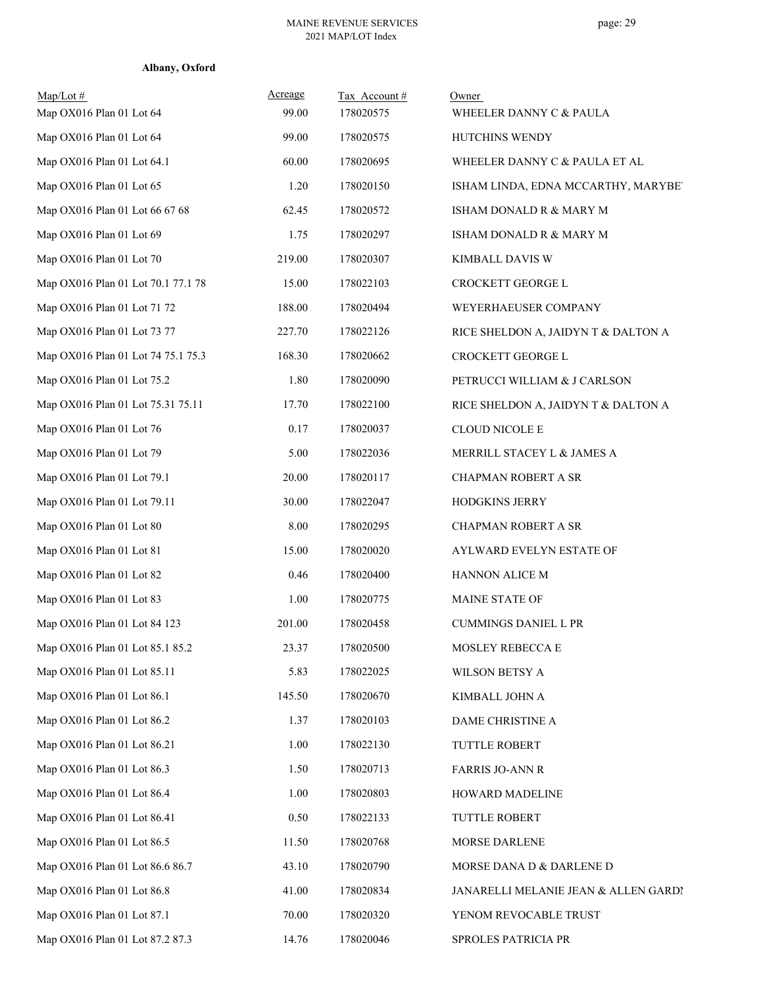| Albany, Oxford |  |
|----------------|--|
|----------------|--|

| $Map/Lot \#$<br>Map OX016 Plan 01 Lot 64 | Acreage<br>99.00 | Tax Account#<br>178020575 | Owner<br>WHEELER DANNY C & PAULA     |
|------------------------------------------|------------------|---------------------------|--------------------------------------|
| Map OX016 Plan 01 Lot 64                 | 99.00            | 178020575                 | HUTCHINS WENDY                       |
| Map OX016 Plan 01 Lot 64.1               | 60.00            | 178020695                 | WHEELER DANNY C & PAULA ET AL        |
| Map OX016 Plan 01 Lot 65                 | 1.20             | 178020150                 | ISHAM LINDA, EDNA MCCARTHY, MARYBET  |
| Map OX016 Plan 01 Lot 66 67 68           | 62.45            | 178020572                 | ISHAM DONALD R & MARY M              |
| Map OX016 Plan 01 Lot 69                 | 1.75             | 178020297                 | ISHAM DONALD R & MARY M              |
| Map OX016 Plan 01 Lot 70                 | 219.00           | 178020307                 | KIMBALL DAVIS W                      |
| Map OX016 Plan 01 Lot 70.1 77.1 78       | 15.00            | 178022103                 | CROCKETT GEORGE L                    |
| Map OX016 Plan 01 Lot 71 72              | 188.00           | 178020494                 | WEYERHAEUSER COMPANY                 |
| Map OX016 Plan 01 Lot 73 77              | 227.70           | 178022126                 | RICE SHELDON A, JAIDYN T & DALTON A  |
| Map OX016 Plan 01 Lot 74 75.1 75.3       | 168.30           | 178020662                 | CROCKETT GEORGE L                    |
| Map OX016 Plan 01 Lot 75.2               | 1.80             | 178020090                 | PETRUCCI WILLIAM & J CARLSON         |
| Map OX016 Plan 01 Lot 75.31 75.11        | 17.70            | 178022100                 | RICE SHELDON A, JAIDYN T & DALTON A  |
| Map OX016 Plan 01 Lot 76                 | 0.17             | 178020037                 | <b>CLOUD NICOLE E</b>                |
| Map OX016 Plan 01 Lot 79                 | 5.00             | 178022036                 | MERRILL STACEY L & JAMES A           |
| Map OX016 Plan 01 Lot 79.1               | 20.00            | 178020117                 | CHAPMAN ROBERT A SR                  |
| Map OX016 Plan 01 Lot 79.11              | 30.00            | 178022047                 | HODGKINS JERRY                       |
| Map OX016 Plan 01 Lot 80                 | 8.00             | 178020295                 | CHAPMAN ROBERT A SR                  |
| Map OX016 Plan 01 Lot 81                 | 15.00            | 178020020                 | AYLWARD EVELYN ESTATE OF             |
| Map OX016 Plan 01 Lot 82                 | 0.46             | 178020400                 | HANNON ALICE M                       |
| Map OX016 Plan 01 Lot 83                 | 1.00             | 178020775                 | MAINE STATE OF                       |
| Map OX016 Plan 01 Lot 84 123             | 201.00           | 178020458                 | <b>CUMMINGS DANIEL L PR</b>          |
| Map OX016 Plan 01 Lot 85.1 85.2          | 23.37            | 178020500                 | MOSLEY REBECCA E                     |
| Map OX016 Plan 01 Lot 85.11              | 5.83             | 178022025                 | WILSON BETSY A                       |
| Map OX016 Plan 01 Lot 86.1               | 145.50           | 178020670                 | KIMBALL JOHN A                       |
| Map OX016 Plan 01 Lot 86.2               | 1.37             | 178020103                 | DAME CHRISTINE A                     |
| Map OX016 Plan 01 Lot 86.21              | 1.00             | 178022130                 | TUTTLE ROBERT                        |
| Map OX016 Plan 01 Lot 86.3               | 1.50             | 178020713                 | <b>FARRIS JO-ANN R</b>               |
| Map OX016 Plan 01 Lot 86.4               | 1.00             | 178020803                 | HOWARD MADELINE                      |
| Map OX016 Plan 01 Lot 86.41              | 0.50             | 178022133                 | TUTTLE ROBERT                        |
| Map OX016 Plan 01 Lot 86.5               | 11.50            | 178020768                 | MORSE DARLENE                        |
| Map OX016 Plan 01 Lot 86.6 86.7          | 43.10            | 178020790                 | MORSE DANA D & DARLENE D             |
| Map OX016 Plan 01 Lot 86.8               | 41.00            | 178020834                 | JANARELLI MELANIE JEAN & ALLEN GARDI |
| Map OX016 Plan 01 Lot 87.1               | 70.00            | 178020320                 | YENOM REVOCABLE TRUST                |
| Map OX016 Plan 01 Lot 87.2 87.3          | 14.76            | 178020046                 | SPROLES PATRICIA PR                  |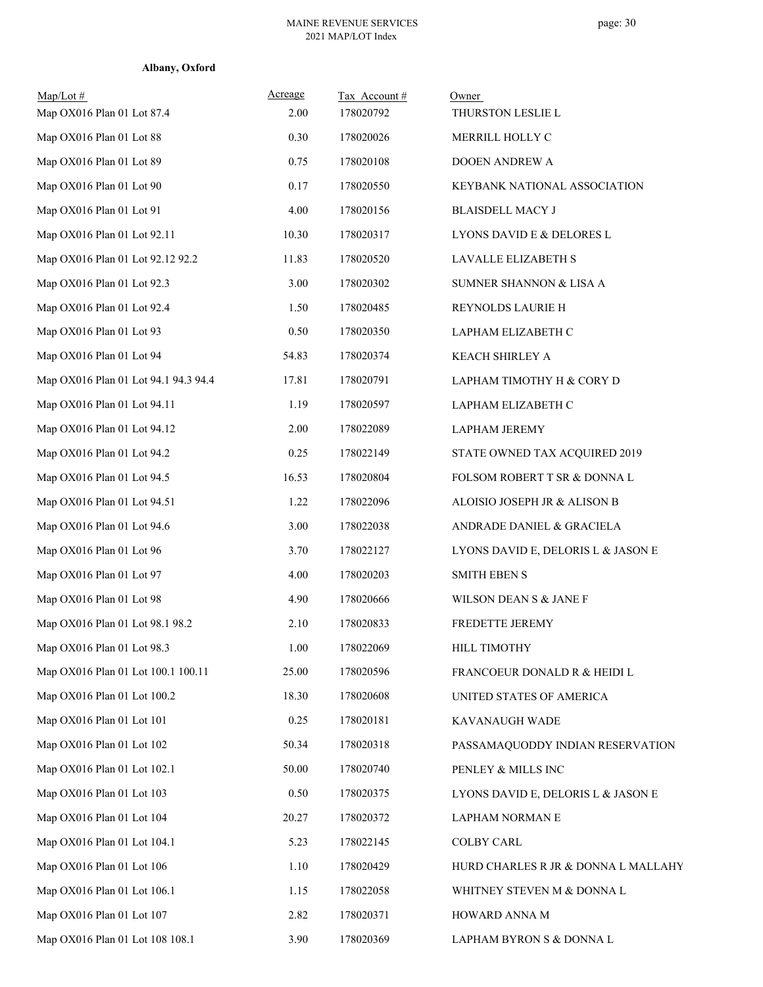| Albany, Oxford |
|----------------|
|                |

| $Map/Lot \#$<br>Map OX016 Plan 01 Lot 87.4 | Acreage<br>2.00 | Tax Account#<br>178020792 | Owner<br>THURSTON LESLIE L          |
|--------------------------------------------|-----------------|---------------------------|-------------------------------------|
| Map OX016 Plan 01 Lot 88                   | 0.30            | 178020026                 | MERRILL HOLLY C                     |
| Map OX016 Plan 01 Lot 89                   | 0.75            | 178020108                 | DOOEN ANDREW A                      |
| Map OX016 Plan 01 Lot 90                   | 0.17            | 178020550                 | KEYBANK NATIONAL ASSOCIATION        |
| Map OX016 Plan 01 Lot 91                   | 4.00            | 178020156                 | <b>BLAISDELL MACY J</b>             |
| Map OX016 Plan 01 Lot 92.11                | 10.30           | 178020317                 | LYONS DAVID E & DELORES L           |
| Map OX016 Plan 01 Lot 92.12 92.2           | 11.83           | 178020520                 | LAVALLE ELIZABETH S                 |
| Map OX016 Plan 01 Lot 92.3                 | 3.00            | 178020302                 | SUMNER SHANNON & LISA A             |
| Map OX016 Plan 01 Lot 92.4                 | 1.50            | 178020485                 | REYNOLDS LAURIE H                   |
| Map OX016 Plan 01 Lot 93                   | 0.50            | 178020350                 | LAPHAM ELIZABETH C                  |
| Map OX016 Plan 01 Lot 94                   | 54.83           | 178020374                 | KEACH SHIRLEY A                     |
| Map OX016 Plan 01 Lot 94.1 94.3 94.4       | 17.81           | 178020791                 | LAPHAM TIMOTHY H & CORY D           |
| Map OX016 Plan 01 Lot 94.11                | 1.19            | 178020597                 | LAPHAM ELIZABETH C                  |
| Map OX016 Plan 01 Lot 94.12                | 2.00            | 178022089                 | <b>LAPHAM JEREMY</b>                |
| Map OX016 Plan 01 Lot 94.2                 | 0.25            | 178022149                 | STATE OWNED TAX ACQUIRED 2019       |
| Map OX016 Plan 01 Lot 94.5                 | 16.53           | 178020804                 | FOLSOM ROBERT T SR & DONNA L        |
| Map OX016 Plan 01 Lot 94.51                | 1.22            | 178022096                 | ALOISIO JOSEPH JR & ALISON B        |
| Map OX016 Plan 01 Lot 94.6                 | 3.00            | 178022038                 | ANDRADE DANIEL & GRACIELA           |
| Map OX016 Plan 01 Lot 96                   | 3.70            | 178022127                 | LYONS DAVID E, DELORIS L & JASON E  |
| Map OX016 Plan 01 Lot 97                   | 4.00            | 178020203                 | <b>SMITH EBEN S</b>                 |
| Map OX016 Plan 01 Lot 98                   | 4.90            | 178020666                 | WILSON DEAN S & JANE F              |
| Map OX016 Plan 01 Lot 98.1 98.2            | 2.10            | 178020833                 | FREDETTE JEREMY                     |
| Map OX016 Plan 01 Lot 98.3                 | 1.00            | 178022069                 | HILL TIMOTHY                        |
| Map OX016 Plan 01 Lot 100.1 100.11         | 25.00           | 178020596                 | FRANCOEUR DONALD R & HEIDI L        |
| Map OX016 Plan 01 Lot 100.2                | 18.30           | 178020608                 | UNITED STATES OF AMERICA            |
| Map OX016 Plan 01 Lot 101                  | 0.25            | 178020181                 | KAVANAUGH WADE                      |
| Map OX016 Plan 01 Lot 102                  | 50.34           | 178020318                 | PASSAMAQUODDY INDIAN RESERVATION    |
| Map OX016 Plan 01 Lot 102.1                | 50.00           | 178020740                 | PENLEY & MILLS INC                  |
| Map OX016 Plan 01 Lot 103                  | 0.50            | 178020375                 | LYONS DAVID E, DELORIS L & JASON E  |
| Map OX016 Plan 01 Lot 104                  | 20.27           | 178020372                 | LAPHAM NORMAN E                     |
| Map OX016 Plan 01 Lot 104.1                | 5.23            | 178022145                 | <b>COLBY CARL</b>                   |
| Map OX016 Plan 01 Lot 106                  | 1.10            | 178020429                 | HURD CHARLES R JR & DONNA L MALLAHY |
| Map OX016 Plan 01 Lot 106.1                | 1.15            | 178022058                 | WHITNEY STEVEN M & DONNA L          |
| Map OX016 Plan 01 Lot 107                  | 2.82            | 178020371                 | HOWARD ANNA M                       |
| Map OX016 Plan 01 Lot 108 108.1            | 3.90            | 178020369                 | LAPHAM BYRON S & DONNA L            |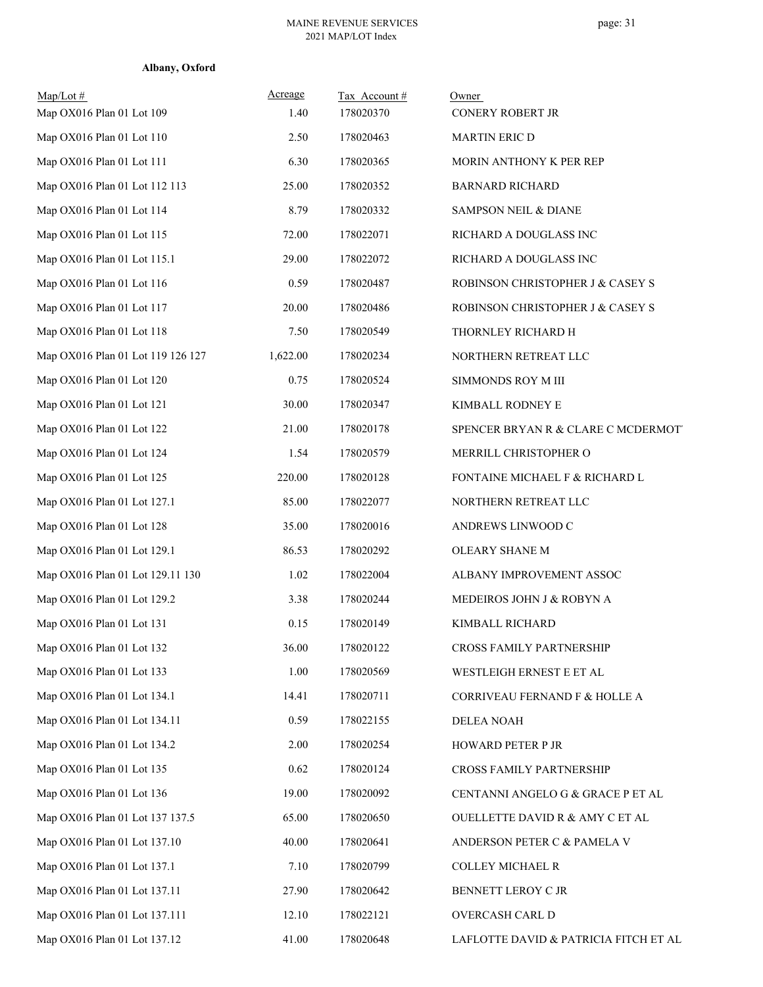| Map/Lot #<br>Map OX016 Plan 01 Lot 109 | Acreage<br>1.40 | Tax Account#<br>178020370 | Owner<br><b>CONERY ROBERT JR</b>           |
|----------------------------------------|-----------------|---------------------------|--------------------------------------------|
| Map OX016 Plan 01 Lot 110              | 2.50            | 178020463                 | <b>MARTIN ERIC D</b>                       |
| Map OX016 Plan 01 Lot 111              | 6.30            | 178020365                 | MORIN ANTHONY K PER REP                    |
| Map OX016 Plan 01 Lot 112 113          | 25.00           | 178020352                 | <b>BARNARD RICHARD</b>                     |
| Map OX016 Plan 01 Lot 114              | 8.79            | 178020332                 | SAMPSON NEIL & DIANE                       |
| Map OX016 Plan 01 Lot 115              | 72.00           | 178022071                 | RICHARD A DOUGLASS INC                     |
| Map OX016 Plan 01 Lot 115.1            | 29.00           | 178022072                 | RICHARD A DOUGLASS INC                     |
| Map OX016 Plan 01 Lot 116              | 0.59            | 178020487                 | ROBINSON CHRISTOPHER J & CASEY S           |
| Map OX016 Plan 01 Lot 117              | 20.00           | 178020486                 | ROBINSON CHRISTOPHER J & CASEY S           |
| Map OX016 Plan 01 Lot 118              | 7.50            | 178020549                 | THORNLEY RICHARD H                         |
| Map OX016 Plan 01 Lot 119 126 127      | 1,622.00        | 178020234                 | NORTHERN RETREAT LLC                       |
| Map OX016 Plan 01 Lot 120              | 0.75            | 178020524                 | SIMMONDS ROY M III                         |
| Map OX016 Plan 01 Lot 121              | 30.00           | 178020347                 | KIMBALL RODNEY E                           |
| Map OX016 Plan 01 Lot 122              | 21.00           | 178020178                 | SPENCER BRYAN R & CLARE C MCDERMOT         |
| Map OX016 Plan 01 Lot 124              | 1.54            | 178020579                 | MERRILL CHRISTOPHER O                      |
| Map OX016 Plan 01 Lot 125              | 220.00          | 178020128                 | FONTAINE MICHAEL F & RICHARD L             |
| Map OX016 Plan 01 Lot 127.1            | 85.00           | 178022077                 | NORTHERN RETREAT LLC                       |
| Map OX016 Plan 01 Lot 128              | 35.00           | 178020016                 | ANDREWS LINWOOD C                          |
| Map OX016 Plan 01 Lot 129.1            | 86.53           | 178020292                 | OLEARY SHANE M                             |
| Map OX016 Plan 01 Lot 129.11 130       | 1.02            | 178022004                 | ALBANY IMPROVEMENT ASSOC                   |
| Map OX016 Plan 01 Lot 129.2            | 3.38            | 178020244                 | MEDEIROS JOHN J & ROBYN A                  |
| Map OX016 Plan 01 Lot 131              | 0.15            | 178020149                 | KIMBALL RICHARD                            |
| Map OX016 Plan 01 Lot 132              | 36.00           | 178020122                 | CROSS FAMILY PARTNERSHIP                   |
| Map OX016 Plan 01 Lot 133              | 1.00            | 178020569                 | WESTLEIGH ERNEST E ET AL                   |
| Map OX016 Plan 01 Lot 134.1            | 14.41           | 178020711                 | CORRIVEAU FERNAND F & HOLLE A              |
| Map OX016 Plan 01 Lot 134.11           | 0.59            | 178022155                 | <b>DELEA NOAH</b>                          |
| Map OX016 Plan 01 Lot 134.2            | 2.00            | 178020254                 | <b>HOWARD PETER P JR</b>                   |
| Map OX016 Plan 01 Lot 135              | 0.62            | 178020124                 | CROSS FAMILY PARTNERSHIP                   |
| Map OX016 Plan 01 Lot 136              | 19.00           | 178020092                 | CENTANNI ANGELO G & GRACE P ET AL          |
| Map OX016 Plan 01 Lot 137 137.5        | 65.00           | 178020650                 | <b>OUELLETTE DAVID R &amp; AMY C ET AL</b> |
| Map OX016 Plan 01 Lot 137.10           | 40.00           | 178020641                 | ANDERSON PETER C & PAMELA V                |
| Map OX016 Plan 01 Lot 137.1            | 7.10            | 178020799                 | COLLEY MICHAEL R                           |
| Map OX016 Plan 01 Lot 137.11           | 27.90           | 178020642                 | BENNETT LEROY C JR                         |
| Map OX016 Plan 01 Lot 137.111          | 12.10           | 178022121                 | OVERCASH CARL D                            |
| Map OX016 Plan 01 Lot 137.12           | 41.00           | 178020648                 | LAFLOTTE DAVID & PATRICIA FITCH ET AL      |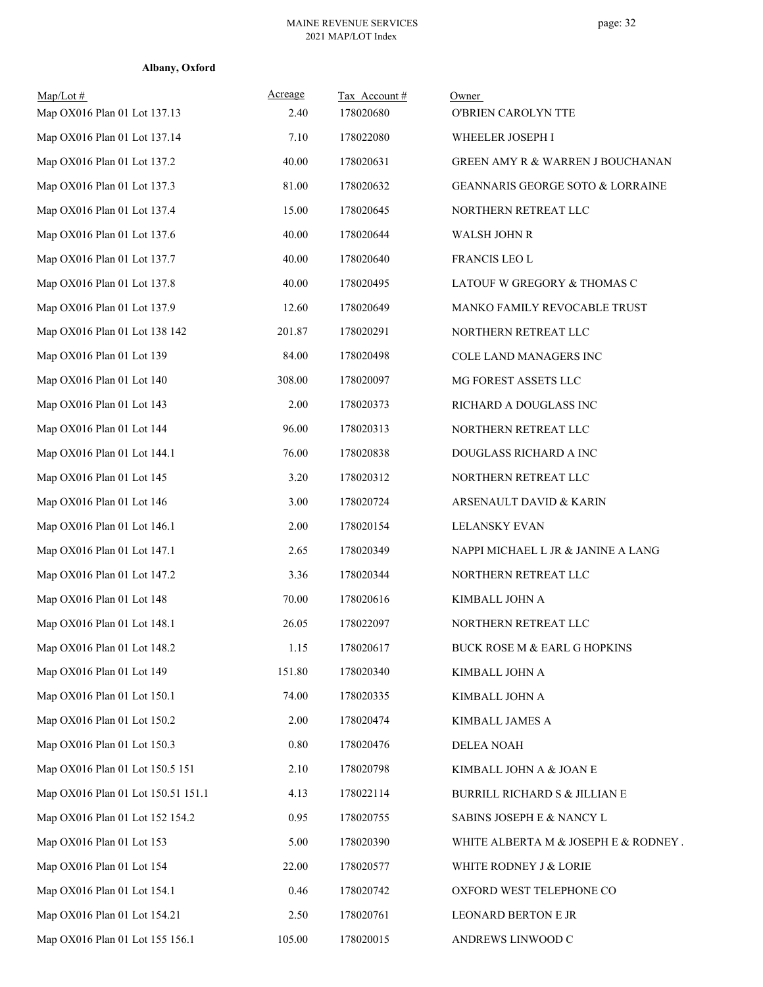| $Map/Lot \#$<br>Map OX016 Plan 01 Lot 137.13 | Acreage<br>2.40 | Tax Account#<br>178020680 | Owner<br>O'BRIEN CAROLYN TTE         |
|----------------------------------------------|-----------------|---------------------------|--------------------------------------|
| Map OX016 Plan 01 Lot 137.14                 | 7.10            | 178022080                 | WHEELER JOSEPH I                     |
| Map OX016 Plan 01 Lot 137.2                  | 40.00           | 178020631                 | GREEN AMY R & WARREN J BOUCHANAN     |
| Map OX016 Plan 01 Lot 137.3                  | 81.00           | 178020632                 | GEANNARIS GEORGE SOTO & LORRAINE     |
| Map OX016 Plan 01 Lot 137.4                  | 15.00           | 178020645                 | NORTHERN RETREAT LLC                 |
| Map OX016 Plan 01 Lot 137.6                  | 40.00           | 178020644                 | <b>WALSH JOHN R</b>                  |
| Map OX016 Plan 01 Lot 137.7                  | 40.00           | 178020640                 | FRANCIS LEO L                        |
| Map OX016 Plan 01 Lot 137.8                  | 40.00           | 178020495                 | LATOUF W GREGORY & THOMAS C          |
| Map OX016 Plan 01 Lot 137.9                  | 12.60           | 178020649                 | MANKO FAMILY REVOCABLE TRUST         |
| Map OX016 Plan 01 Lot 138 142                | 201.87          | 178020291                 | NORTHERN RETREAT LLC                 |
| Map OX016 Plan 01 Lot 139                    | 84.00           | 178020498                 | COLE LAND MANAGERS INC               |
| Map OX016 Plan 01 Lot 140                    | 308.00          | 178020097                 | MG FOREST ASSETS LLC                 |
| Map OX016 Plan 01 Lot 143                    | 2.00            | 178020373                 | RICHARD A DOUGLASS INC               |
| Map OX016 Plan 01 Lot 144                    | 96.00           | 178020313                 | NORTHERN RETREAT LLC                 |
| Map OX016 Plan 01 Lot 144.1                  | 76.00           | 178020838                 | DOUGLASS RICHARD A INC               |
| Map OX016 Plan 01 Lot 145                    | 3.20            | 178020312                 | NORTHERN RETREAT LLC                 |
| Map OX016 Plan 01 Lot 146                    | 3.00            | 178020724                 | ARSENAULT DAVID & KARIN              |
| Map OX016 Plan 01 Lot 146.1                  | 2.00            | 178020154                 | <b>LELANSKY EVAN</b>                 |
| Map OX016 Plan 01 Lot 147.1                  | 2.65            | 178020349                 | NAPPI MICHAEL L JR & JANINE A LANG   |
| Map OX016 Plan 01 Lot 147.2                  | 3.36            | 178020344                 | NORTHERN RETREAT LLC                 |
| Map OX016 Plan 01 Lot 148                    | 70.00           | 178020616                 | KIMBALL JOHN A                       |
| Map OX016 Plan 01 Lot 148.1                  | 26.05           | 178022097                 | NORTHERN RETREAT LLC                 |
| Map OX016 Plan 01 Lot 148.2                  | 1.15            | 178020617                 | BUCK ROSE M & EARL G HOPKINS         |
| Map OX016 Plan 01 Lot 149                    | 151.80          | 178020340                 | KIMBALL JOHN A                       |
| Map OX016 Plan 01 Lot 150.1                  | 74.00           | 178020335                 | KIMBALL JOHN A                       |
| Map OX016 Plan 01 Lot 150.2                  | 2.00            | 178020474                 | KIMBALL JAMES A                      |
| Map OX016 Plan 01 Lot 150.3                  | 0.80            | 178020476                 | <b>DELEA NOAH</b>                    |
| Map OX016 Plan 01 Lot 150.5 151              | 2.10            | 178020798                 | KIMBALL JOHN A & JOAN E              |
| Map OX016 Plan 01 Lot 150.51 151.1           | 4.13            | 178022114                 | BURRILL RICHARD S & JILLIAN E        |
| Map OX016 Plan 01 Lot 152 154.2              | 0.95            | 178020755                 | SABINS JOSEPH E & NANCY L            |
| Map OX016 Plan 01 Lot 153                    | 5.00            | 178020390                 | WHITE ALBERTA M & JOSEPH E & RODNEY. |
| Map OX016 Plan 01 Lot 154                    | 22.00           | 178020577                 | WHITE RODNEY J & LORIE               |
| Map OX016 Plan 01 Lot 154.1                  | 0.46            | 178020742                 | OXFORD WEST TELEPHONE CO             |
| Map OX016 Plan 01 Lot 154.21                 | 2.50            | 178020761                 | LEONARD BERTON E JR                  |
| Map OX016 Plan 01 Lot 155 156.1              | 105.00          | 178020015                 | ANDREWS LINWOOD C                    |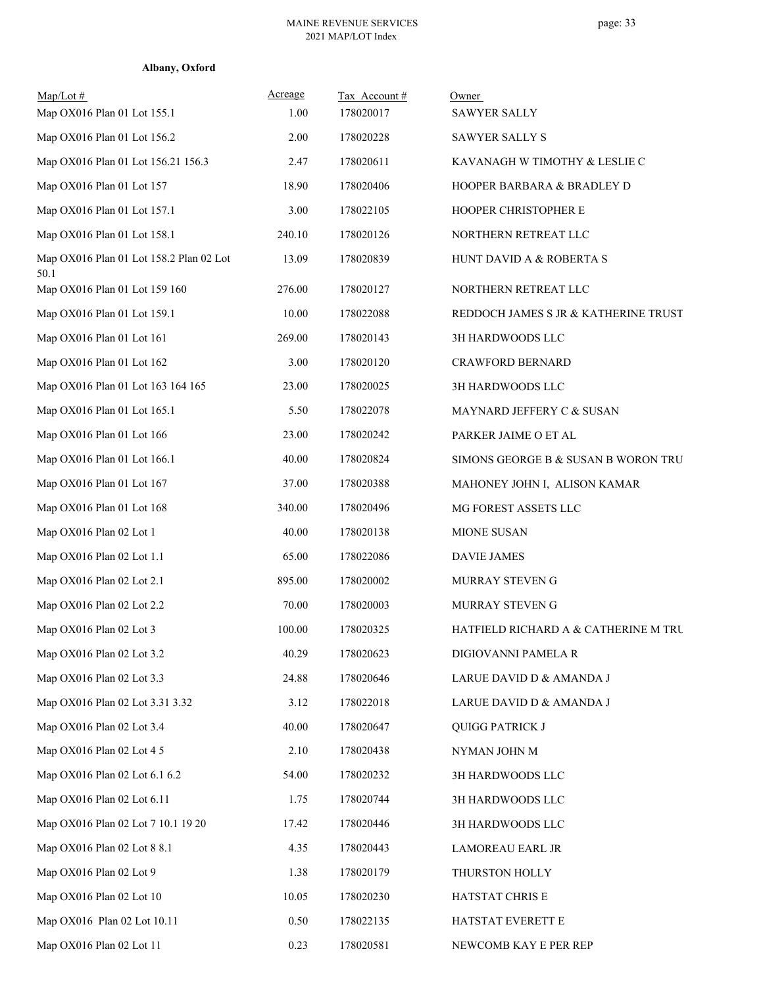| Albany, Oxford |  |
|----------------|--|
|----------------|--|

| $Map/Lot \#$<br>Map OX016 Plan 01 Lot 155.1     | Acreage<br>1.00 | Tax Account#<br>178020017 | Owner<br><b>SAWYER SALLY</b>         |
|-------------------------------------------------|-----------------|---------------------------|--------------------------------------|
| Map OX016 Plan 01 Lot 156.2                     | 2.00            | 178020228                 | SAWYER SALLY S                       |
| Map OX016 Plan 01 Lot 156.21 156.3              | 2.47            | 178020611                 | KAVANAGH W TIMOTHY & LESLIE C        |
| Map OX016 Plan 01 Lot 157                       | 18.90           | 178020406                 | HOOPER BARBARA & BRADLEY D           |
| Map OX016 Plan 01 Lot 157.1                     | 3.00            | 178022105                 | HOOPER CHRISTOPHER E                 |
| Map OX016 Plan 01 Lot 158.1                     | 240.10          | 178020126                 | NORTHERN RETREAT LLC                 |
| Map OX016 Plan 01 Lot 158.2 Plan 02 Lot<br>50.1 | 13.09           | 178020839                 | HUNT DAVID A & ROBERTA S             |
| Map OX016 Plan 01 Lot 159 160                   | 276.00          | 178020127                 | NORTHERN RETREAT LLC                 |
| Map OX016 Plan 01 Lot 159.1                     | 10.00           | 178022088                 | REDDOCH JAMES S JR & KATHERINE TRUST |
| Map OX016 Plan 01 Lot 161                       | 269.00          | 178020143                 | 3H HARDWOODS LLC                     |
| Map OX016 Plan 01 Lot 162                       | 3.00            | 178020120                 | <b>CRAWFORD BERNARD</b>              |
| Map OX016 Plan 01 Lot 163 164 165               | 23.00           | 178020025                 | 3H HARDWOODS LLC                     |
| Map OX016 Plan 01 Lot 165.1                     | 5.50            | 178022078                 | MAYNARD JEFFERY C & SUSAN            |
| Map OX016 Plan 01 Lot 166                       | 23.00           | 178020242                 | PARKER JAIME O ET AL                 |
| Map OX016 Plan 01 Lot 166.1                     | 40.00           | 178020824                 | SIMONS GEORGE B & SUSAN B WORON TRU  |
| Map OX016 Plan 01 Lot 167                       | 37.00           | 178020388                 | MAHONEY JOHN I, ALISON KAMAR         |
| Map OX016 Plan 01 Lot 168                       | 340.00          | 178020496                 | MG FOREST ASSETS LLC                 |
| Map OX016 Plan 02 Lot 1                         | 40.00           | 178020138                 | MIONE SUSAN                          |
| Map OX016 Plan 02 Lot 1.1                       | 65.00           | 178022086                 | <b>DAVIE JAMES</b>                   |
| Map OX016 Plan 02 Lot 2.1                       | 895.00          | 178020002                 | MURRAY STEVEN G                      |
| Map OX016 Plan 02 Lot 2.2                       | 70.00           | 178020003                 | MURRAY STEVEN G                      |
| Map OX016 Plan 02 Lot 3                         | 100.00          | 178020325                 | HATFIELD RICHARD A & CATHERINE M TRU |
| Map OX016 Plan 02 Lot 3.2                       | 40.29           | 178020623                 | DIGIOVANNI PAMELA R                  |
| Map OX016 Plan 02 Lot 3.3                       | 24.88           | 178020646                 | LARUE DAVID D & AMANDA J             |
| Map OX016 Plan 02 Lot 3.31 3.32                 | 3.12            | 178022018                 | LARUE DAVID D & AMANDA J             |
| Map OX016 Plan 02 Lot 3.4                       | 40.00           | 178020647                 | <b>QUIGG PATRICK J</b>               |
| Map OX016 Plan 02 Lot 4 5                       | 2.10            | 178020438                 | NYMAN JOHN M                         |
| Map OX016 Plan 02 Lot 6.1 6.2                   | 54.00           | 178020232                 | 3H HARDWOODS LLC                     |
| Map OX016 Plan 02 Lot 6.11                      | 1.75            | 178020744                 | 3H HARDWOODS LLC                     |
| Map OX016 Plan 02 Lot 7 10.1 19 20              | 17.42           | 178020446                 | 3H HARDWOODS LLC                     |
| Map OX016 Plan 02 Lot 8 8.1                     | 4.35            | 178020443                 | LAMOREAU EARL JR                     |
| Map OX016 Plan 02 Lot 9                         | 1.38            | 178020179                 | THURSTON HOLLY                       |
| Map OX016 Plan 02 Lot 10                        | 10.05           | 178020230                 | HATSTAT CHRIS E                      |
| Map OX016 Plan 02 Lot 10.11                     | 0.50            | 178022135                 | HATSTAT EVERETT E                    |
| Map OX016 Plan 02 Lot 11                        | 0.23            | 178020581                 | NEWCOMB KAY E PER REP                |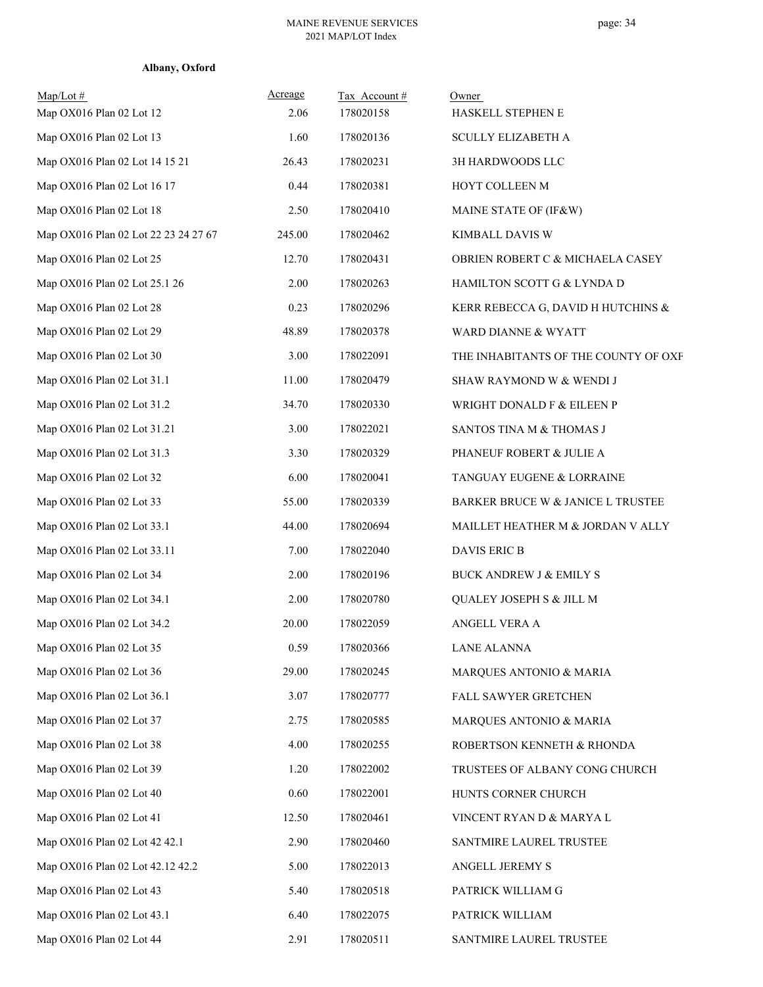| $Map/Lot \#$<br>Map OX016 Plan 02 Lot 12 | Acreage<br>2.06 | Tax Account#<br>178020158 | Owner<br>HASKELL STEPHEN E           |
|------------------------------------------|-----------------|---------------------------|--------------------------------------|
| Map OX016 Plan 02 Lot 13                 | 1.60            | 178020136                 | <b>SCULLY ELIZABETH A</b>            |
| Map OX016 Plan 02 Lot 14 15 21           | 26.43           | 178020231                 | 3H HARDWOODS LLC                     |
| Map OX016 Plan 02 Lot 16 17              | 0.44            | 178020381                 | HOYT COLLEEN M                       |
| Map OX016 Plan 02 Lot 18                 | 2.50            | 178020410                 | MAINE STATE OF (IF&W)                |
| Map OX016 Plan 02 Lot 22 23 24 27 67     | 245.00          | 178020462                 | KIMBALL DAVIS W                      |
| Map OX016 Plan 02 Lot 25                 | 12.70           | 178020431                 | OBRIEN ROBERT C & MICHAELA CASEY     |
| Map OX016 Plan 02 Lot 25.1 26            | 2.00            | 178020263                 | HAMILTON SCOTT G & LYNDA D           |
| Map OX016 Plan 02 Lot 28                 | 0.23            | 178020296                 | KERR REBECCA G, DAVID H HUTCHINS &   |
| Map OX016 Plan 02 Lot 29                 | 48.89           | 178020378                 | WARD DIANNE & WYATT                  |
| Map OX016 Plan 02 Lot 30                 | 3.00            | 178022091                 | THE INHABITANTS OF THE COUNTY OF OXF |
| Map OX016 Plan 02 Lot 31.1               | 11.00           | 178020479                 | SHAW RAYMOND W & WENDI J             |
| Map OX016 Plan 02 Lot 31.2               | 34.70           | 178020330                 | WRIGHT DONALD F & EILEEN P           |
| Map OX016 Plan 02 Lot 31.21              | 3.00            | 178022021                 | SANTOS TINA M & THOMAS J             |
| Map OX016 Plan 02 Lot 31.3               | 3.30            | 178020329                 | PHANEUF ROBERT & JULIE A             |
| Map OX016 Plan 02 Lot 32                 | 6.00            | 178020041                 | TANGUAY EUGENE & LORRAINE            |
| Map OX016 Plan 02 Lot 33                 | 55.00           | 178020339                 | BARKER BRUCE W & JANICE L TRUSTEE    |
| Map OX016 Plan 02 Lot 33.1               | 44.00           | 178020694                 | MAILLET HEATHER M & JORDAN V ALLY    |
| Map OX016 Plan 02 Lot 33.11              | 7.00            | 178022040                 | DAVIS ERIC B                         |
| Map OX016 Plan 02 Lot 34                 | 2.00            | 178020196                 | <b>BUCK ANDREW J &amp; EMILY S</b>   |
| Map OX016 Plan 02 Lot 34.1               | 2.00            | 178020780                 | QUALEY JOSEPH S & JILL M             |
| Map OX016 Plan 02 Lot 34.2               | 20.00           | 178022059                 | ANGELL VERA A                        |
| Map OX016 Plan 02 Lot 35                 | 0.59            | 178020366                 | <b>LANE ALANNA</b>                   |
| Map OX016 Plan 02 Lot 36                 | 29.00           | 178020245                 | MARQUES ANTONIO & MARIA              |
| Map OX016 Plan 02 Lot 36.1               | 3.07            | 178020777                 | FALL SAWYER GRETCHEN                 |
| Map OX016 Plan 02 Lot 37                 | 2.75            | 178020585                 | MARQUES ANTONIO & MARIA              |
| Map OX016 Plan 02 Lot 38                 | 4.00            | 178020255                 | ROBERTSON KENNETH & RHONDA           |
| Map OX016 Plan 02 Lot 39                 | 1.20            | 178022002                 | TRUSTEES OF ALBANY CONG CHURCH       |
| Map OX016 Plan 02 Lot 40                 | 0.60            | 178022001                 | HUNTS CORNER CHURCH                  |
| Map OX016 Plan 02 Lot 41                 | 12.50           | 178020461                 | VINCENT RYAN D & MARYA L             |
| Map OX016 Plan 02 Lot 42 42.1            | 2.90            | 178020460                 | SANTMIRE LAUREL TRUSTEE              |
| Map OX016 Plan 02 Lot 42.12 42.2         | 5.00            | 178022013                 | ANGELL JEREMY S                      |
| Map OX016 Plan 02 Lot 43                 | 5.40            | 178020518                 | PATRICK WILLIAM G                    |
| Map OX016 Plan 02 Lot 43.1               | 6.40            | 178022075                 | PATRICK WILLIAM                      |
| Map OX016 Plan 02 Lot 44                 | 2.91            | 178020511                 | SANTMIRE LAUREL TRUSTEE              |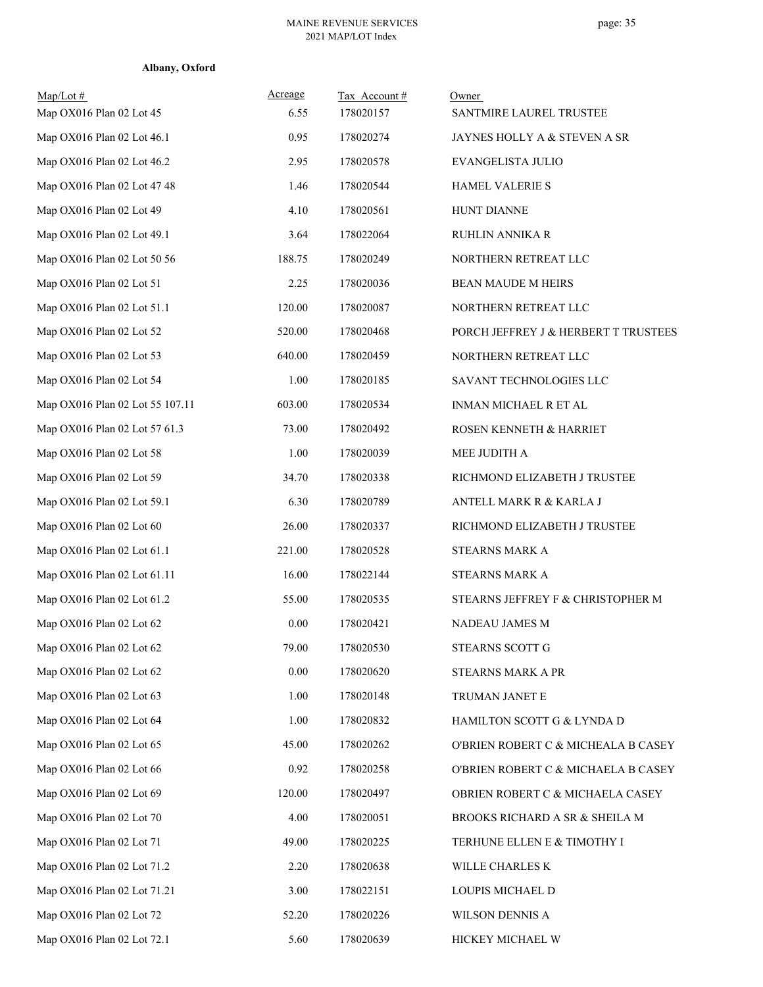| Albany, Oxford |
|----------------|
|                |

| $Map/Lot \#$<br>Map OX016 Plan 02 Lot 45 | Acreage<br>6.55 | Tax Account#<br>178020157 | Owner<br>SANTMIRE LAUREL TRUSTEE     |
|------------------------------------------|-----------------|---------------------------|--------------------------------------|
| Map OX016 Plan 02 Lot 46.1               | 0.95            | 178020274                 | JAYNES HOLLY A & STEVEN A SR         |
| Map OX016 Plan 02 Lot 46.2               | 2.95            | 178020578                 | EVANGELISTA JULIO                    |
| Map OX016 Plan 02 Lot 47 48              | 1.46            | 178020544                 | <b>HAMEL VALERIE S</b>               |
| Map OX016 Plan 02 Lot 49                 | 4.10            | 178020561                 | <b>HUNT DIANNE</b>                   |
| Map OX016 Plan 02 Lot 49.1               | 3.64            | 178022064                 | <b>RUHLIN ANNIKA R</b>               |
| Map OX016 Plan 02 Lot 50 56              | 188.75          | 178020249                 | NORTHERN RETREAT LLC                 |
| Map OX016 Plan 02 Lot 51                 | 2.25            | 178020036                 | BEAN MAUDE M HEIRS                   |
| Map OX016 Plan 02 Lot 51.1               | 120.00          | 178020087                 | NORTHERN RETREAT LLC                 |
| Map OX016 Plan 02 Lot 52                 | 520.00          | 178020468                 | PORCH JEFFREY J & HERBERT T TRUSTEES |
| Map OX016 Plan 02 Lot 53                 | 640.00          | 178020459                 | NORTHERN RETREAT LLC                 |
| Map OX016 Plan 02 Lot 54                 | 1.00            | 178020185                 | SAVANT TECHNOLOGIES LLC              |
| Map OX016 Plan 02 Lot 55 107.11          | 603.00          | 178020534                 | INMAN MICHAEL R ET AL                |
| Map OX016 Plan 02 Lot 57 61.3            | 73.00           | 178020492                 | ROSEN KENNETH & HARRIET              |
| Map OX016 Plan 02 Lot 58                 | 1.00            | 178020039                 | MEE JUDITH A                         |
| Map OX016 Plan 02 Lot 59                 | 34.70           | 178020338                 | RICHMOND ELIZABETH J TRUSTEE         |
| Map OX016 Plan 02 Lot 59.1               | 6.30            | 178020789                 | ANTELL MARK R & KARLA J              |
| Map OX016 Plan 02 Lot 60                 | 26.00           | 178020337                 | RICHMOND ELIZABETH J TRUSTEE         |
| Map OX016 Plan 02 Lot 61.1               | 221.00          | 178020528                 | STEARNS MARK A                       |
| Map OX016 Plan 02 Lot 61.11              | 16.00           | 178022144                 | STEARNS MARK A                       |
| Map OX016 Plan 02 Lot 61.2               | 55.00           | 178020535                 | STEARNS JEFFREY F & CHRISTOPHER M    |
| Map OX016 Plan 02 Lot 62                 | 0.00            | 178020421                 | NADEAU JAMES M                       |
| Map OX016 Plan 02 Lot 62                 | 79.00           | 178020530                 | STEARNS SCOTT G                      |
| Map OX016 Plan 02 Lot 62                 | $0.00\,$        | 178020620                 | STEARNS MARK A PR                    |
| Map OX016 Plan 02 Lot 63                 | 1.00            | 178020148                 | TRUMAN JANET E                       |
| Map OX016 Plan 02 Lot 64                 | 1.00            | 178020832                 | HAMILTON SCOTT G & LYNDA D           |
| Map OX016 Plan 02 Lot 65                 | 45.00           | 178020262                 | O'BRIEN ROBERT C & MICHEALA B CASEY  |
| Map OX016 Plan 02 Lot 66                 | 0.92            | 178020258                 | O'BRIEN ROBERT C & MICHAELA B CASEY  |
| Map OX016 Plan 02 Lot 69                 | 120.00          | 178020497                 | OBRIEN ROBERT C & MICHAELA CASEY     |
| Map OX016 Plan 02 Lot 70                 | 4.00            | 178020051                 | BROOKS RICHARD A SR & SHEILA M       |
| Map OX016 Plan 02 Lot 71                 | 49.00           | 178020225                 | TERHUNE ELLEN E & TIMOTHY I          |
| Map OX016 Plan 02 Lot 71.2               | 2.20            | 178020638                 | WILLE CHARLES K                      |
| Map OX016 Plan 02 Lot 71.21              | 3.00            | 178022151                 | LOUPIS MICHAEL D                     |
| Map OX016 Plan 02 Lot 72                 | 52.20           | 178020226                 | WILSON DENNIS A                      |
| Map OX016 Plan 02 Lot 72.1               | 5.60            | 178020639                 | HICKEY MICHAEL W                     |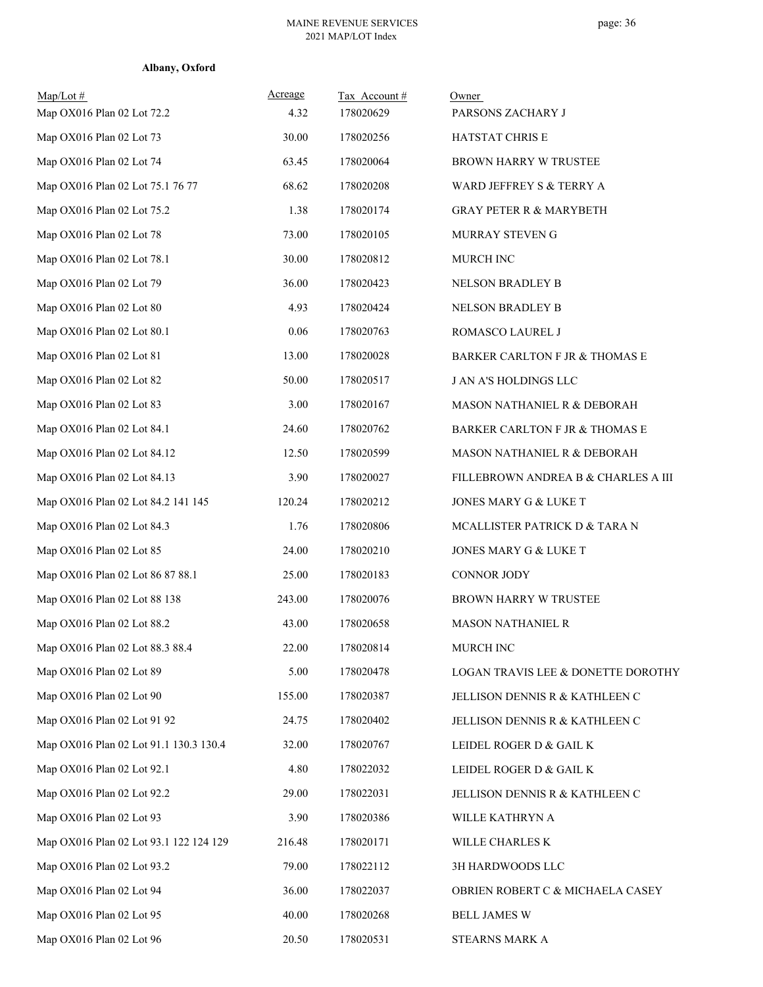| Albany, Oxford |  |
|----------------|--|
|----------------|--|

| Map/Lot #<br>Map OX016 Plan 02 Lot 72.2 | Acreage<br>4.32 | Tax Account#<br>178020629 | Owner<br>PARSONS ZACHARY J          |
|-----------------------------------------|-----------------|---------------------------|-------------------------------------|
| Map OX016 Plan 02 Lot 73                | 30.00           | 178020256                 | HATSTAT CHRIS E                     |
| Map OX016 Plan 02 Lot 74                | 63.45           | 178020064                 | BROWN HARRY W TRUSTEE               |
| Map OX016 Plan 02 Lot 75.1 76 77        | 68.62           | 178020208                 | WARD JEFFREY S & TERRY A            |
| Map OX016 Plan 02 Lot 75.2              | 1.38            | 178020174                 | <b>GRAY PETER R &amp; MARYBETH</b>  |
| Map OX016 Plan 02 Lot 78                | 73.00           | 178020105                 | MURRAY STEVEN G                     |
| Map OX016 Plan 02 Lot 78.1              | 30.00           | 178020812                 | MURCH INC                           |
| Map OX016 Plan 02 Lot 79                | 36.00           | 178020423                 | NELSON BRADLEY B                    |
| Map OX016 Plan 02 Lot 80                | 4.93            | 178020424                 | NELSON BRADLEY B                    |
| Map OX016 Plan 02 Lot 80.1              | 0.06            | 178020763                 | ROMASCO LAUREL J                    |
| Map OX016 Plan 02 Lot 81                | 13.00           | 178020028                 | BARKER CARLTON F JR & THOMAS E      |
| Map OX016 Plan 02 Lot 82                | 50.00           | 178020517                 | <b>J AN A'S HOLDINGS LLC</b>        |
| Map OX016 Plan 02 Lot 83                | 3.00            | 178020167                 | MASON NATHANIEL R & DEBORAH         |
| Map OX016 Plan 02 Lot 84.1              | 24.60           | 178020762                 | BARKER CARLTON F JR & THOMAS E      |
| Map OX016 Plan 02 Lot 84.12             | 12.50           | 178020599                 | MASON NATHANIEL R & DEBORAH         |
| Map OX016 Plan 02 Lot 84.13             | 3.90            | 178020027                 | FILLEBROWN ANDREA B & CHARLES A III |
| Map OX016 Plan 02 Lot 84.2 141 145      | 120.24          | 178020212                 | JONES MARY G & LUKE T               |
| Map OX016 Plan 02 Lot 84.3              | 1.76            | 178020806                 | MCALLISTER PATRICK D & TARA N       |
| Map OX016 Plan 02 Lot 85                | 24.00           | 178020210                 | JONES MARY G & LUKE T               |
| Map OX016 Plan 02 Lot 86 87 88.1        | 25.00           | 178020183                 | CONNOR JODY                         |
| Map OX016 Plan 02 Lot 88 138            | 243.00          | 178020076                 | BROWN HARRY W TRUSTEE               |
| Map OX016 Plan 02 Lot 88.2              | 43.00           | 178020658                 | <b>MASON NATHANIEL R</b>            |
| Map OX016 Plan 02 Lot 88.3 88.4         | 22.00           | 178020814                 | MURCH INC                           |
| Map OX016 Plan 02 Lot 89                | 5.00            | 178020478                 | LOGAN TRAVIS LEE & DONETTE DOROTHY  |
| Map OX016 Plan 02 Lot 90                | 155.00          | 178020387                 | JELLISON DENNIS R & KATHLEEN C      |
| Map OX016 Plan 02 Lot 91 92             | 24.75           | 178020402                 | JELLISON DENNIS R & KATHLEEN C      |
| Map OX016 Plan 02 Lot 91.1 130.3 130.4  | 32.00           | 178020767                 | LEIDEL ROGER D & GAIL K             |
| Map OX016 Plan 02 Lot 92.1              | 4.80            | 178022032                 | LEIDEL ROGER D & GAIL K             |
| Map OX016 Plan 02 Lot 92.2              | 29.00           | 178022031                 | JELLISON DENNIS R & KATHLEEN C      |
| Map OX016 Plan 02 Lot 93                | 3.90            | 178020386                 | WILLE KATHRYN A                     |
| Map OX016 Plan 02 Lot 93.1 122 124 129  | 216.48          | 178020171                 | WILLE CHARLES K                     |
| Map OX016 Plan 02 Lot 93.2              | 79.00           | 178022112                 | 3H HARDWOODS LLC                    |
| Map OX016 Plan 02 Lot 94                | 36.00           | 178022037                 | OBRIEN ROBERT C & MICHAELA CASEY    |
| Map OX016 Plan 02 Lot 95                | 40.00           | 178020268                 | <b>BELL JAMES W</b>                 |
| Map OX016 Plan 02 Lot 96                | 20.50           | 178020531                 | STEARNS MARK A                      |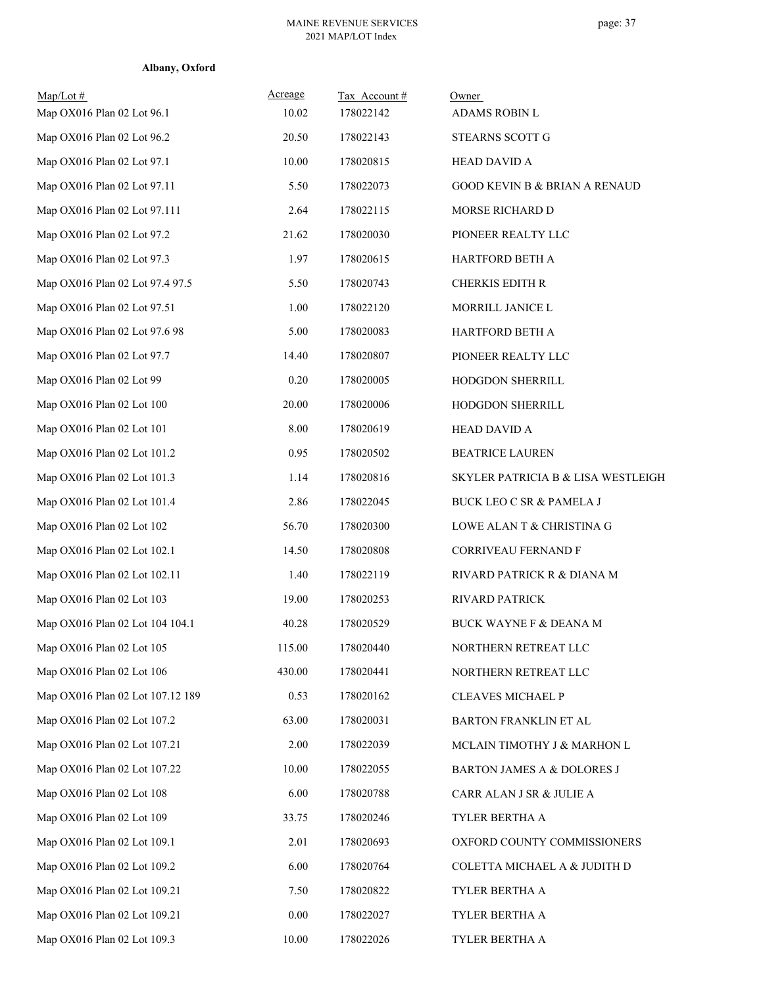| Albany, Oxford |  |
|----------------|--|
|----------------|--|

| $Map/Lot \#$<br>Map OX016 Plan 02 Lot 96.1 | Acreage<br>10.02 | Tax Account#<br>178022142 | Owner<br>ADAMS ROBIN L                   |
|--------------------------------------------|------------------|---------------------------|------------------------------------------|
| Map OX016 Plan 02 Lot 96.2                 | 20.50            | 178022143                 | STEARNS SCOTT G                          |
| Map OX016 Plan 02 Lot 97.1                 | 10.00            | 178020815                 | <b>HEAD DAVID A</b>                      |
| Map OX016 Plan 02 Lot 97.11                | 5.50             | 178022073                 | <b>GOOD KEVIN B &amp; BRIAN A RENAUD</b> |
| Map OX016 Plan 02 Lot 97.111               | 2.64             | 178022115                 | MORSE RICHARD D                          |
| Map OX016 Plan 02 Lot 97.2                 | 21.62            | 178020030                 | PIONEER REALTY LLC                       |
| Map OX016 Plan 02 Lot 97.3                 | 1.97             | 178020615                 | <b>HARTFORD BETH A</b>                   |
| Map OX016 Plan 02 Lot 97.4 97.5            | 5.50             | 178020743                 | CHERKIS EDITH R                          |
| Map OX016 Plan 02 Lot 97.51                | 1.00             | 178022120                 | MORRILL JANICE L                         |
| Map OX016 Plan 02 Lot 97.6 98              | 5.00             | 178020083                 | HARTFORD BETH A                          |
| Map OX016 Plan 02 Lot 97.7                 | 14.40            | 178020807                 | PIONEER REALTY LLC                       |
| Map OX016 Plan 02 Lot 99                   | 0.20             | 178020005                 | HODGDON SHERRILL                         |
| Map OX016 Plan 02 Lot 100                  | 20.00            | 178020006                 | HODGDON SHERRILL                         |
| Map OX016 Plan 02 Lot 101                  | 8.00             | 178020619                 | <b>HEAD DAVID A</b>                      |
| Map OX016 Plan 02 Lot 101.2                | 0.95             | 178020502                 | <b>BEATRICE LAUREN</b>                   |
| Map OX016 Plan 02 Lot 101.3                | 1.14             | 178020816                 | SKYLER PATRICIA B & LISA WESTLEIGH       |
| Map OX016 Plan 02 Lot 101.4                | 2.86             | 178022045                 | BUCK LEO C SR & PAMELA J                 |
| Map OX016 Plan 02 Lot 102                  | 56.70            | 178020300                 | LOWE ALAN T & CHRISTINA G                |
| Map OX016 Plan 02 Lot 102.1                | 14.50            | 178020808                 | CORRIVEAU FERNAND F                      |
| Map OX016 Plan 02 Lot 102.11               | 1.40             | 178022119                 | RIVARD PATRICK R & DIANA M               |
| Map OX016 Plan 02 Lot 103                  | 19.00            | 178020253                 | RIVARD PATRICK                           |
| Map OX016 Plan 02 Lot 104 104.1            | 40.28            | 178020529                 | <b>BUCK WAYNE F &amp; DEANA M</b>        |
| Map OX016 Plan 02 Lot 105                  | 115.00           | 178020440                 | NORTHERN RETREAT LLC                     |
| Map OX016 Plan 02 Lot 106                  | 430.00           | 178020441                 | NORTHERN RETREAT LLC                     |
| Map OX016 Plan 02 Lot 107.12 189           | 0.53             | 178020162                 | <b>CLEAVES MICHAEL P</b>                 |
| Map OX016 Plan 02 Lot 107.2                | 63.00            | 178020031                 | BARTON FRANKLIN ET AL                    |
| Map OX016 Plan 02 Lot 107.21               | 2.00             | 178022039                 | MCLAIN TIMOTHY J & MARHON L              |
| Map OX016 Plan 02 Lot 107.22               | 10.00            | 178022055                 | BARTON JAMES A & DOLORES J               |
| Map OX016 Plan 02 Lot 108                  | 6.00             | 178020788                 | CARR ALAN J SR & JULIE A                 |
| Map OX016 Plan 02 Lot 109                  | 33.75            | 178020246                 | TYLER BERTHA A                           |
| Map OX016 Plan 02 Lot 109.1                | 2.01             | 178020693                 | OXFORD COUNTY COMMISSIONERS              |
| Map OX016 Plan 02 Lot 109.2                | 6.00             | 178020764                 | COLETTA MICHAEL A & JUDITH D             |
| Map OX016 Plan 02 Lot 109.21               | 7.50             | 178020822                 | TYLER BERTHA A                           |
| Map OX016 Plan 02 Lot 109.21               | 0.00             | 178022027                 | TYLER BERTHA A                           |
| Map OX016 Plan 02 Lot 109.3                | 10.00            | 178022026                 | TYLER BERTHA A                           |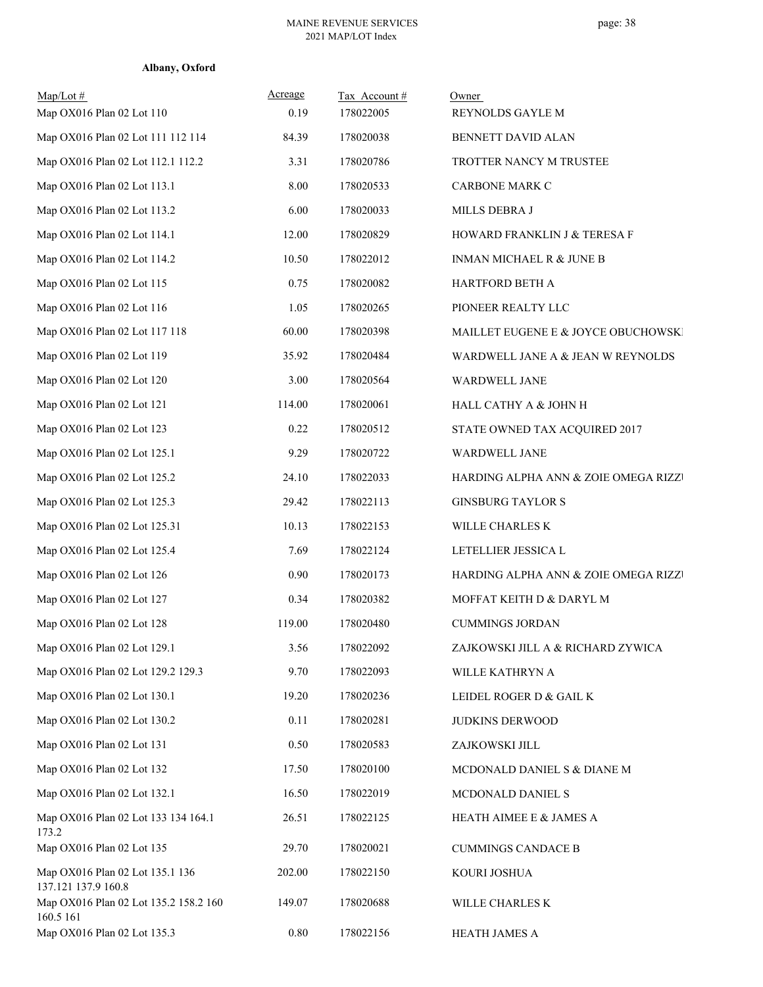| Albany, Oxford |  |
|----------------|--|
|----------------|--|

| $Map/Lot \#$<br>Map OX016 Plan 02 Lot 110              | Acreage<br>0.19 | Tax Account#<br>178022005 | Owner<br>REYNOLDS GAYLE M            |
|--------------------------------------------------------|-----------------|---------------------------|--------------------------------------|
| Map OX016 Plan 02 Lot 111 112 114                      | 84.39           | 178020038                 | BENNETT DAVID ALAN                   |
| Map OX016 Plan 02 Lot 112.1 112.2                      | 3.31            | 178020786                 | TROTTER NANCY M TRUSTEE              |
| Map OX016 Plan 02 Lot 113.1                            | 8.00            | 178020533                 | CARBONE MARK C                       |
| Map OX016 Plan 02 Lot 113.2                            | 6.00            | 178020033                 | MILLS DEBRA J                        |
| Map OX016 Plan 02 Lot 114.1                            | 12.00           | 178020829                 | HOWARD FRANKLIN J & TERESA F         |
| Map OX016 Plan 02 Lot 114.2                            | 10.50           | 178022012                 | INMAN MICHAEL R & JUNE B             |
| Map OX016 Plan 02 Lot 115                              | 0.75            | 178020082                 | HARTFORD BETH A                      |
| Map OX016 Plan 02 Lot 116                              | 1.05            | 178020265                 | PIONEER REALTY LLC                   |
| Map OX016 Plan 02 Lot 117 118                          | 60.00           | 178020398                 | MAILLET EUGENE E & JOYCE OBUCHOWSKI  |
| Map OX016 Plan 02 Lot 119                              | 35.92           | 178020484                 | WARDWELL JANE A & JEAN W REYNOLDS    |
| Map OX016 Plan 02 Lot 120                              | 3.00            | 178020564                 | WARDWELL JANE                        |
| Map OX016 Plan 02 Lot 121                              | 114.00          | 178020061                 | HALL CATHY A & JOHN H                |
| Map OX016 Plan 02 Lot 123                              | 0.22            | 178020512                 | STATE OWNED TAX ACQUIRED 2017        |
| Map OX016 Plan 02 Lot 125.1                            | 9.29            | 178020722                 | WARDWELL JANE                        |
| Map OX016 Plan 02 Lot 125.2                            | 24.10           | 178022033                 | HARDING ALPHA ANN & ZOIE OMEGA RIZZI |
| Map OX016 Plan 02 Lot 125.3                            | 29.42           | 178022113                 | <b>GINSBURG TAYLOR S</b>             |
| Map OX016 Plan 02 Lot 125.31                           | 10.13           | 178022153                 | WILLE CHARLES K                      |
| Map OX016 Plan 02 Lot 125.4                            | 7.69            | 178022124                 | LETELLIER JESSICA L                  |
| Map OX016 Plan 02 Lot 126                              | 0.90            | 178020173                 | HARDING ALPHA ANN & ZOIE OMEGA RIZZI |
| Map OX016 Plan 02 Lot 127                              | 0.34            | 178020382                 | MOFFAT KEITH D & DARYL M             |
| Map OX016 Plan 02 Lot 128                              | 119.00          | 178020480                 | <b>CUMMINGS JORDAN</b>               |
| Map OX016 Plan 02 Lot 129.1                            | 3.56            | 178022092                 | ZAJKOWSKI JILL A & RICHARD ZYWICA    |
| Map OX016 Plan 02 Lot 129.2 129.3                      | 9.70            | 178022093                 | WILLE KATHRYN A                      |
| Map OX016 Plan 02 Lot 130.1                            | 19.20           | 178020236                 | LEIDEL ROGER D & GAIL K              |
| Map OX016 Plan 02 Lot 130.2                            | 0.11            | 178020281                 | JUDKINS DERWOOD                      |
| Map OX016 Plan 02 Lot 131                              | 0.50            | 178020583                 | ZAJKOWSKI JILL                       |
| Map OX016 Plan 02 Lot 132                              | 17.50           | 178020100                 | MCDONALD DANIEL S & DIANE M          |
| Map OX016 Plan 02 Lot 132.1                            | 16.50           | 178022019                 | MCDONALD DANIEL S                    |
| Map OX016 Plan 02 Lot 133 134 164.1<br>173.2           | 26.51           | 178022125                 | HEATH AIMEE E $\&$ JAMES A           |
| Map OX016 Plan 02 Lot 135                              | 29.70           | 178020021                 | <b>CUMMINGS CANDACE B</b>            |
| Map OX016 Plan 02 Lot 135.1 136<br>137.121 137.9 160.8 | 202.00          | 178022150                 | KOURI JOSHUA                         |
| Map OX016 Plan 02 Lot 135.2 158.2 160<br>160.5 161     | 149.07          | 178020688                 | WILLE CHARLES K                      |
| Map OX016 Plan 02 Lot 135.3                            | 0.80            | 178022156                 | HEATH JAMES A                        |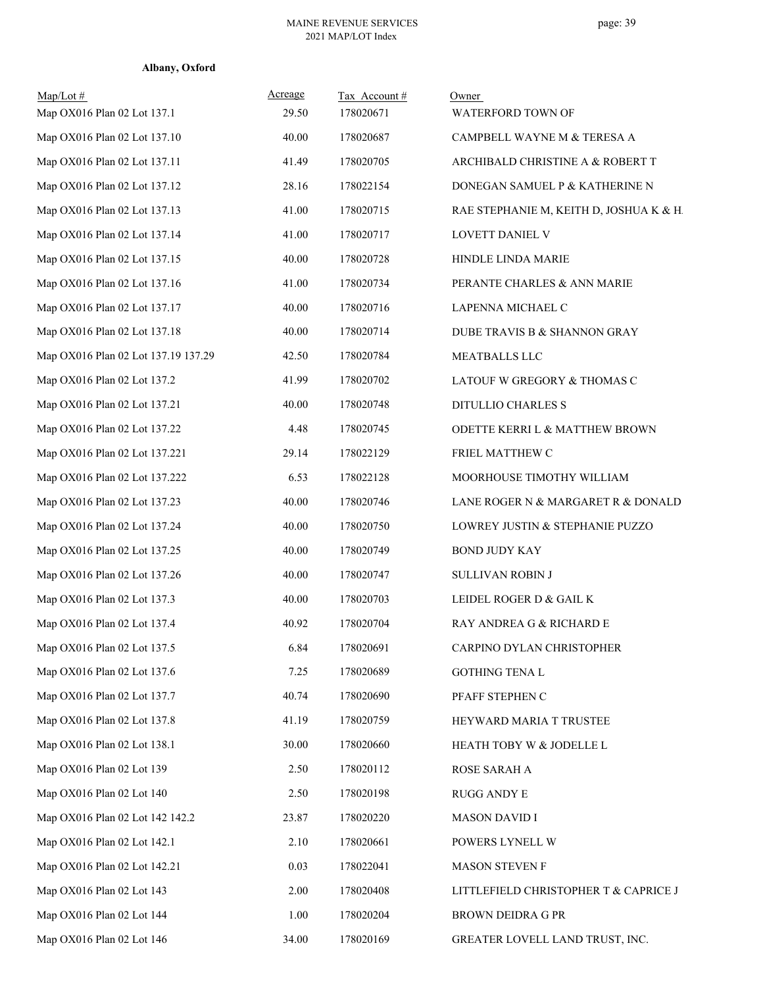| $Map/Lot \#$<br>Map OX016 Plan 02 Lot 137.1 | Acreage<br>29.50 | Tax Account#<br>178020671 | Owner<br>WATERFORD TOWN OF              |
|---------------------------------------------|------------------|---------------------------|-----------------------------------------|
| Map OX016 Plan 02 Lot 137.10                | 40.00            | 178020687                 | CAMPBELL WAYNE M & TERESA A             |
| Map OX016 Plan 02 Lot 137.11                | 41.49            | 178020705                 | ARCHIBALD CHRISTINE A & ROBERT T        |
| Map OX016 Plan 02 Lot 137.12                | 28.16            | 178022154                 | DONEGAN SAMUEL P & KATHERINE N          |
| Map OX016 Plan 02 Lot 137.13                | 41.00            | 178020715                 | RAE STEPHANIE M, KEITH D, JOSHUA K & H. |
| Map OX016 Plan 02 Lot 137.14                | 41.00            | 178020717                 | LOVETT DANIEL V                         |
| Map OX016 Plan 02 Lot 137.15                | 40.00            | 178020728                 | HINDLE LINDA MARIE                      |
| Map OX016 Plan 02 Lot 137.16                | 41.00            | 178020734                 | PERANTE CHARLES & ANN MARIE             |
| Map OX016 Plan 02 Lot 137.17                | 40.00            | 178020716                 | LAPENNA MICHAEL C                       |
| Map OX016 Plan 02 Lot 137.18                | 40.00            | 178020714                 | DUBE TRAVIS B & SHANNON GRAY            |
| Map OX016 Plan 02 Lot 137.19 137.29         | 42.50            | 178020784                 | MEATBALLS LLC                           |
| Map OX016 Plan 02 Lot 137.2                 | 41.99            | 178020702                 | LATOUF W GREGORY & THOMAS C             |
| Map OX016 Plan 02 Lot 137.21                | 40.00            | 178020748                 | DITULLIO CHARLES S                      |
| Map OX016 Plan 02 Lot 137.22                | 4.48             | 178020745                 | ODETTE KERRI L & MATTHEW BROWN          |
| Map OX016 Plan 02 Lot 137.221               | 29.14            | 178022129                 | FRIEL MATTHEW C                         |
| Map OX016 Plan 02 Lot 137.222               | 6.53             | 178022128                 | MOORHOUSE TIMOTHY WILLIAM               |
| Map OX016 Plan 02 Lot 137.23                | 40.00            | 178020746                 | LANE ROGER N & MARGARET R & DONALD      |
| Map OX016 Plan 02 Lot 137.24                | 40.00            | 178020750                 | LOWREY JUSTIN & STEPHANIE PUZZO         |
| Map OX016 Plan 02 Lot 137.25                | 40.00            | 178020749                 | <b>BOND JUDY KAY</b>                    |
| Map OX016 Plan 02 Lot 137.26                | 40.00            | 178020747                 | SULLIVAN ROBIN J                        |
| Map OX016 Plan 02 Lot 137.3                 | 40.00            | 178020703                 | LEIDEL ROGER D & GAIL K                 |
| Map OX016 Plan 02 Lot 137.4                 | 40.92            | 178020704                 | RAY ANDREA G & RICHARD E                |
| Map OX016 Plan 02 Lot 137.5                 | 6.84             | 178020691                 | CARPINO DYLAN CHRISTOPHER               |
| Map OX016 Plan 02 Lot 137.6                 | 7.25             | 178020689                 | GOTHING TENA L                          |
| Map OX016 Plan 02 Lot 137.7                 | 40.74            | 178020690                 | PFAFF STEPHEN C                         |
| Map OX016 Plan 02 Lot 137.8                 | 41.19            | 178020759                 | HEYWARD MARIA T TRUSTEE                 |
| Map OX016 Plan 02 Lot 138.1                 | 30.00            | 178020660                 | HEATH TOBY W & JODELLE L                |
| Map OX016 Plan 02 Lot 139                   | 2.50             | 178020112                 | ROSE SARAH A                            |
| Map OX016 Plan 02 Lot 140                   | 2.50             | 178020198                 | RUGG ANDY E                             |
| Map OX016 Plan 02 Lot 142 142.2             | 23.87            | 178020220                 | <b>MASON DAVID I</b>                    |
| Map OX016 Plan 02 Lot 142.1                 | 2.10             | 178020661                 | POWERS LYNELL W                         |
| Map OX016 Plan 02 Lot 142.21                | 0.03             | 178022041                 | MASON STEVEN F                          |
| Map OX016 Plan 02 Lot 143                   | 2.00             | 178020408                 | LITTLEFIELD CHRISTOPHER T & CAPRICE J   |
| Map OX016 Plan 02 Lot 144                   | 1.00             | 178020204                 | <b>BROWN DEIDRA G PR</b>                |
| Map OX016 Plan 02 Lot 146                   | 34.00            | 178020169                 | GREATER LOVELL LAND TRUST, INC.         |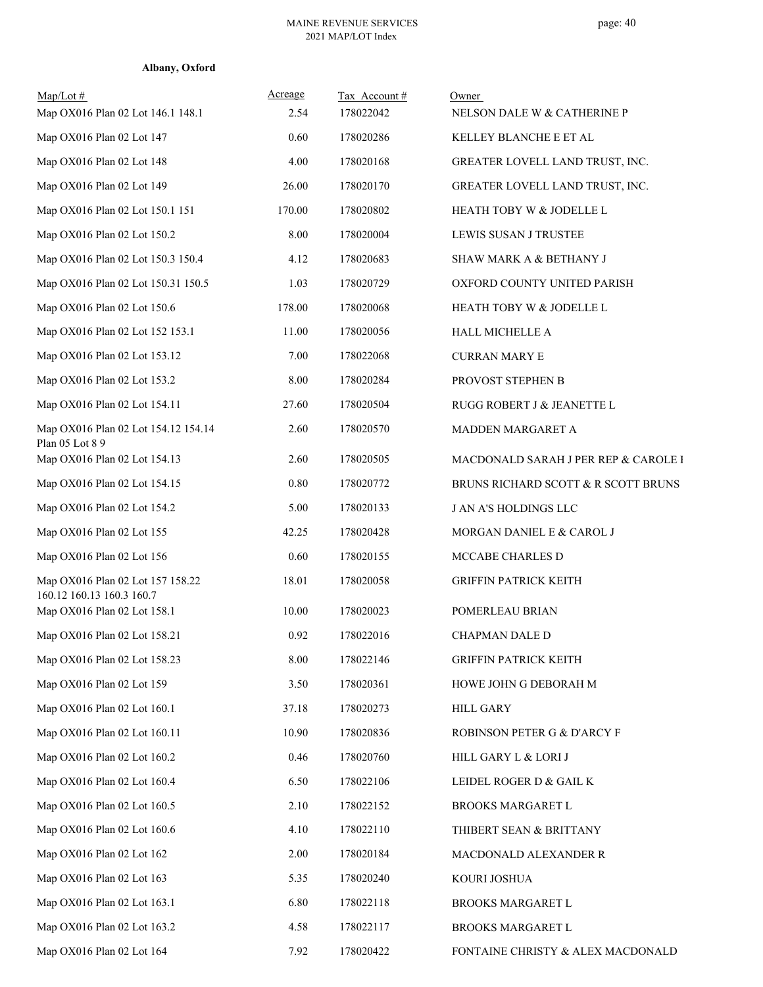| $Map/Lot \#$<br>Map OX016 Plan 02 Lot 146.1 148.1        | Acreage<br>2.54 | Tax Account#<br>178022042 | Owner<br>NELSON DALE W & CATHERINE P |
|----------------------------------------------------------|-----------------|---------------------------|--------------------------------------|
| Map OX016 Plan 02 Lot 147                                | 0.60            | 178020286                 | KELLEY BLANCHE E ET AL               |
| Map OX016 Plan 02 Lot 148                                | 4.00            | 178020168                 | GREATER LOVELL LAND TRUST, INC.      |
| Map OX016 Plan 02 Lot 149                                | 26.00           | 178020170                 | GREATER LOVELL LAND TRUST, INC.      |
| Map OX016 Plan 02 Lot 150.1 151                          | 170.00          | 178020802                 | HEATH TOBY W & JODELLE L             |
| Map OX016 Plan 02 Lot 150.2                              | 8.00            | 178020004                 | LEWIS SUSAN J TRUSTEE                |
| Map OX016 Plan 02 Lot 150.3 150.4                        | 4.12            | 178020683                 | SHAW MARK A & BETHANY J              |
| Map OX016 Plan 02 Lot 150.31 150.5                       | 1.03            | 178020729                 | OXFORD COUNTY UNITED PARISH          |
| Map OX016 Plan 02 Lot 150.6                              | 178.00          | 178020068                 | HEATH TOBY W & JODELLE L             |
| Map OX016 Plan 02 Lot 152 153.1                          | 11.00           | 178020056                 | HALL MICHELLE A                      |
| Map OX016 Plan 02 Lot 153.12                             | 7.00            | 178022068                 | <b>CURRAN MARY E</b>                 |
| Map OX016 Plan 02 Lot 153.2                              | 8.00            | 178020284                 | PROVOST STEPHEN B                    |
| Map OX016 Plan 02 Lot 154.11                             | 27.60           | 178020504                 | RUGG ROBERT J & JEANETTE L           |
| Map OX016 Plan 02 Lot 154.12 154.14<br>Plan 05 Lot 8 9   | 2.60            | 178020570                 | MADDEN MARGARET A                    |
| Map OX016 Plan 02 Lot 154.13                             | 2.60            | 178020505                 | MACDONALD SARAH J PER REP & CAROLE I |
| Map OX016 Plan 02 Lot 154.15                             | 0.80            | 178020772                 | BRUNS RICHARD SCOTT & R SCOTT BRUNS  |
| Map OX016 Plan 02 Lot 154.2                              | 5.00            | 178020133                 | J AN A'S HOLDINGS LLC                |
| Map OX016 Plan 02 Lot 155                                | 42.25           | 178020428                 | MORGAN DANIEL E & CAROL J            |
| Map OX016 Plan 02 Lot 156                                | 0.60            | 178020155                 | MCCABE CHARLES D                     |
| Map OX016 Plan 02 Lot 157 158.22                         | 18.01           | 178020058                 | <b>GRIFFIN PATRICK KEITH</b>         |
| 160.12 160.13 160.3 160.7<br>Map OX016 Plan 02 Lot 158.1 | 10.00           | 178020023                 | POMERLEAU BRIAN                      |
| Map OX016 Plan 02 Lot 158.21                             | 0.92            | 178022016                 | <b>CHAPMAN DALE D</b>                |
| Map OX016 Plan 02 Lot 158.23                             | 8.00            | 178022146                 | <b>GRIFFIN PATRICK KEITH</b>         |
| Map OX016 Plan 02 Lot 159                                | 3.50            | 178020361                 | HOWE JOHN G DEBORAH M                |
| Map OX016 Plan 02 Lot 160.1                              | 37.18           | 178020273                 | <b>HILL GARY</b>                     |
| Map OX016 Plan 02 Lot 160.11                             | 10.90           | 178020836                 | ROBINSON PETER G & D'ARCY F          |
| Map OX016 Plan 02 Lot 160.2                              | 0.46            | 178020760                 | HILL GARY L & LORI J                 |
| Map OX016 Plan 02 Lot 160.4                              | 6.50            | 178022106                 | LEIDEL ROGER D & GAIL K              |
| Map OX016 Plan 02 Lot 160.5                              | 2.10            | 178022152                 | BROOKS MARGARET L                    |
| Map OX016 Plan 02 Lot 160.6                              | 4.10            | 178022110                 | THIBERT SEAN & BRITTANY              |
| Map OX016 Plan 02 Lot 162                                | 2.00            | 178020184                 | MACDONALD ALEXANDER R                |
| Map OX016 Plan 02 Lot 163                                | 5.35            | 178020240                 | KOURI JOSHUA                         |
| Map OX016 Plan 02 Lot 163.1                              | 6.80            | 178022118                 | BROOKS MARGARET L                    |
| Map OX016 Plan 02 Lot 163.2                              | 4.58            | 178022117                 | BROOKS MARGARET L                    |
| Map OX016 Plan 02 Lot 164                                | 7.92            | 178020422                 | FONTAINE CHRISTY & ALEX MACDONALD    |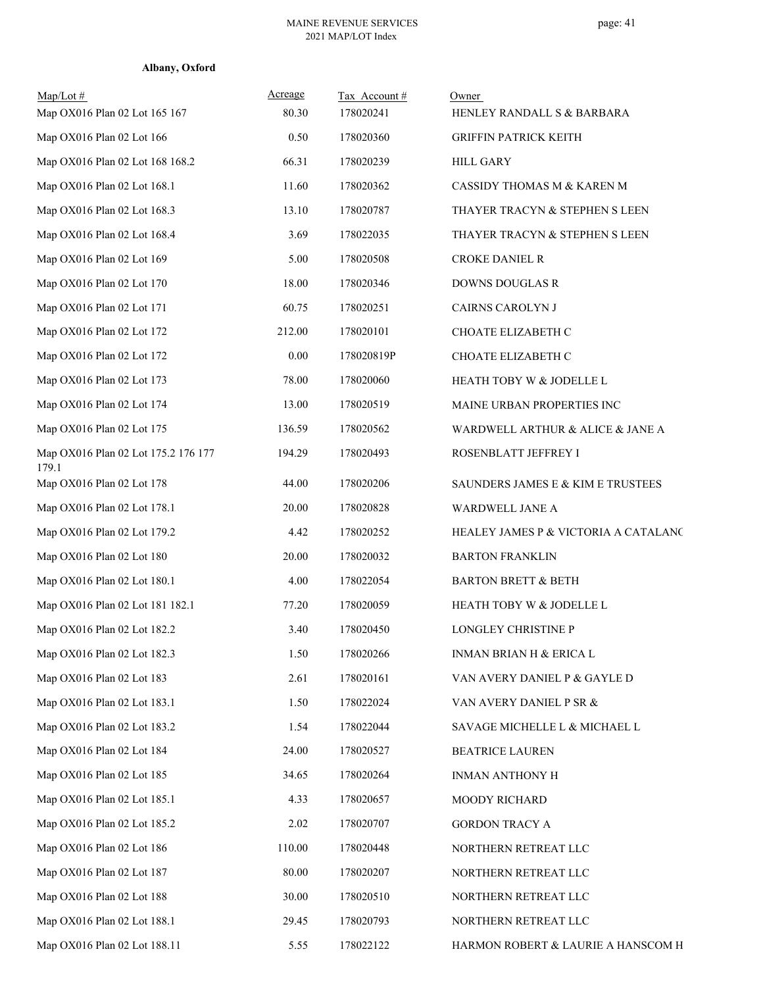| $Map/Lot \#$<br>Map OX016 Plan 02 Lot 165 167 | Acreage<br>80.30 | Tax Account#<br>178020241 | Owner<br>HENLEY RANDALL S & BARBARA  |
|-----------------------------------------------|------------------|---------------------------|--------------------------------------|
| Map OX016 Plan 02 Lot 166                     | 0.50             | 178020360                 | <b>GRIFFIN PATRICK KEITH</b>         |
| Map OX016 Plan 02 Lot 168 168.2               | 66.31            | 178020239                 | <b>HILL GARY</b>                     |
| Map OX016 Plan 02 Lot 168.1                   | 11.60            | 178020362                 | CASSIDY THOMAS M & KAREN M           |
| Map OX016 Plan 02 Lot 168.3                   | 13.10            | 178020787                 | THAYER TRACYN & STEPHEN S LEEN       |
| Map OX016 Plan 02 Lot 168.4                   | 3.69             | 178022035                 | THAYER TRACYN & STEPHEN S LEEN       |
| Map OX016 Plan 02 Lot 169                     | 5.00             | 178020508                 | CROKE DANIEL R                       |
| Map OX016 Plan 02 Lot 170                     | 18.00            | 178020346                 | DOWNS DOUGLAS R                      |
| Map OX016 Plan 02 Lot 171                     | 60.75            | 178020251                 | CAIRNS CAROLYN J                     |
| Map OX016 Plan 02 Lot 172                     | 212.00           | 178020101                 | CHOATE ELIZABETH C                   |
| Map OX016 Plan 02 Lot 172                     | 0.00             | 178020819P                | CHOATE ELIZABETH C                   |
| Map OX016 Plan 02 Lot 173                     | 78.00            | 178020060                 | HEATH TOBY W & JODELLE L             |
| Map OX016 Plan 02 Lot 174                     | 13.00            | 178020519                 | MAINE URBAN PROPERTIES INC           |
| Map OX016 Plan 02 Lot 175                     | 136.59           | 178020562                 | WARDWELL ARTHUR & ALICE & JANE A     |
| Map OX016 Plan 02 Lot 175.2 176 177<br>179.1  | 194.29           | 178020493                 | ROSENBLATT JEFFREY I                 |
| Map OX016 Plan 02 Lot 178                     | 44.00            | 178020206                 | SAUNDERS JAMES E & KIM E TRUSTEES    |
| Map OX016 Plan 02 Lot 178.1                   | 20.00            | 178020828                 | WARDWELL JANE A                      |
| Map OX016 Plan 02 Lot 179.2                   | 4.42             | 178020252                 | HEALEY JAMES P & VICTORIA A CATALANC |
| Map OX016 Plan 02 Lot 180                     | 20.00            | 178020032                 | <b>BARTON FRANKLIN</b>               |
| Map OX016 Plan 02 Lot 180.1                   | 4.00             | 178022054                 | <b>BARTON BRETT &amp; BETH</b>       |
| Map OX016 Plan 02 Lot 181 182.1               | 77.20            | 178020059                 | HEATH TOBY W & JODELLE L             |
| Map OX016 Plan 02 Lot 182.2                   | 3.40             | 178020450                 | LONGLEY CHRISTINE P                  |
| Map OX016 Plan 02 Lot 182.3                   | 1.50             | 178020266                 | INMAN BRIAN H & ERICA L              |
| Map OX016 Plan 02 Lot 183                     | 2.61             | 178020161                 | VAN AVERY DANIEL P & GAYLE D         |
| Map OX016 Plan 02 Lot 183.1                   | 1.50             | 178022024                 | VAN AVERY DANIEL P SR &              |
| Map OX016 Plan 02 Lot 183.2                   | 1.54             | 178022044                 | SAVAGE MICHELLE L & MICHAEL L        |
| Map OX016 Plan 02 Lot 184                     | 24.00            | 178020527                 | <b>BEATRICE LAUREN</b>               |
| Map OX016 Plan 02 Lot 185                     | 34.65            | 178020264                 | INMAN ANTHONY H                      |
| Map OX016 Plan 02 Lot 185.1                   | 4.33             | 178020657                 | MOODY RICHARD                        |
| Map OX016 Plan 02 Lot 185.2                   | 2.02             | 178020707                 | GORDON TRACY A                       |
| Map OX016 Plan 02 Lot 186                     | 110.00           | 178020448                 | NORTHERN RETREAT LLC                 |
| Map OX016 Plan 02 Lot 187                     | 80.00            | 178020207                 | NORTHERN RETREAT LLC                 |
| Map OX016 Plan 02 Lot 188                     | 30.00            | 178020510                 | NORTHERN RETREAT LLC                 |
| Map OX016 Plan 02 Lot 188.1                   | 29.45            | 178020793                 | NORTHERN RETREAT LLC                 |
| Map OX016 Plan 02 Lot 188.11                  | 5.55             | 178022122                 | HARMON ROBERT & LAURIE A HANSCOM H   |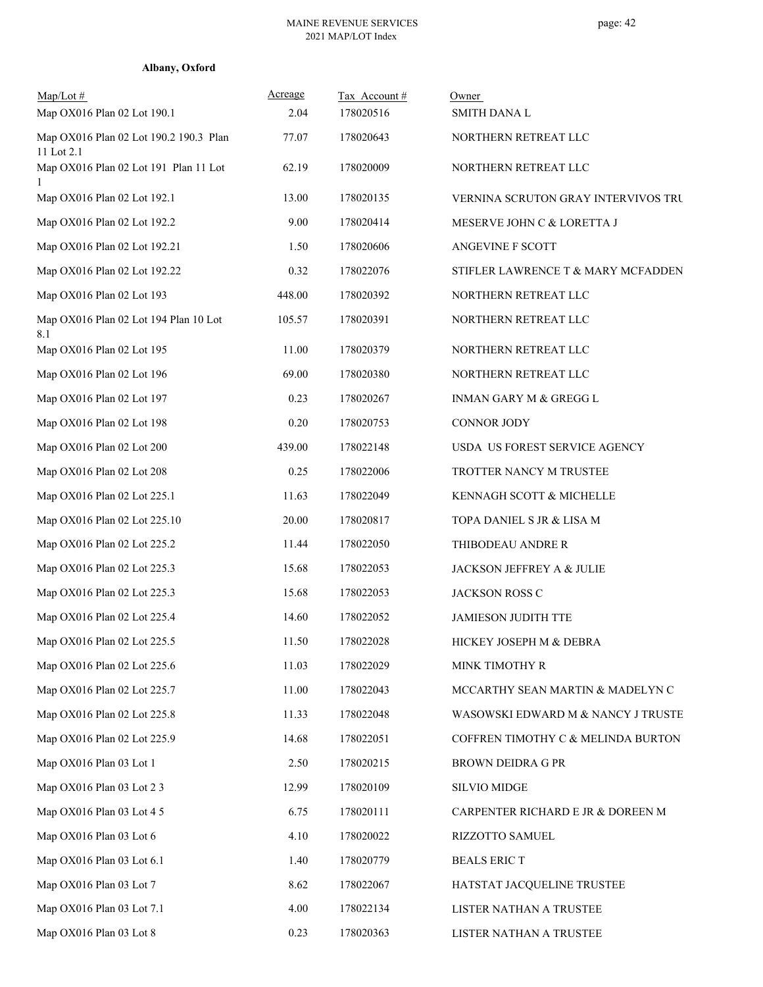| Albany, Oxford |
|----------------|
|----------------|

| $Map/Lot \#$<br>Map OX016 Plan 02 Lot 190.1          | Acreage<br>2.04 | Tax Account#<br>178020516 | Owner<br><b>SMITH DANA L</b>        |
|------------------------------------------------------|-----------------|---------------------------|-------------------------------------|
| Map OX016 Plan 02 Lot 190.2 190.3 Plan<br>11 Lot 2.1 | 77.07           | 178020643                 | NORTHERN RETREAT LLC                |
| Map OX016 Plan 02 Lot 191 Plan 11 Lot                | 62.19           | 178020009                 | NORTHERN RETREAT LLC                |
| Map OX016 Plan 02 Lot 192.1                          | 13.00           | 178020135                 | VERNINA SCRUTON GRAY INTERVIVOS TRU |
| Map OX016 Plan 02 Lot 192.2                          | 9.00            | 178020414                 | MESERVE JOHN C & LORETTA J          |
| Map OX016 Plan 02 Lot 192.21                         | 1.50            | 178020606                 | <b>ANGEVINE F SCOTT</b>             |
| Map OX016 Plan 02 Lot 192.22                         | 0.32            | 178022076                 | STIFLER LAWRENCE T & MARY MCFADDEN  |
| Map OX016 Plan 02 Lot 193                            | 448.00          | 178020392                 | NORTHERN RETREAT LLC                |
| Map OX016 Plan 02 Lot 194 Plan 10 Lot<br>8.1         | 105.57          | 178020391                 | NORTHERN RETREAT LLC                |
| Map OX016 Plan 02 Lot 195                            | 11.00           | 178020379                 | NORTHERN RETREAT LLC                |
| Map OX016 Plan 02 Lot 196                            | 69.00           | 178020380                 | NORTHERN RETREAT LLC                |
| Map OX016 Plan 02 Lot 197                            | 0.23            | 178020267                 | INMAN GARY M & GREGG L              |
| Map OX016 Plan 02 Lot 198                            | 0.20            | 178020753                 | CONNOR JODY                         |
| Map OX016 Plan 02 Lot 200                            | 439.00          | 178022148                 | USDA US FOREST SERVICE AGENCY       |
| Map OX016 Plan 02 Lot 208                            | 0.25            | 178022006                 | TROTTER NANCY M TRUSTEE             |
| Map OX016 Plan 02 Lot 225.1                          | 11.63           | 178022049                 | KENNAGH SCOTT & MICHELLE            |
| Map OX016 Plan 02 Lot 225.10                         | 20.00           | 178020817                 | TOPA DANIEL S JR & LISA M           |
| Map OX016 Plan 02 Lot 225.2                          | 11.44           | 178022050                 | THIBODEAU ANDRE R                   |
| Map OX016 Plan 02 Lot 225.3                          | 15.68           | 178022053                 | JACKSON JEFFREY A & JULIE           |
| Map OX016 Plan 02 Lot 225.3                          | 15.68           | 178022053                 | JACKSON ROSS C                      |
| Map OX016 Plan 02 Lot 225.4                          | 14.60           | 178022052                 | <b>JAMIESON JUDITH TTE</b>          |
| Map OX016 Plan 02 Lot 225.5                          | 11.50           | 178022028                 | HICKEY JOSEPH M & DEBRA             |
| Map OX016 Plan 02 Lot 225.6                          | 11.03           | 178022029                 | MINK TIMOTHY R                      |
| Map OX016 Plan 02 Lot 225.7                          | 11.00           | 178022043                 | MCCARTHY SEAN MARTIN & MADELYN C    |
| Map OX016 Plan 02 Lot 225.8                          | 11.33           | 178022048                 | WASOWSKI EDWARD M & NANCY J TRUSTE  |
| Map OX016 Plan 02 Lot 225.9                          | 14.68           | 178022051                 | COFFREN TIMOTHY C & MELINDA BURTON  |
| Map OX016 Plan 03 Lot 1                              | 2.50            | 178020215                 | <b>BROWN DEIDRA G PR</b>            |
| Map OX016 Plan 03 Lot 2 3                            | 12.99           | 178020109                 | <b>SILVIO MIDGE</b>                 |
| Map OX016 Plan 03 Lot 4 5                            | 6.75            | 178020111                 | CARPENTER RICHARD E JR & DOREEN M   |
| Map OX016 Plan 03 Lot 6                              | 4.10            | 178020022                 | RIZZOTTO SAMUEL                     |
| Map OX016 Plan 03 Lot 6.1                            | 1.40            | 178020779                 | <b>BEALS ERICT</b>                  |
| Map OX016 Plan 03 Lot 7                              | 8.62            | 178022067                 | HATSTAT JACQUELINE TRUSTEE          |
| Map OX016 Plan 03 Lot 7.1                            | 4.00            | 178022134                 | LISTER NATHAN A TRUSTEE             |
| Map OX016 Plan 03 Lot 8                              | 0.23            | 178020363                 | LISTER NATHAN A TRUSTEE             |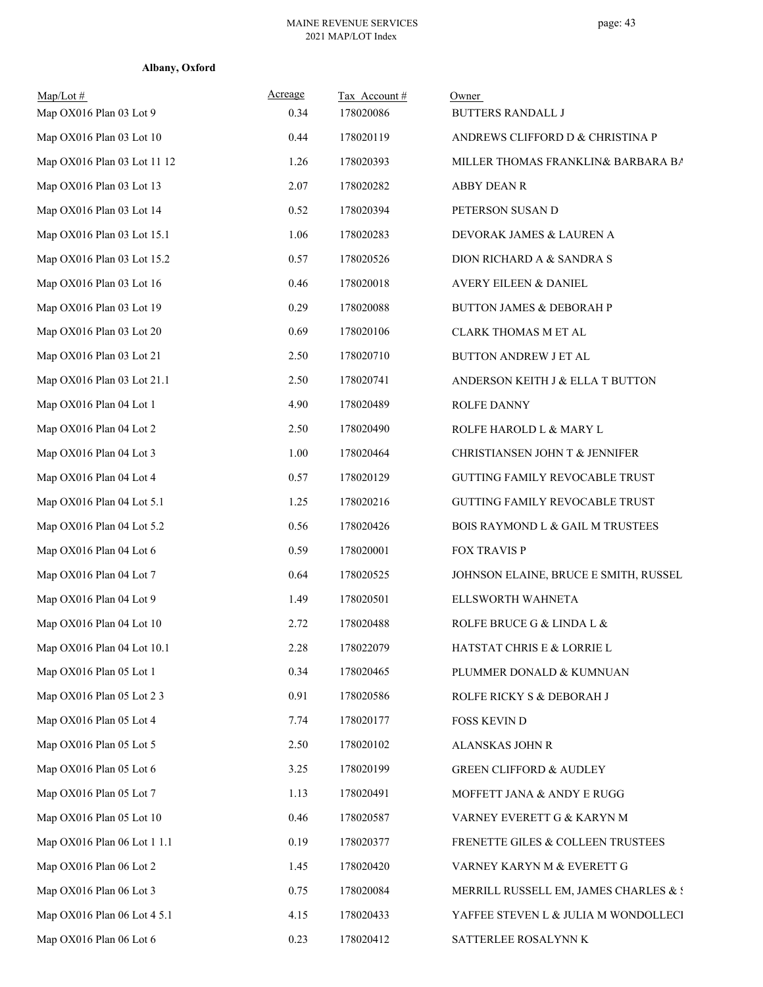| $Map/Lot \#$<br>Map OX016 Plan 03 Lot 9 | Acreage<br>0.34 | Tax Account#<br>178020086 | Owner<br><b>BUTTERS RANDALL J</b>           |
|-----------------------------------------|-----------------|---------------------------|---------------------------------------------|
| Map OX016 Plan 03 Lot 10                | 0.44            | 178020119                 | ANDREWS CLIFFORD D & CHRISTINA P            |
| Map OX016 Plan 03 Lot 11 12             | 1.26            | 178020393                 | MILLER THOMAS FRANKLIN& BARBARA BA          |
| Map OX016 Plan 03 Lot 13                | 2.07            | 178020282                 | ABBY DEAN R                                 |
| Map OX016 Plan 03 Lot 14                | 0.52            | 178020394                 | PETERSON SUSAN D                            |
| Map OX016 Plan 03 Lot 15.1              | 1.06            | 178020283                 | DEVORAK JAMES & LAUREN A                    |
| Map OX016 Plan 03 Lot 15.2              | 0.57            | 178020526                 | DION RICHARD A & SANDRA S                   |
| Map OX016 Plan 03 Lot 16                | 0.46            | 178020018                 | AVERY EILEEN & DANIEL                       |
| Map OX016 Plan 03 Lot 19                | 0.29            | 178020088                 | <b>BUTTON JAMES &amp; DEBORAH P</b>         |
| Map OX016 Plan 03 Lot 20                | 0.69            | 178020106                 | CLARK THOMAS M ET AL                        |
| Map OX016 Plan 03 Lot 21                | 2.50            | 178020710                 | BUTTON ANDREW J ET AL                       |
| Map OX016 Plan 03 Lot 21.1              | 2.50            | 178020741                 | ANDERSON KEITH J & ELLA T BUTTON            |
| Map OX016 Plan 04 Lot 1                 | 4.90            | 178020489                 | ROLFE DANNY                                 |
| Map OX016 Plan 04 Lot 2                 | 2.50            | 178020490                 | ROLFE HAROLD L & MARY L                     |
| Map OX016 Plan 04 Lot 3                 | 1.00            | 178020464                 | CHRISTIANSEN JOHN T & JENNIFER              |
| Map OX016 Plan 04 Lot 4                 | 0.57            | 178020129                 | GUTTING FAMILY REVOCABLE TRUST              |
| Map OX016 Plan 04 Lot 5.1               | 1.25            | 178020216                 | GUTTING FAMILY REVOCABLE TRUST              |
| Map OX016 Plan 04 Lot 5.2               | 0.56            | 178020426                 | <b>BOIS RAYMOND L &amp; GAIL M TRUSTEES</b> |
| Map OX016 Plan 04 Lot 6                 | 0.59            | 178020001                 | <b>FOX TRAVIS P</b>                         |
| Map OX016 Plan 04 Lot 7                 | 0.64            | 178020525                 | JOHNSON ELAINE, BRUCE E SMITH, RUSSEL       |
| Map OX016 Plan 04 Lot 9                 | 1.49            | 178020501                 | ELLSWORTH WAHNETA                           |
| Map OX016 Plan 04 Lot 10                | 2.72            | 178020488                 | ROLFE BRUCE G & LINDA L &                   |
| Map OX016 Plan 04 Lot 10.1              | 2.28            | 178022079                 | HATSTAT CHRIS E & LORRIE L                  |
| Map OX016 Plan 05 Lot 1                 | 0.34            | 178020465                 | PLUMMER DONALD & KUMNUAN                    |
| Map OX016 Plan 05 Lot 2 3               | 0.91            | 178020586                 | ROLFE RICKY S & DEBORAH J                   |
| Map OX016 Plan 05 Lot 4                 | 7.74            | 178020177                 | <b>FOSS KEVIN D</b>                         |
| Map OX016 Plan 05 Lot 5                 | 2.50            | 178020102                 | ALANSKAS JOHN R                             |
| Map OX016 Plan 05 Lot 6                 | 3.25            | 178020199                 | <b>GREEN CLIFFORD &amp; AUDLEY</b>          |
| Map OX016 Plan 05 Lot 7                 | 1.13            | 178020491                 | MOFFETT JANA & ANDY E RUGG                  |
| Map OX016 Plan 05 Lot 10                | 0.46            | 178020587                 | VARNEY EVERETT G & KARYN M                  |
| Map OX016 Plan 06 Lot 1 1.1             | 0.19            | 178020377                 | FRENETTE GILES & COLLEEN TRUSTEES           |
| Map OX016 Plan 06 Lot 2                 | 1.45            | 178020420                 | VARNEY KARYN M & EVERETT G                  |
| Map OX016 Plan 06 Lot 3                 | 0.75            | 178020084                 | MERRILL RUSSELL EM, JAMES CHARLES & S       |
| Map OX016 Plan 06 Lot 4 5.1             | 4.15            | 178020433                 | YAFFEE STEVEN L & JULIA M WONDOLLECI        |
| Map OX016 Plan 06 Lot 6                 | 0.23            | 178020412                 | SATTERLEE ROSALYNN K                        |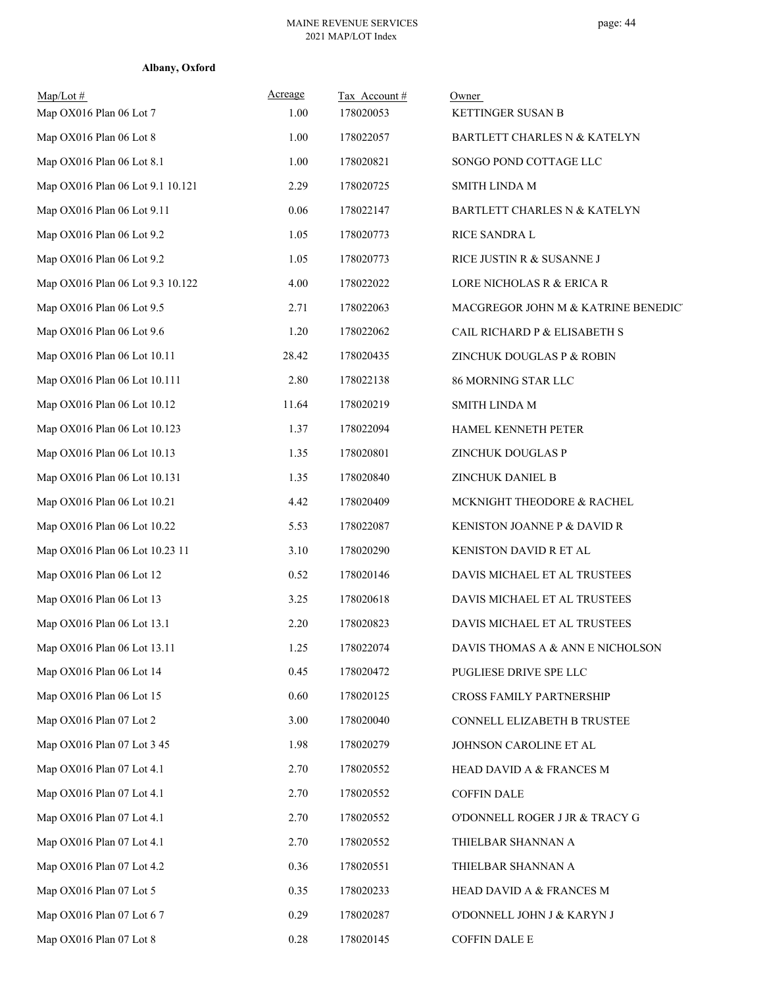| Albany, Oxford |  |
|----------------|--|
|----------------|--|

| $Map/Lot \#$<br>Map OX016 Plan 06 Lot 7 | Acreage<br>1.00 | Tax Account#<br>178020053 | Owner<br>KETTINGER SUSAN B          |
|-----------------------------------------|-----------------|---------------------------|-------------------------------------|
| Map OX016 Plan 06 Lot 8                 | 1.00            | 178022057                 | BARTLETT CHARLES N & KATELYN        |
| Map OX016 Plan 06 Lot 8.1               | 1.00            | 178020821                 | SONGO POND COTTAGE LLC              |
| Map OX016 Plan 06 Lot 9.1 10.121        | 2.29            | 178020725                 | SMITH LINDA M                       |
| Map OX016 Plan 06 Lot 9.11              | $0.06\,$        | 178022147                 | BARTLETT CHARLES N & KATELYN        |
| Map OX016 Plan 06 Lot 9.2               | 1.05            | 178020773                 | <b>RICE SANDRA L</b>                |
| Map OX016 Plan 06 Lot 9.2               | 1.05            | 178020773                 | RICE JUSTIN R & SUSANNE J           |
| Map OX016 Plan 06 Lot 9.3 10.122        | 4.00            | 178022022                 | LORE NICHOLAS R & ERICA R           |
| Map OX016 Plan 06 Lot 9.5               | 2.71            | 178022063                 | MACGREGOR JOHN M & KATRINE BENEDIC' |
| Map OX016 Plan 06 Lot 9.6               | 1.20            | 178022062                 | CAIL RICHARD P & ELISABETH S        |
| Map OX016 Plan 06 Lot 10.11             | 28.42           | 178020435                 | ZINCHUK DOUGLAS P & ROBIN           |
| Map OX016 Plan 06 Lot 10.111            | 2.80            | 178022138                 | 86 MORNING STAR LLC                 |
| Map OX016 Plan 06 Lot 10.12             | 11.64           | 178020219                 | SMITH LINDA M                       |
| Map OX016 Plan 06 Lot 10.123            | 1.37            | 178022094                 | HAMEL KENNETH PETER                 |
| Map OX016 Plan 06 Lot 10.13             | 1.35            | 178020801                 | ZINCHUK DOUGLAS P                   |
| Map OX016 Plan 06 Lot 10.131            | 1.35            | 178020840                 | ZINCHUK DANIEL B                    |
| Map OX016 Plan 06 Lot 10.21             | 4.42            | 178020409                 | MCKNIGHT THEODORE & RACHEL          |
| Map OX016 Plan 06 Lot 10.22             | 5.53            | 178022087                 | KENISTON JOANNE P & DAVID R         |
| Map OX016 Plan 06 Lot 10.23 11          | 3.10            | 178020290                 | KENISTON DAVID R ET AL              |
| Map OX016 Plan 06 Lot 12                | 0.52            | 178020146                 | DAVIS MICHAEL ET AL TRUSTEES        |
| Map OX016 Plan 06 Lot 13                | 3.25            | 178020618                 | DAVIS MICHAEL ET AL TRUSTEES        |
| Map OX016 Plan 06 Lot 13.1              | 2.20            | 178020823                 | DAVIS MICHAEL ET AL TRUSTEES        |
| Map OX016 Plan 06 Lot 13.11             | 1.25            | 178022074                 | DAVIS THOMAS A & ANN E NICHOLSON    |
| Map OX016 Plan 06 Lot 14                | 0.45            | 178020472                 | PUGLIESE DRIVE SPE LLC              |
| Map OX016 Plan 06 Lot 15                | 0.60            | 178020125                 | CROSS FAMILY PARTNERSHIP            |
| Map OX016 Plan 07 Lot 2                 | 3.00            | 178020040                 | CONNELL ELIZABETH B TRUSTEE         |
| Map OX016 Plan 07 Lot 3 45              | 1.98            | 178020279                 | JOHNSON CAROLINE ET AL              |
| Map OX016 Plan 07 Lot 4.1               | 2.70            | 178020552                 | HEAD DAVID A & FRANCES M            |
| Map OX016 Plan 07 Lot 4.1               | 2.70            | 178020552                 | <b>COFFIN DALE</b>                  |
| Map OX016 Plan 07 Lot 4.1               | 2.70            | 178020552                 | O'DONNELL ROGER J JR & TRACY G      |
| Map OX016 Plan 07 Lot 4.1               | 2.70            | 178020552                 | THIELBAR SHANNAN A                  |
| Map OX016 Plan 07 Lot 4.2               | 0.36            | 178020551                 | THIELBAR SHANNAN A                  |
| Map OX016 Plan 07 Lot 5                 | 0.35            | 178020233                 | HEAD DAVID A & FRANCES M            |
| Map OX016 Plan 07 Lot 6 7               | 0.29            | 178020287                 | O'DONNELL JOHN J & KARYN J          |
| Map OX016 Plan 07 Lot 8                 | 0.28            | 178020145                 | COFFIN DALE E                       |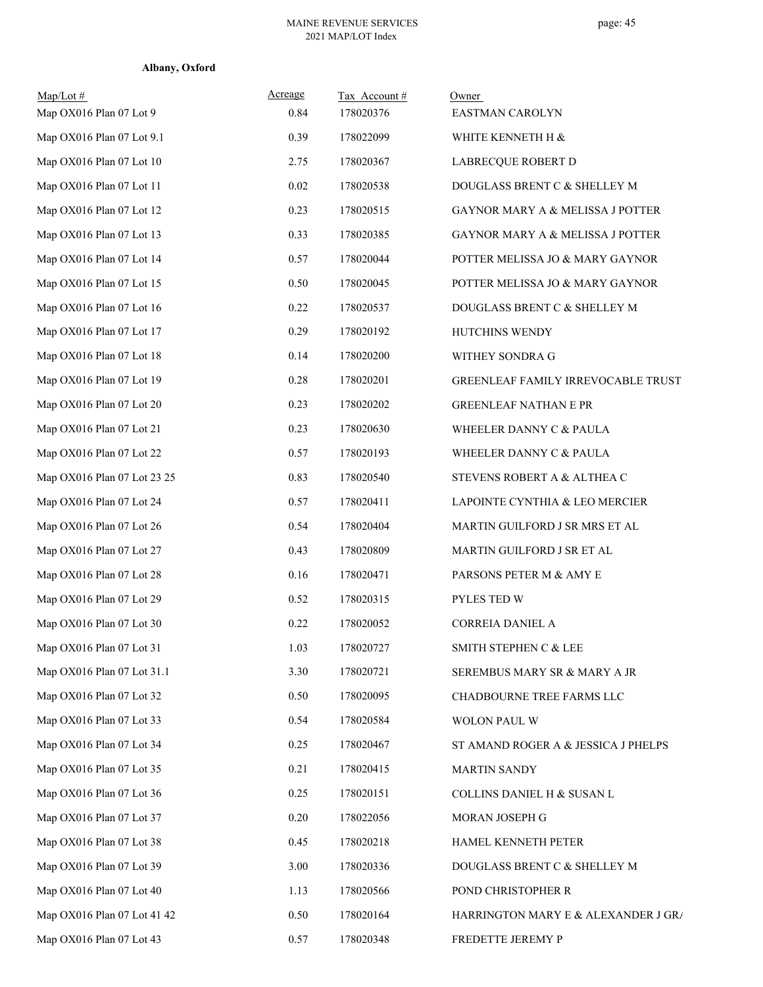| Map/Lot#<br>Map OX016 Plan 07 Lot 9 | Acreage<br>0.84 | Tax Account#<br>178020376 | Owner<br>EASTMAN CAROLYN            |
|-------------------------------------|-----------------|---------------------------|-------------------------------------|
| Map OX016 Plan 07 Lot 9.1           | 0.39            | 178022099                 | WHITE KENNETH H &                   |
| Map OX016 Plan 07 Lot 10            | 2.75            | 178020367                 | LABRECQUE ROBERT D                  |
| Map OX016 Plan 07 Lot 11            | 0.02            | 178020538                 | DOUGLASS BRENT C & SHELLEY M        |
| Map OX016 Plan 07 Lot 12            | 0.23            | 178020515                 | GAYNOR MARY A & MELISSA J POTTER    |
| Map OX016 Plan 07 Lot 13            | 0.33            | 178020385                 | GAYNOR MARY A & MELISSA J POTTER    |
| Map OX016 Plan 07 Lot 14            | 0.57            | 178020044                 | POTTER MELISSA JO & MARY GAYNOR     |
| Map OX016 Plan 07 Lot 15            | 0.50            | 178020045                 | POTTER MELISSA JO & MARY GAYNOR     |
| Map OX016 Plan 07 Lot 16            | 0.22            | 178020537                 | DOUGLASS BRENT C & SHELLEY M        |
| Map OX016 Plan 07 Lot 17            | 0.29            | 178020192                 | HUTCHINS WENDY                      |
| Map OX016 Plan 07 Lot 18            | 0.14            | 178020200                 | WITHEY SONDRA G                     |
| Map OX016 Plan 07 Lot 19            | 0.28            | 178020201                 | GREENLEAF FAMILY IRREVOCABLE TRUST  |
| Map OX016 Plan 07 Lot 20            | 0.23            | 178020202                 | <b>GREENLEAF NATHAN E PR</b>        |
| Map OX016 Plan 07 Lot 21            | 0.23            | 178020630                 | WHEELER DANNY C & PAULA             |
| Map OX016 Plan 07 Lot 22            | 0.57            | 178020193                 | WHEELER DANNY C & PAULA             |
| Map OX016 Plan 07 Lot 23 25         | 0.83            | 178020540                 | STEVENS ROBERT A & ALTHEA C         |
| Map OX016 Plan 07 Lot 24            | 0.57            | 178020411                 | LAPOINTE CYNTHIA & LEO MERCIER      |
| Map OX016 Plan 07 Lot 26            | 0.54            | 178020404                 | MARTIN GUILFORD J SR MRS ET AL      |
| Map OX016 Plan 07 Lot 27            | 0.43            | 178020809                 | MARTIN GUILFORD J SR ET AL          |
| Map OX016 Plan 07 Lot 28            | 0.16            | 178020471                 | PARSONS PETER M & AMY E             |
| Map OX016 Plan 07 Lot 29            | 0.52            | 178020315                 | PYLES TED W                         |
| Map OX016 Plan 07 Lot 30            | 0.22            | 178020052                 | CORREIA DANIEL A                    |
| Map OX016 Plan 07 Lot 31            | 1.03            | 178020727                 | SMITH STEPHEN C & LEE               |
| Map OX016 Plan 07 Lot 31.1          | 3.30            | 178020721                 | SEREMBUS MARY SR & MARY A JR        |
| Map OX016 Plan 07 Lot 32            | 0.50            | 178020095                 | CHADBOURNE TREE FARMS LLC           |
| Map OX016 Plan 07 Lot 33            | 0.54            | 178020584                 | WOLON PAUL W                        |
| Map OX016 Plan 07 Lot 34            | 0.25            | 178020467                 | ST AMAND ROGER A & JESSICA J PHELPS |
| Map OX016 Plan 07 Lot 35            | 0.21            | 178020415                 | <b>MARTIN SANDY</b>                 |
| Map OX016 Plan 07 Lot 36            | 0.25            | 178020151                 | COLLINS DANIEL H & SUSAN L          |
| Map OX016 Plan 07 Lot 37            | 0.20            | 178022056                 | MORAN JOSEPH G                      |
| Map OX016 Plan 07 Lot 38            | 0.45            | 178020218                 | HAMEL KENNETH PETER                 |
| Map OX016 Plan 07 Lot 39            | 3.00            | 178020336                 | DOUGLASS BRENT C & SHELLEY M        |
| Map OX016 Plan 07 Lot 40            | 1.13            | 178020566                 | POND CHRISTOPHER R                  |
| Map OX016 Plan 07 Lot 41 42         | 0.50            | 178020164                 | HARRINGTON MARY E & ALEXANDER J GR/ |
| Map OX016 Plan 07 Lot 43            | 0.57            | 178020348                 | FREDETTE JEREMY P                   |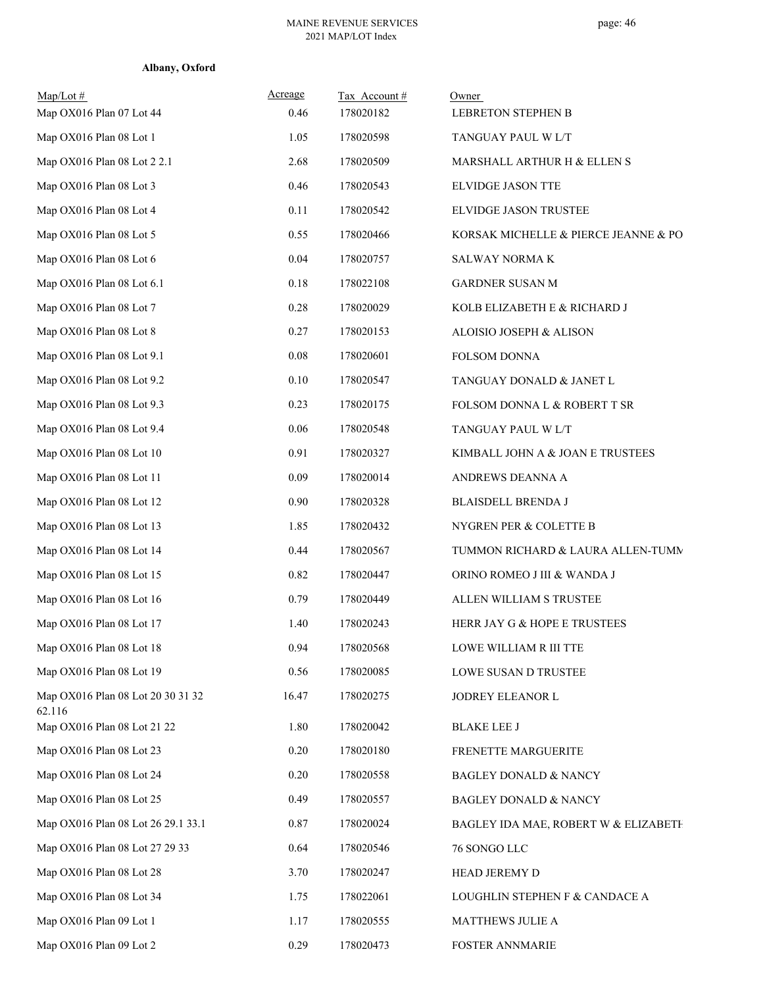| $Map/Lot \#$<br>Map OX016 Plan 07 Lot 44    | Acreage<br>0.46 | Tax Account#<br>178020182 | Owner<br>LEBRETON STEPHEN B          |
|---------------------------------------------|-----------------|---------------------------|--------------------------------------|
| Map OX016 Plan 08 Lot 1                     | 1.05            | 178020598                 | TANGUAY PAUL W L/T                   |
| Map OX016 Plan 08 Lot 2 2.1                 | 2.68            | 178020509                 | MARSHALL ARTHUR H & ELLEN S          |
| Map OX016 Plan 08 Lot 3                     | 0.46            | 178020543                 | ELVIDGE JASON TTE                    |
| Map OX016 Plan 08 Lot 4                     | 0.11            | 178020542                 | ELVIDGE JASON TRUSTEE                |
| Map OX016 Plan 08 Lot 5                     | 0.55            | 178020466                 | KORSAK MICHELLE & PIERCE JEANNE & PO |
| Map OX016 Plan 08 Lot 6                     | 0.04            | 178020757                 | SALWAY NORMA K                       |
| Map OX016 Plan 08 Lot 6.1                   | 0.18            | 178022108                 | GARDNER SUSAN M                      |
| Map OX016 Plan 08 Lot 7                     | 0.28            | 178020029                 | KOLB ELIZABETH E & RICHARD J         |
| Map OX016 Plan 08 Lot 8                     | 0.27            | 178020153                 | ALOISIO JOSEPH & ALISON              |
| Map OX016 Plan 08 Lot 9.1                   | 0.08            | 178020601                 | FOLSOM DONNA                         |
| Map OX016 Plan 08 Lot 9.2                   | 0.10            | 178020547                 | TANGUAY DONALD & JANET L             |
| Map OX016 Plan 08 Lot 9.3                   | 0.23            | 178020175                 | FOLSOM DONNA L & ROBERT T SR         |
| Map OX016 Plan 08 Lot 9.4                   | 0.06            | 178020548                 | TANGUAY PAUL W L/T                   |
| Map OX016 Plan 08 Lot 10                    | 0.91            | 178020327                 | KIMBALL JOHN A & JOAN E TRUSTEES     |
| Map OX016 Plan 08 Lot 11                    | 0.09            | 178020014                 | ANDREWS DEANNA A                     |
| Map OX016 Plan 08 Lot 12                    | 0.90            | 178020328                 | <b>BLAISDELL BRENDA J</b>            |
| Map OX016 Plan 08 Lot 13                    | 1.85            | 178020432                 | NYGREN PER & COLETTE B               |
| Map OX016 Plan 08 Lot 14                    | 0.44            | 178020567                 | TUMMON RICHARD & LAURA ALLEN-TUMM    |
| Map OX016 Plan 08 Lot 15                    | 0.82            | 178020447                 | ORINO ROMEO J III & WANDA J          |
| Map OX016 Plan 08 Lot 16                    | 0.79            | 178020449                 | ALLEN WILLIAM S TRUSTEE              |
| Map OX016 Plan 08 Lot 17                    | 1.40            | 178020243                 | HERR JAY G & HOPE E TRUSTEES         |
| Map OX016 Plan 08 Lot 18                    | 0.94            | 178020568                 | LOWE WILLIAM R III TTE               |
| Map OX016 Plan 08 Lot 19                    | 0.56            | 178020085                 | LOWE SUSAN D TRUSTEE                 |
| Map OX016 Plan 08 Lot 20 30 31 32<br>62.116 | 16.47           | 178020275                 | JODREY ELEANOR L                     |
| Map OX016 Plan 08 Lot 21 22                 | 1.80            | 178020042                 | <b>BLAKE LEE J</b>                   |
| Map OX016 Plan 08 Lot 23                    | 0.20            | 178020180                 | FRENETTE MARGUERITE                  |
| Map OX016 Plan 08 Lot 24                    | 0.20            | 178020558                 | <b>BAGLEY DONALD &amp; NANCY</b>     |
| Map OX016 Plan 08 Lot 25                    | 0.49            | 178020557                 | <b>BAGLEY DONALD &amp; NANCY</b>     |
| Map OX016 Plan 08 Lot 26 29.1 33.1          | 0.87            | 178020024                 | BAGLEY IDA MAE, ROBERT W & ELIZABETH |
| Map OX016 Plan 08 Lot 27 29 33              | 0.64            | 178020546                 | 76 SONGO LLC                         |
| Map OX016 Plan 08 Lot 28                    | 3.70            | 178020247                 | HEAD JEREMY D                        |
| Map OX016 Plan 08 Lot 34                    | 1.75            | 178022061                 | LOUGHLIN STEPHEN F & CANDACE A       |
| Map OX016 Plan 09 Lot 1                     | 1.17            | 178020555                 | MATTHEWS JULIE A                     |
| Map OX016 Plan 09 Lot 2                     | 0.29            | 178020473                 | <b>FOSTER ANNMARIE</b>               |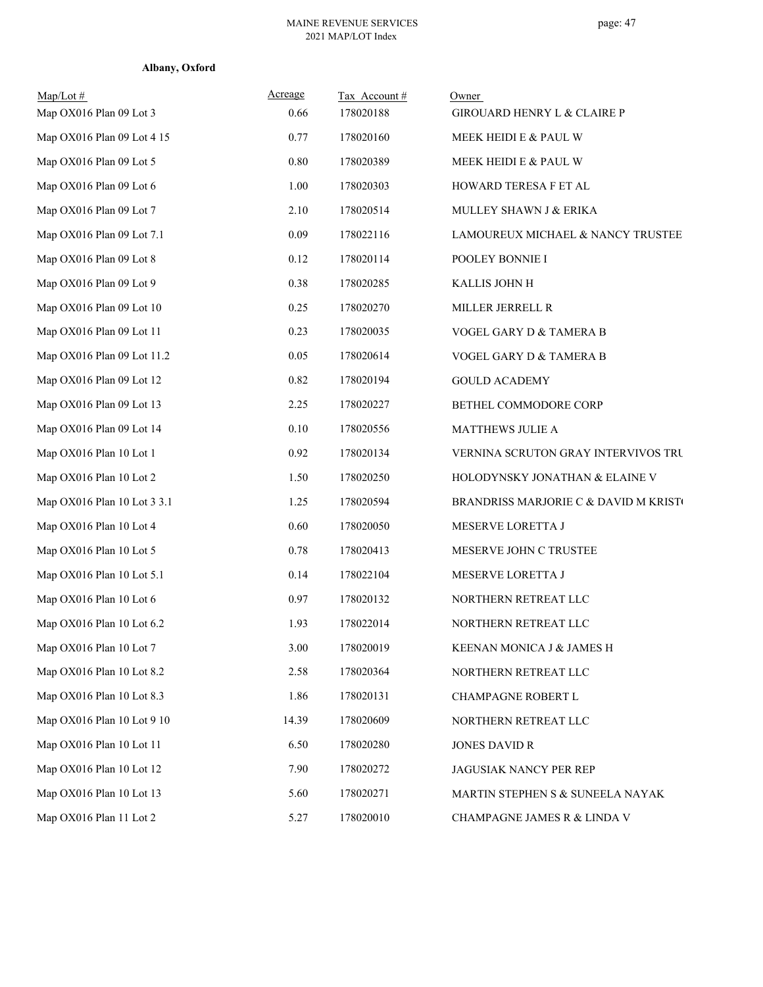| Albany, Oxford |  |
|----------------|--|
|----------------|--|

| $Map/Lot \#$                | Acreage | Tax Account# | Owner                                 |
|-----------------------------|---------|--------------|---------------------------------------|
| Map OX016 Plan 09 Lot 3     | 0.66    | 178020188    | GIROUARD HENRY L & CLAIRE P           |
| Map OX016 Plan 09 Lot 4 15  | 0.77    | 178020160    | MEEK HEIDI E & PAUL W                 |
| Map OX016 Plan 09 Lot 5     | 0.80    | 178020389    | MEEK HEIDI E & PAUL W                 |
| Map OX016 Plan 09 Lot 6     | 1.00    | 178020303    | HOWARD TERESA F ET AL                 |
| Map OX016 Plan 09 Lot 7     | 2.10    | 178020514    | MULLEY SHAWN J & ERIKA                |
| Map OX016 Plan 09 Lot 7.1   | 0.09    | 178022116    | LAMOUREUX MICHAEL & NANCY TRUSTEE     |
| Map OX016 Plan 09 Lot 8     | 0.12    | 178020114    | POOLEY BONNIE I                       |
| Map OX016 Plan 09 Lot 9     | 0.38    | 178020285    | KALLIS JOHN H                         |
| Map OX016 Plan 09 Lot 10    | 0.25    | 178020270    | MILLER JERRELL R                      |
| Map OX016 Plan 09 Lot 11    | 0.23    | 178020035    | VOGEL GARY D & TAMERA B               |
| Map OX016 Plan 09 Lot 11.2  | 0.05    | 178020614    | VOGEL GARY D & TAMERA B               |
| Map OX016 Plan 09 Lot 12    | 0.82    | 178020194    | <b>GOULD ACADEMY</b>                  |
| Map OX016 Plan 09 Lot 13    | 2.25    | 178020227    | BETHEL COMMODORE CORP                 |
| Map OX016 Plan 09 Lot 14    | 0.10    | 178020556    | <b>MATTHEWS JULIE A</b>               |
| Map OX016 Plan 10 Lot 1     | 0.92    | 178020134    | VERNINA SCRUTON GRAY INTERVIVOS TRU   |
| Map OX016 Plan 10 Lot 2     | 1.50    | 178020250    | HOLODYNSKY JONATHAN & ELAINE V        |
| Map OX016 Plan 10 Lot 3 3.1 | 1.25    | 178020594    | BRANDRISS MARJORIE C & DAVID M KRISTO |
| Map OX016 Plan 10 Lot 4     | 0.60    | 178020050    | MESERVE LORETTA J                     |
| Map OX016 Plan 10 Lot 5     | 0.78    | 178020413    | MESERVE JOHN C TRUSTEE                |
| Map OX016 Plan 10 Lot 5.1   | 0.14    | 178022104    | MESERVE LORETTA J                     |
| Map OX016 Plan 10 Lot 6     | 0.97    | 178020132    | NORTHERN RETREAT LLC                  |
| Map OX016 Plan 10 Lot 6.2   | 1.93    | 178022014    | NORTHERN RETREAT LLC                  |
| Map OX016 Plan 10 Lot 7     | 3.00    | 178020019    | KEENAN MONICA J & JAMES H             |
| Map OX016 Plan 10 Lot 8.2   | 2.58    | 178020364    | NORTHERN RETREAT LLC                  |
| Map OX016 Plan 10 Lot 8.3   | 1.86    | 178020131    | CHAMPAGNE ROBERT L                    |
| Map OX016 Plan 10 Lot 9 10  | 14.39   | 178020609    | NORTHERN RETREAT LLC                  |
| Map OX016 Plan 10 Lot 11    | 6.50    | 178020280    | <b>JONES DAVID R</b>                  |
| Map OX016 Plan 10 Lot 12    | 7.90    | 178020272    | JAGUSIAK NANCY PER REP                |
| Map OX016 Plan 10 Lot 13    | 5.60    | 178020271    | MARTIN STEPHEN S & SUNEELA NAYAK      |
| Map OX016 Plan 11 Lot 2     | 5.27    | 178020010    | CHAMPAGNE JAMES R & LINDA V           |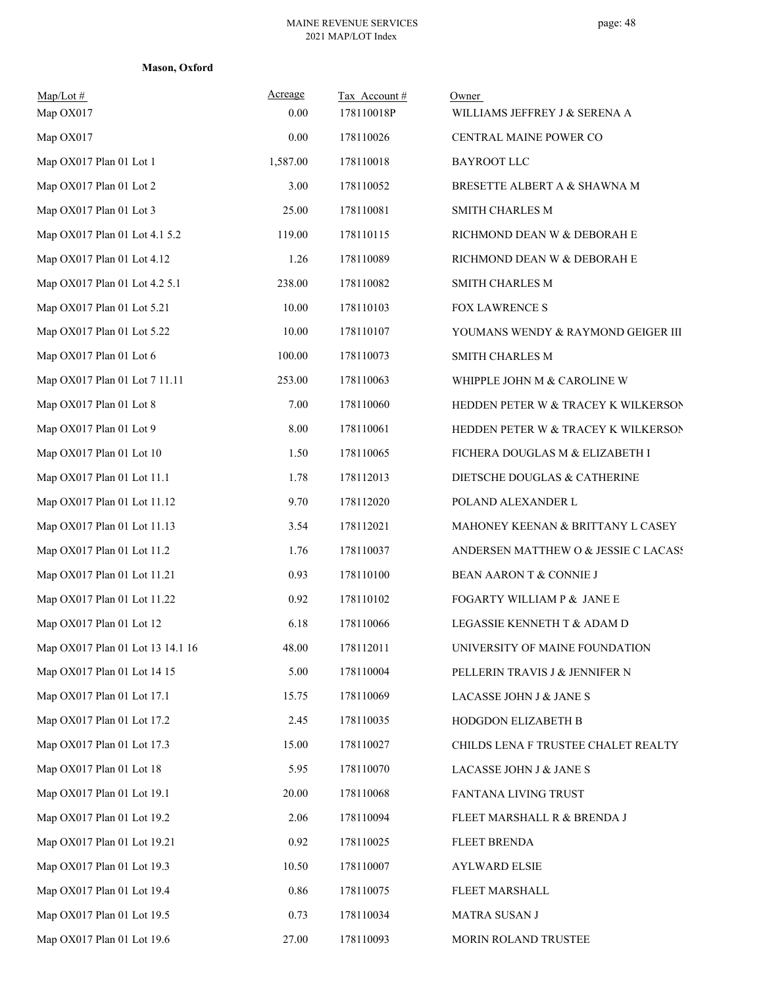| Map/Lot#<br>Map OX017            | Acreage<br>0.00 | Tax Account#<br>178110018P | Owner<br>WILLIAMS JEFFREY J & SERENA A |
|----------------------------------|-----------------|----------------------------|----------------------------------------|
| Map OX017                        | 0.00            | 178110026                  | CENTRAL MAINE POWER CO                 |
| Map OX017 Plan 01 Lot 1          | 1,587.00        | 178110018                  | <b>BAYROOT LLC</b>                     |
| Map OX017 Plan 01 Lot 2          | 3.00            | 178110052                  | BRESETTE ALBERT A & SHAWNA M           |
| Map OX017 Plan 01 Lot 3          | 25.00           | 178110081                  | <b>SMITH CHARLES M</b>                 |
| Map OX017 Plan 01 Lot 4.1 5.2    | 119.00          | 178110115                  | RICHMOND DEAN W & DEBORAH E            |
| Map OX017 Plan 01 Lot 4.12       | 1.26            | 178110089                  | RICHMOND DEAN W & DEBORAH E            |
| Map OX017 Plan 01 Lot 4.2 5.1    | 238.00          | 178110082                  | <b>SMITH CHARLES M</b>                 |
| Map OX017 Plan 01 Lot 5.21       | 10.00           | 178110103                  | <b>FOX LAWRENCE S</b>                  |
| Map OX017 Plan 01 Lot 5.22       | 10.00           | 178110107                  | YOUMANS WENDY & RAYMOND GEIGER III     |
| Map OX017 Plan 01 Lot 6          | 100.00          | 178110073                  | <b>SMITH CHARLES M</b>                 |
| Map OX017 Plan 01 Lot 7 11.11    | 253.00          | 178110063                  | WHIPPLE JOHN M & CAROLINE W            |
| Map OX017 Plan 01 Lot 8          | 7.00            | 178110060                  | HEDDEN PETER W & TRACEY K WILKERSON    |
| Map OX017 Plan 01 Lot 9          | 8.00            | 178110061                  | HEDDEN PETER W & TRACEY K WILKERSON    |
| Map OX017 Plan 01 Lot 10         | 1.50            | 178110065                  | FICHERA DOUGLAS M & ELIZABETH I        |
| Map OX017 Plan 01 Lot 11.1       | 1.78            | 178112013                  | DIETSCHE DOUGLAS & CATHERINE           |
| Map OX017 Plan 01 Lot 11.12      | 9.70            | 178112020                  | POLAND ALEXANDER L                     |
| Map OX017 Plan 01 Lot 11.13      | 3.54            | 178112021                  | MAHONEY KEENAN & BRITTANY L CASEY      |
| Map OX017 Plan 01 Lot 11.2       | 1.76            | 178110037                  | ANDERSEN MATTHEW O & JESSIE C LACASS   |
| Map OX017 Plan 01 Lot 11.21      | 0.93            | 178110100                  | BEAN AARON T & CONNIE J                |
| Map OX017 Plan 01 Lot 11.22      | 0.92            | 178110102                  | FOGARTY WILLIAM P & JANE E             |
| Map OX017 Plan 01 Lot 12         | 6.18            | 178110066                  | LEGASSIE KENNETH T & ADAM D            |
| Map OX017 Plan 01 Lot 13 14.1 16 | 48.00           | 178112011                  | UNIVERSITY OF MAINE FOUNDATION         |
| Map OX017 Plan 01 Lot 14 15      | 5.00            | 178110004                  | PELLERIN TRAVIS J & JENNIFER N         |
| Map OX017 Plan 01 Lot 17.1       | 15.75           | 178110069                  | LACASSE JOHN J & JANE S                |
| Map OX017 Plan 01 Lot 17.2       | 2.45            | 178110035                  | HODGDON ELIZABETH B                    |
| Map OX017 Plan 01 Lot 17.3       | 15.00           | 178110027                  | CHILDS LENA F TRUSTEE CHALET REALTY    |
| Map OX017 Plan 01 Lot 18         | 5.95            | 178110070                  | LACASSE JOHN J & JANE S                |
| Map OX017 Plan 01 Lot 19.1       | 20.00           | 178110068                  | FANTANA LIVING TRUST                   |
| Map OX017 Plan 01 Lot 19.2       | 2.06            | 178110094                  | FLEET MARSHALL R & BRENDA J            |
| Map OX017 Plan 01 Lot 19.21      | 0.92            | 178110025                  | FLEET BRENDA                           |
| Map OX017 Plan 01 Lot 19.3       | 10.50           | 178110007                  | <b>AYLWARD ELSIE</b>                   |
| Map OX017 Plan 01 Lot 19.4       | 0.86            | 178110075                  | FLEET MARSHALL                         |
| Map OX017 Plan 01 Lot 19.5       | 0.73            | 178110034                  | <b>MATRA SUSAN J</b>                   |
| Map OX017 Plan 01 Lot 19.6       | 27.00           | 178110093                  | MORIN ROLAND TRUSTEE                   |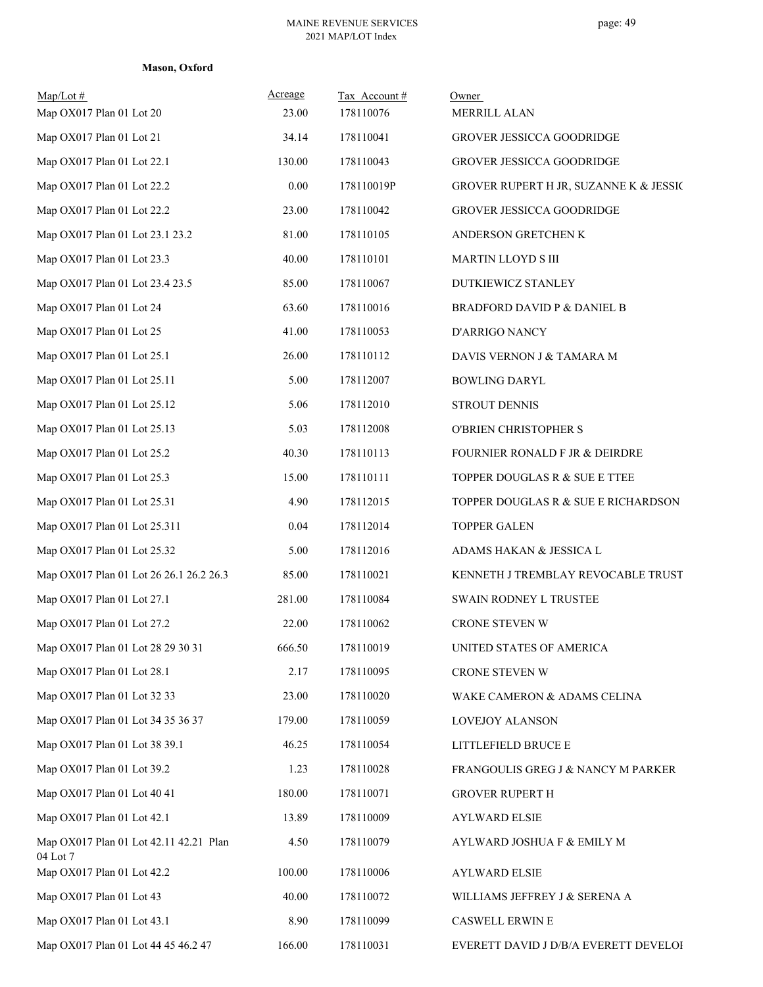#### **Mason, Oxford**

| $Map/Lot \#$<br>Map OX017 Plan 01 Lot 20           | Acreage<br>23.00 | Tax Account#<br>178110076 | Owner<br>MERRILL ALAN                  |
|----------------------------------------------------|------------------|---------------------------|----------------------------------------|
| Map OX017 Plan 01 Lot 21                           | 34.14            | 178110041                 | GROVER JESSICCA GOODRIDGE              |
| Map OX017 Plan 01 Lot 22.1                         | 130.00           | 178110043                 | <b>GROVER JESSICCA GOODRIDGE</b>       |
| Map OX017 Plan 01 Lot 22.2                         | 0.00             | 178110019P                | GROVER RUPERT H JR, SUZANNE K & JESSIC |
| Map OX017 Plan 01 Lot 22.2                         | 23.00            | 178110042                 | GROVER JESSICCA GOODRIDGE              |
| Map OX017 Plan 01 Lot 23.1 23.2                    | 81.00            | 178110105                 | ANDERSON GRETCHEN K                    |
| Map OX017 Plan 01 Lot 23.3                         | 40.00            | 178110101                 | MARTIN LLOYD S III                     |
| Map OX017 Plan 01 Lot 23.4 23.5                    | 85.00            | 178110067                 | DUTKIEWICZ STANLEY                     |
| Map OX017 Plan 01 Lot 24                           | 63.60            | 178110016                 | BRADFORD DAVID P & DANIEL B            |
| Map OX017 Plan 01 Lot 25                           | 41.00            | 178110053                 | D'ARRIGO NANCY                         |
| Map OX017 Plan 01 Lot 25.1                         | 26.00            | 178110112                 | DAVIS VERNON J & TAMARA M              |
| Map OX017 Plan 01 Lot 25.11                        | 5.00             | 178112007                 | <b>BOWLING DARYL</b>                   |
| Map OX017 Plan 01 Lot 25.12                        | 5.06             | 178112010                 | STROUT DENNIS                          |
| Map OX017 Plan 01 Lot 25.13                        | 5.03             | 178112008                 | O'BRIEN CHRISTOPHER S                  |
| Map OX017 Plan 01 Lot 25.2                         | 40.30            | 178110113                 | FOURNIER RONALD F JR & DEIRDRE         |
| Map OX017 Plan 01 Lot 25.3                         | 15.00            | 178110111                 | TOPPER DOUGLAS R & SUE E TTEE          |
| Map OX017 Plan 01 Lot 25.31                        | 4.90             | 178112015                 | TOPPER DOUGLAS R & SUE E RICHARDSON    |
| Map OX017 Plan 01 Lot 25.311                       | 0.04             | 178112014                 | <b>TOPPER GALEN</b>                    |
| Map OX017 Plan 01 Lot 25.32                        | 5.00             | 178112016                 | ADAMS HAKAN & JESSICA L                |
| Map OX017 Plan 01 Lot 26 26.1 26.2 26.3            | 85.00            | 178110021                 | KENNETH J TREMBLAY REVOCABLE TRUST     |
| Map OX017 Plan 01 Lot 27.1                         | 281.00           | 178110084                 | SWAIN RODNEY L TRUSTEE                 |
| Map OX017 Plan 01 Lot 27.2                         | 22.00            | 178110062                 | CRONE STEVEN W                         |
| Map OX017 Plan 01 Lot 28 29 30 31                  | 666.50           | 178110019                 | UNITED STATES OF AMERICA               |
| Map OX017 Plan 01 Lot 28.1                         | 2.17             | 178110095                 | CRONE STEVEN W                         |
| Map OX017 Plan 01 Lot 32 33                        | 23.00            | 178110020                 | WAKE CAMERON & ADAMS CELINA            |
| Map OX017 Plan 01 Lot 34 35 36 37                  | 179.00           | 178110059                 | LOVEJOY ALANSON                        |
| Map OX017 Plan 01 Lot 38 39.1                      | 46.25            | 178110054                 | LITTLEFIELD BRUCE E                    |
| Map OX017 Plan 01 Lot 39.2                         | 1.23             | 178110028                 | FRANGOULIS GREG J & NANCY M PARKER     |
| Map OX017 Plan 01 Lot 40 41                        | 180.00           | 178110071                 | <b>GROVER RUPERT H</b>                 |
| Map OX017 Plan 01 Lot 42.1                         | 13.89            | 178110009                 | <b>AYLWARD ELSIE</b>                   |
| Map OX017 Plan 01 Lot 42.11 42.21 Plan<br>04 Lot 7 | 4.50             | 178110079                 | AYLWARD JOSHUA F & EMILY M             |
| Map OX017 Plan 01 Lot 42.2                         | 100.00           | 178110006                 | <b>AYLWARD ELSIE</b>                   |
| Map OX017 Plan 01 Lot 43                           | 40.00            | 178110072                 | WILLIAMS JEFFREY J & SERENA A          |
| Map OX017 Plan 01 Lot 43.1                         | 8.90             | 178110099                 | CASWELL ERWIN E                        |
| Map OX017 Plan 01 Lot 44 45 46.2 47                | 166.00           | 178110031                 | EVERETT DAVID J D/B/A EVERETT DEVELOI  |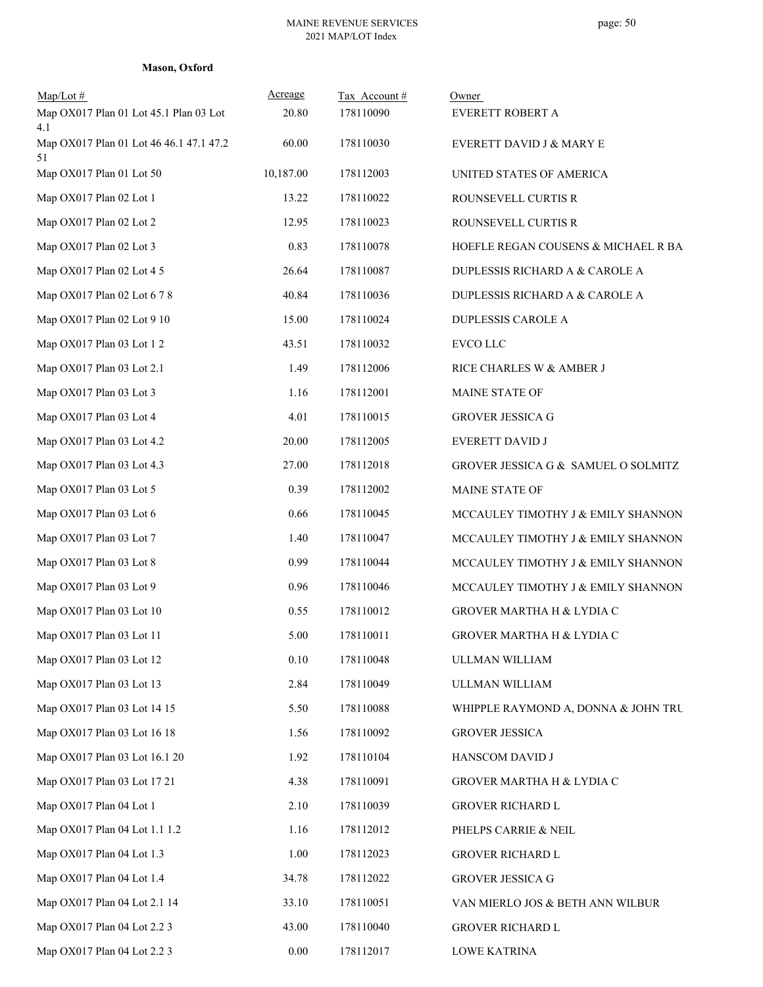#### **Mason, Oxford**

| Map/Lot#                                             | Acreage   | Tax Account# | Owner                               |
|------------------------------------------------------|-----------|--------------|-------------------------------------|
| Map OX017 Plan 01 Lot 45.1 Plan 03 Lot               | 20.80     | 178110090    | EVERETT ROBERT A                    |
| 4.1<br>Map OX017 Plan 01 Lot 46 46.1 47.1 47.2<br>51 | 60.00     | 178110030    | EVERETT DAVID J & MARY E            |
| Map OX017 Plan 01 Lot 50                             | 10,187.00 | 178112003    | UNITED STATES OF AMERICA            |
| Map OX017 Plan 02 Lot 1                              | 13.22     | 178110022    | ROUNSEVELL CURTIS R                 |
| Map OX017 Plan 02 Lot 2                              | 12.95     | 178110023    | ROUNSEVELL CURTIS R                 |
| Map OX017 Plan 02 Lot 3                              | 0.83      | 178110078    | HOEFLE REGAN COUSENS & MICHAEL R BA |
| Map OX017 Plan 02 Lot 4 5                            | 26.64     | 178110087    | DUPLESSIS RICHARD A & CAROLE A      |
| Map OX017 Plan 02 Lot 6 7 8                          | 40.84     | 178110036    | DUPLESSIS RICHARD A & CAROLE A      |
| Map OX017 Plan 02 Lot 9 10                           | 15.00     | 178110024    | DUPLESSIS CAROLE A                  |
| Map OX017 Plan 03 Lot 1 2                            | 43.51     | 178110032    | EVCO LLC                            |
| Map OX017 Plan 03 Lot 2.1                            | 1.49      | 178112006    | RICE CHARLES W & AMBER J            |
| Map OX017 Plan 03 Lot 3                              | 1.16      | 178112001    | MAINE STATE OF                      |
| Map OX017 Plan 03 Lot 4                              | 4.01      | 178110015    | <b>GROVER JESSICA G</b>             |
| Map OX017 Plan 03 Lot 4.2                            | 20.00     | 178112005    | EVERETT DAVID J                     |
| Map OX017 Plan 03 Lot 4.3                            | 27.00     | 178112018    | GROVER JESSICA G & SAMUEL O SOLMITZ |
| Map OX017 Plan 03 Lot 5                              | 0.39      | 178112002    | MAINE STATE OF                      |
| Map OX017 Plan 03 Lot 6                              | 0.66      | 178110045    | MCCAULEY TIMOTHY J & EMILY SHANNON  |
| Map OX017 Plan 03 Lot 7                              | 1.40      | 178110047    | MCCAULEY TIMOTHY J & EMILY SHANNON  |
| Map OX017 Plan 03 Lot 8                              | 0.99      | 178110044    | MCCAULEY TIMOTHY J & EMILY SHANNON  |
| Map OX017 Plan 03 Lot 9                              | 0.96      | 178110046    | MCCAULEY TIMOTHY J & EMILY SHANNON  |
| Map OX017 Plan 03 Lot 10                             | 0.55      | 178110012    | GROVER MARTHA H & LYDIA C           |
| Map OX017 Plan 03 Lot 11                             | 5.00      | 178110011    | GROVER MARTHA H & LYDIA C           |
| Map OX017 Plan 03 Lot 12                             | 0.10      | 178110048    | ULLMAN WILLIAM                      |
| Map OX017 Plan 03 Lot 13                             | 2.84      | 178110049    | ULLMAN WILLIAM                      |
| Map OX017 Plan 03 Lot 14 15                          | 5.50      | 178110088    | WHIPPLE RAYMOND A, DONNA & JOHN TRU |
| Map OX017 Plan 03 Lot 16 18                          | 1.56      | 178110092    | <b>GROVER JESSICA</b>               |
| Map OX017 Plan 03 Lot 16.1 20                        | 1.92      | 178110104    | HANSCOM DAVID J                     |
| Map OX017 Plan 03 Lot 17 21                          | 4.38      | 178110091    | GROVER MARTHA H & LYDIA C           |
| Map OX017 Plan 04 Lot 1                              | 2.10      | 178110039    | GROVER RICHARD L                    |
| Map OX017 Plan 04 Lot 1.1 1.2                        | 1.16      | 178112012    | PHELPS CARRIE & NEIL                |
| Map OX017 Plan 04 Lot 1.3                            | 1.00      | 178112023    | GROVER RICHARD L                    |
| Map OX017 Plan 04 Lot 1.4                            | 34.78     | 178112022    | <b>GROVER JESSICA G</b>             |
| Map OX017 Plan 04 Lot 2.1 14                         | 33.10     | 178110051    | VAN MIERLO JOS & BETH ANN WILBUR    |
| Map OX017 Plan 04 Lot 2.2 3                          | 43.00     | 178110040    | GROVER RICHARD L                    |
| Map OX017 Plan 04 Lot 2.2 3                          | $0.00\,$  | 178112017    | <b>LOWE KATRINA</b>                 |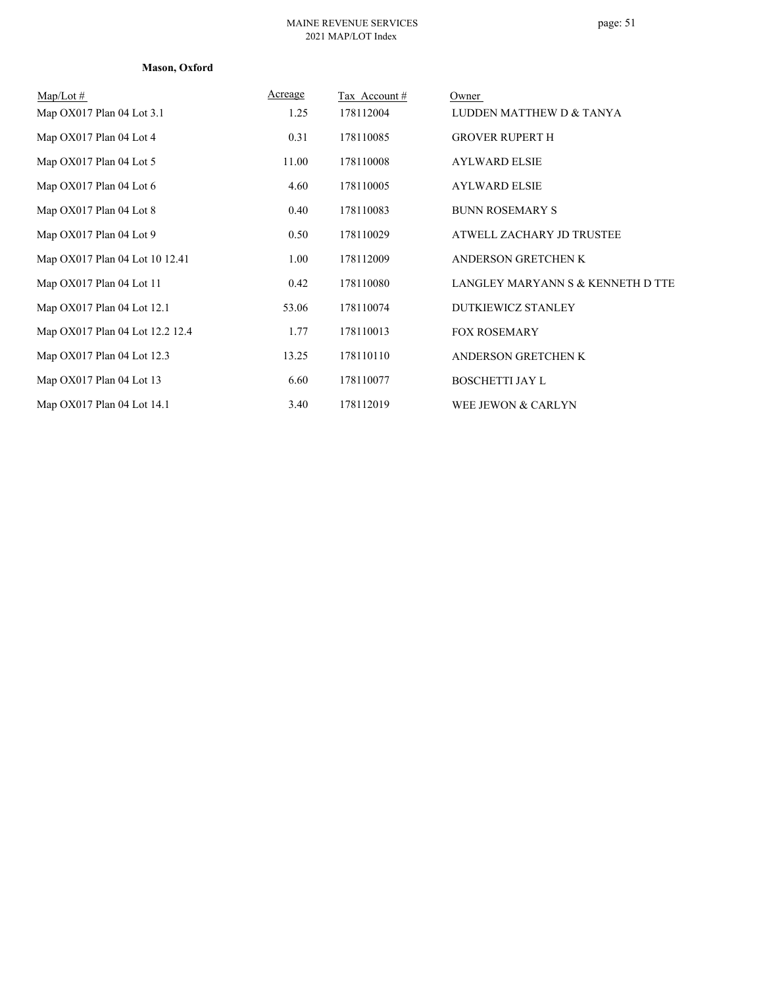#### **Mason, Oxford**

| $Map/Lot \#$                    | Acreage | Tax Account# | Owner                             |
|---------------------------------|---------|--------------|-----------------------------------|
| Map OX017 Plan 04 Lot 3.1       | 1.25    | 178112004    | LUDDEN MATTHEW D & TANYA          |
| Map OX017 Plan 04 Lot 4         | 0.31    | 178110085    | <b>GROVER RUPERT H</b>            |
| Map OX017 Plan 04 Lot 5         | 11.00   | 178110008    | <b>AYLWARD ELSIE</b>              |
| Map OX017 Plan 04 Lot 6         | 4.60    | 178110005    | <b>AYLWARD ELSIE</b>              |
| Map OX017 Plan 04 Lot 8         | 0.40    | 178110083    | <b>BUNN ROSEMARY S</b>            |
| Map OX017 Plan 04 Lot 9         | 0.50    | 178110029    | ATWELL ZACHARY JD TRUSTEE         |
| Map OX017 Plan 04 Lot 10 12.41  | 1.00    | 178112009    | ANDERSON GRETCHEN K               |
| Map OX017 Plan 04 Lot 11        | 0.42    | 178110080    | LANGLEY MARYANN S & KENNETH D TTE |
| Map OX017 Plan 04 Lot 12.1      | 53.06   | 178110074    | DUTKIEWICZ STANLEY                |
| Map OX017 Plan 04 Lot 12.2 12.4 | 1.77    | 178110013    | <b>FOX ROSEMARY</b>               |
| Map OX017 Plan 04 Lot 12.3      | 13.25   | 178110110    | ANDERSON GRETCHEN K               |
| Map OX017 Plan 04 Lot 13        | 6.60    | 178110077    | <b>BOSCHETTI JAY L</b>            |
| Map OX017 Plan 04 Lot 14.1      | 3.40    | 178112019    | WEE JEWON & CARLYN                |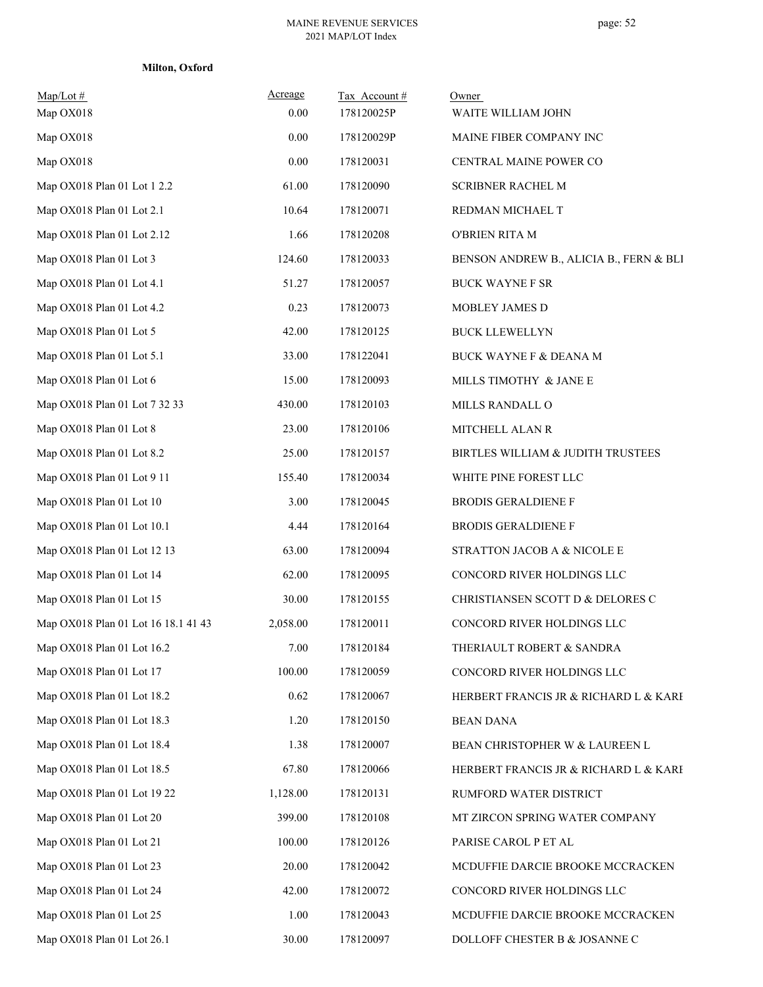|  | Milton, Oxford |
|--|----------------|
|--|----------------|

| $Map/Lot \#$<br>Map OX018           | Acreage<br>$0.00\,$ | Tax Account#<br>178120025P | Owner<br>WAITE WILLIAM JOHN             |
|-------------------------------------|---------------------|----------------------------|-----------------------------------------|
| Map OX018                           | $0.00\,$            | 178120029P                 | MAINE FIBER COMPANY INC                 |
| Map OX018                           | $0.00\,$            | 178120031                  | CENTRAL MAINE POWER CO                  |
| Map OX018 Plan 01 Lot 1 2.2         | 61.00               | 178120090                  | <b>SCRIBNER RACHEL M</b>                |
| Map OX018 Plan 01 Lot 2.1           | 10.64               | 178120071                  | REDMAN MICHAEL T                        |
| Map OX018 Plan 01 Lot 2.12          | 1.66                | 178120208                  | O'BRIEN RITA M                          |
| Map OX018 Plan 01 Lot 3             | 124.60              | 178120033                  | BENSON ANDREW B., ALICIA B., FERN & BLI |
| Map OX018 Plan 01 Lot 4.1           | 51.27               | 178120057                  | <b>BUCK WAYNE F SR</b>                  |
| Map OX018 Plan 01 Lot 4.2           | 0.23                | 178120073                  | MOBLEY JAMES D                          |
| Map OX018 Plan 01 Lot 5             | 42.00               | 178120125                  | <b>BUCK LLEWELLYN</b>                   |
| Map OX018 Plan 01 Lot 5.1           | 33.00               | 178122041                  | <b>BUCK WAYNE F &amp; DEANA M</b>       |
| Map OX018 Plan 01 Lot 6             | 15.00               | 178120093                  | MILLS TIMOTHY & JANE E                  |
| Map OX018 Plan 01 Lot 7 32 33       | 430.00              | 178120103                  | MILLS RANDALL O                         |
| Map OX018 Plan 01 Lot 8             | 23.00               | 178120106                  | MITCHELL ALAN R                         |
| Map OX018 Plan 01 Lot 8.2           | 25.00               | 178120157                  | BIRTLES WILLIAM & JUDITH TRUSTEES       |
| Map OX018 Plan 01 Lot 9 11          | 155.40              | 178120034                  | WHITE PINE FOREST LLC                   |
| Map OX018 Plan 01 Lot 10            | 3.00                | 178120045                  | <b>BRODIS GERALDIENE F</b>              |
| Map OX018 Plan 01 Lot 10.1          | 4.44                | 178120164                  | <b>BRODIS GERALDIENE F</b>              |
| Map OX018 Plan 01 Lot 12 13         | 63.00               | 178120094                  | STRATTON JACOB A & NICOLE E             |
| Map OX018 Plan 01 Lot 14            | 62.00               | 178120095                  | CONCORD RIVER HOLDINGS LLC              |
| Map OX018 Plan 01 Lot 15            | 30.00               | 178120155                  | CHRISTIANSEN SCOTT D & DELORES C        |
| Map OX018 Plan 01 Lot 16 18.1 41 43 | 2,058.00            | 178120011                  | CONCORD RIVER HOLDINGS LLC              |
| Map OX018 Plan 01 Lot 16.2          | 7.00                | 178120184                  | THERIAULT ROBERT & SANDRA               |
| Map OX018 Plan 01 Lot 17            | 100.00              | 178120059                  | CONCORD RIVER HOLDINGS LLC              |
| Map OX018 Plan 01 Lot 18.2          | 0.62                | 178120067                  | HERBERT FRANCIS JR & RICHARD L & KARE   |
| Map OX018 Plan 01 Lot 18.3          | 1.20                | 178120150                  | <b>BEAN DANA</b>                        |
| Map OX018 Plan 01 Lot 18.4          | 1.38                | 178120007                  | BEAN CHRISTOPHER W & LAUREEN L          |
| Map OX018 Plan 01 Lot 18.5          | 67.80               | 178120066                  | HERBERT FRANCIS JR & RICHARD L & KARE   |
| Map OX018 Plan 01 Lot 19 22         | 1,128.00            | 178120131                  | RUMFORD WATER DISTRICT                  |
| Map OX018 Plan 01 Lot 20            | 399.00              | 178120108                  | MT ZIRCON SPRING WATER COMPANY          |
| Map OX018 Plan 01 Lot 21            | 100.00              | 178120126                  | PARISE CAROL P ET AL                    |
| Map OX018 Plan 01 Lot 23            | 20.00               | 178120042                  | MCDUFFIE DARCIE BROOKE MCCRACKEN        |
| Map OX018 Plan 01 Lot 24            | 42.00               | 178120072                  | CONCORD RIVER HOLDINGS LLC              |
| Map OX018 Plan 01 Lot 25            | 1.00                | 178120043                  | MCDUFFIE DARCIE BROOKE MCCRACKEN        |
| Map OX018 Plan 01 Lot 26.1          | 30.00               | 178120097                  | DOLLOFF CHESTER B $\&$ JOSANNE C        |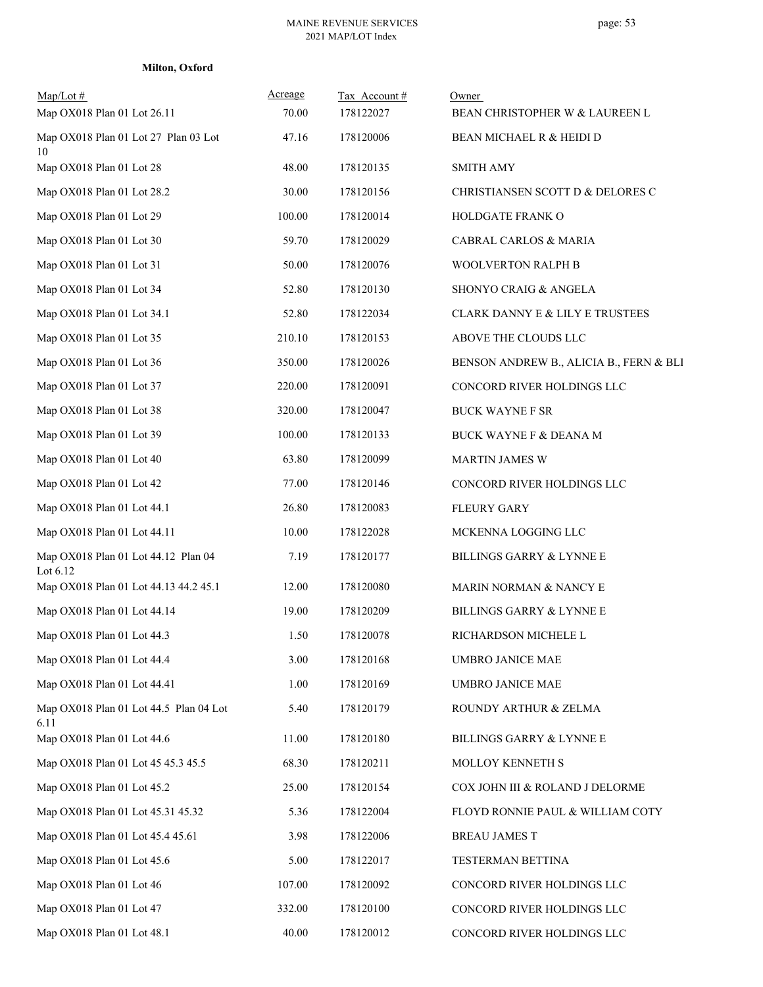| Milton, Oxford |  |
|----------------|--|
|----------------|--|

| $Map/Lot \#$<br>Map OX018 Plan 01 Lot 26.11       | Acreage<br>70.00 | Tax Account#<br>178122027 | Owner<br>BEAN CHRISTOPHER W & LAUREEN L |
|---------------------------------------------------|------------------|---------------------------|-----------------------------------------|
| Map OX018 Plan 01 Lot 27 Plan 03 Lot<br>10        | 47.16            | 178120006                 | BEAN MICHAEL R & HEIDI D                |
| Map OX018 Plan 01 Lot 28                          | 48.00            | 178120135                 | <b>SMITH AMY</b>                        |
| Map OX018 Plan 01 Lot 28.2                        | 30.00            | 178120156                 | CHRISTIANSEN SCOTT D & DELORES C        |
| Map OX018 Plan 01 Lot 29                          | 100.00           | 178120014                 | HOLDGATE FRANK O                        |
| Map OX018 Plan 01 Lot 30                          | 59.70            | 178120029                 | CABRAL CARLOS & MARIA                   |
| Map OX018 Plan 01 Lot 31                          | 50.00            | 178120076                 | WOOLVERTON RALPH B                      |
| Map OX018 Plan 01 Lot 34                          | 52.80            | 178120130                 | SHONYO CRAIG & ANGELA                   |
| Map OX018 Plan 01 Lot 34.1                        | 52.80            | 178122034                 | CLARK DANNY E & LILY E TRUSTEES         |
| Map OX018 Plan 01 Lot 35                          | 210.10           | 178120153                 | ABOVE THE CLOUDS LLC                    |
| Map OX018 Plan 01 Lot 36                          | 350.00           | 178120026                 | BENSON ANDREW B., ALICIA B., FERN & BLI |
| Map OX018 Plan 01 Lot 37                          | 220.00           | 178120091                 | CONCORD RIVER HOLDINGS LLC              |
| Map OX018 Plan 01 Lot 38                          | 320.00           | 178120047                 | <b>BUCK WAYNE F SR</b>                  |
| Map OX018 Plan 01 Lot 39                          | 100.00           | 178120133                 | <b>BUCK WAYNE F &amp; DEANA M</b>       |
| Map OX018 Plan 01 Lot 40                          | 63.80            | 178120099                 | <b>MARTIN JAMES W</b>                   |
| Map OX018 Plan 01 Lot 42                          | 77.00            | 178120146                 | CONCORD RIVER HOLDINGS LLC              |
| Map OX018 Plan 01 Lot 44.1                        | 26.80            | 178120083                 | <b>FLEURY GARY</b>                      |
| Map OX018 Plan 01 Lot 44.11                       | 10.00            | 178122028                 | MCKENNA LOGGING LLC                     |
| Map OX018 Plan 01 Lot 44.12 Plan 04<br>Lot $6.12$ | 7.19             | 178120177                 | BILLINGS GARRY & LYNNE E                |
| Map OX018 Plan 01 Lot 44.13 44.2 45.1             | 12.00            | 178120080                 | MARIN NORMAN & NANCY E                  |
| Map OX018 Plan 01 Lot 44.14                       | 19.00            | 178120209                 | <b>BILLINGS GARRY &amp; LYNNE E</b>     |
| Map OX018 Plan 01 Lot 44.3                        | 1.50             | 178120078                 | RICHARDSON MICHELE L                    |
| Map OX018 Plan 01 Lot 44.4                        | 3.00             | 178120168                 | <b>UMBRO JANICE MAE</b>                 |
| Map OX018 Plan 01 Lot 44.41                       | 1.00             | 178120169                 | <b>UMBRO JANICE MAE</b>                 |
| Map OX018 Plan 01 Lot 44.5 Plan 04 Lot<br>6.11    | 5.40             | 178120179                 | ROUNDY ARTHUR & ZELMA                   |
| Map OX018 Plan 01 Lot 44.6                        | 11.00            | 178120180                 | BILLINGS GARRY & LYNNE E                |
| Map OX018 Plan 01 Lot 45 45.3 45.5                | 68.30            | 178120211                 | MOLLOY KENNETH S                        |
| Map OX018 Plan 01 Lot 45.2                        | 25.00            | 178120154                 | COX JOHN III & ROLAND J DELORME         |
| Map OX018 Plan 01 Lot 45.31 45.32                 | 5.36             | 178122004                 | FLOYD RONNIE PAUL & WILLIAM COTY        |
| Map OX018 Plan 01 Lot 45.4 45.61                  | 3.98             | 178122006                 | <b>BREAU JAMES T</b>                    |
| Map OX018 Plan 01 Lot 45.6                        | 5.00             | 178122017                 | TESTERMAN BETTINA                       |
| Map OX018 Plan 01 Lot 46                          | 107.00           | 178120092                 | CONCORD RIVER HOLDINGS LLC              |
| Map OX018 Plan 01 Lot 47                          | 332.00           | 178120100                 | CONCORD RIVER HOLDINGS LLC              |
| Map OX018 Plan 01 Lot 48.1                        | 40.00            | 178120012                 | CONCORD RIVER HOLDINGS LLC              |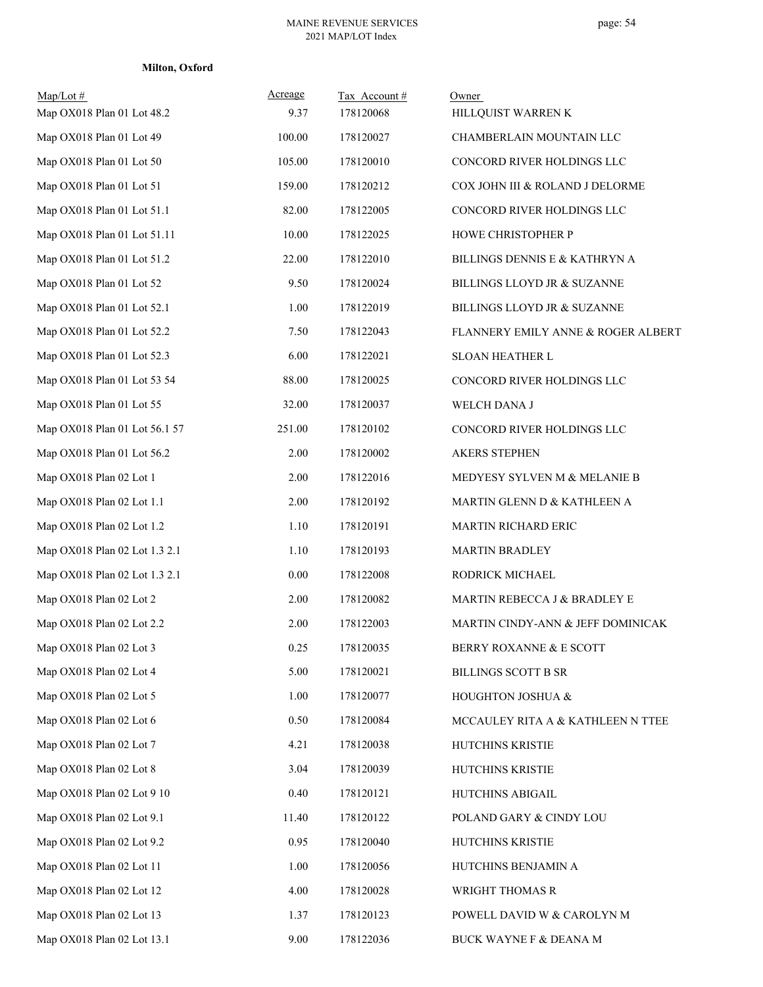| Milton, Oxford |  |
|----------------|--|
|----------------|--|

| $Map/Lot \#$<br>Map OX018 Plan 01 Lot 48.2 | Acreage<br>9.37 | Tax Account#<br>178120068 | Owner<br>HILLQUIST WARREN K        |
|--------------------------------------------|-----------------|---------------------------|------------------------------------|
| Map OX018 Plan 01 Lot 49                   | 100.00          | 178120027                 | CHAMBERLAIN MOUNTAIN LLC           |
| Map OX018 Plan 01 Lot 50                   | 105.00          | 178120010                 | CONCORD RIVER HOLDINGS LLC         |
| Map OX018 Plan 01 Lot 51                   | 159.00          | 178120212                 | COX JOHN III & ROLAND J DELORME    |
| Map OX018 Plan 01 Lot 51.1                 | 82.00           | 178122005                 | CONCORD RIVER HOLDINGS LLC         |
| Map OX018 Plan 01 Lot 51.11                | 10.00           | 178122025                 | HOWE CHRISTOPHER P                 |
| Map OX018 Plan 01 Lot 51.2                 | 22.00           | 178122010                 | BILLINGS DENNIS E & KATHRYN A      |
| Map OX018 Plan 01 Lot 52                   | 9.50            | 178120024                 | BILLINGS LLOYD JR & SUZANNE        |
| Map OX018 Plan 01 Lot 52.1                 | 1.00            | 178122019                 | BILLINGS LLOYD JR & SUZANNE        |
| Map OX018 Plan 01 Lot 52.2                 | 7.50            | 178122043                 | FLANNERY EMILY ANNE & ROGER ALBERT |
| Map OX018 Plan 01 Lot 52.3                 | 6.00            | 178122021                 | SLOAN HEATHER L                    |
| Map OX018 Plan 01 Lot 53 54                | 88.00           | 178120025                 | CONCORD RIVER HOLDINGS LLC         |
| Map OX018 Plan 01 Lot 55                   | 32.00           | 178120037                 | WELCH DANA J                       |
| Map OX018 Plan 01 Lot 56.1 57              | 251.00          | 178120102                 | CONCORD RIVER HOLDINGS LLC         |
| Map OX018 Plan 01 Lot 56.2                 | 2.00            | 178120002                 | <b>AKERS STEPHEN</b>               |
| Map OX018 Plan 02 Lot 1                    | 2.00            | 178122016                 | MEDYESY SYLVEN M & MELANIE B       |
| Map OX018 Plan 02 Lot 1.1                  | 2.00            | 178120192                 | MARTIN GLENN D & KATHLEEN A        |
| Map OX018 Plan 02 Lot 1.2                  | 1.10            | 178120191                 | MARTIN RICHARD ERIC                |
| Map OX018 Plan 02 Lot 1.3 2.1              | 1.10            | 178120193                 | <b>MARTIN BRADLEY</b>              |
| Map OX018 Plan 02 Lot 1.3 2.1              | $0.00\,$        | 178122008                 | RODRICK MICHAEL                    |
| Map OX018 Plan 02 Lot 2                    | 2.00            | 178120082                 | MARTIN REBECCA J & BRADLEY E       |
| Map OX018 Plan 02 Lot 2.2                  | 2.00            | 178122003                 | MARTIN CINDY-ANN & JEFF DOMINICAK  |
| Map OX018 Plan 02 Lot 3                    | 0.25            | 178120035                 | BERRY ROXANNE & E SCOTT            |
| Map OX018 Plan 02 Lot 4                    | 5.00            | 178120021                 | <b>BILLINGS SCOTT B SR</b>         |
| Map OX018 Plan 02 Lot 5                    | 1.00            | 178120077                 | HOUGHTON JOSHUA &                  |
| Map OX018 Plan 02 Lot 6                    | 0.50            | 178120084                 | MCCAULEY RITA A & KATHLEEN N TTEE  |
| Map OX018 Plan 02 Lot 7                    | 4.21            | 178120038                 | HUTCHINS KRISTIE                   |
| Map OX018 Plan 02 Lot 8                    | 3.04            | 178120039                 | HUTCHINS KRISTIE                   |
| Map OX018 Plan 02 Lot 9 10                 | 0.40            | 178120121                 | HUTCHINS ABIGAIL                   |
| Map OX018 Plan 02 Lot 9.1                  | 11.40           | 178120122                 | POLAND GARY & CINDY LOU            |
| Map OX018 Plan 02 Lot 9.2                  | 0.95            | 178120040                 | HUTCHINS KRISTIE                   |
| Map OX018 Plan 02 Lot 11                   | 1.00            | 178120056                 | HUTCHINS BENJAMIN A                |
| Map OX018 Plan 02 Lot 12                   | 4.00            | 178120028                 | WRIGHT THOMAS R                    |
| Map OX018 Plan 02 Lot 13                   | 1.37            | 178120123                 | POWELL DAVID W & CAROLYN M         |
| Map OX018 Plan 02 Lot 13.1                 | 9.00            | 178122036                 | BUCK WAYNE F & DEANA M             |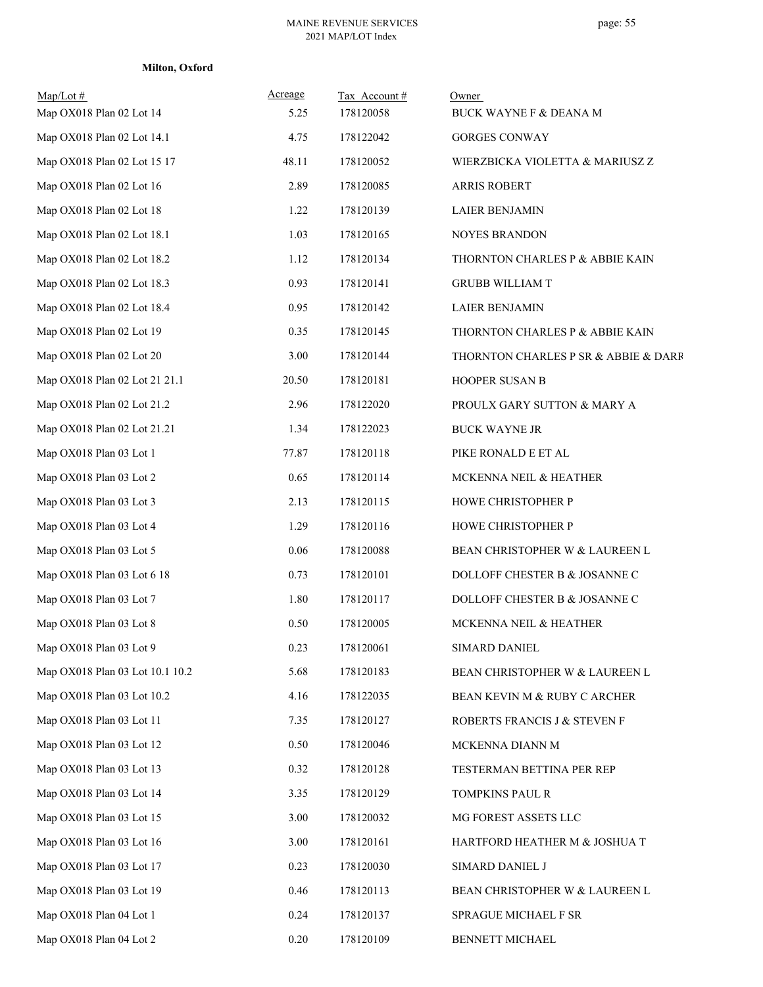# **Milton, Oxford**

| $Map/Lot \#$<br>Map OX018 Plan 02 Lot 14 | Acreage<br>5.25 | Tax Account #<br>178120058 | Owner<br>BUCK WAYNE F & DEANA M      |
|------------------------------------------|-----------------|----------------------------|--------------------------------------|
| Map OX018 Plan 02 Lot 14.1               | 4.75            | 178122042                  | <b>GORGES CONWAY</b>                 |
| Map OX018 Plan 02 Lot 15 17              | 48.11           | 178120052                  | WIERZBICKA VIOLETTA & MARIUSZ Z      |
| Map OX018 Plan 02 Lot 16                 | 2.89            | 178120085                  | <b>ARRIS ROBERT</b>                  |
| Map OX018 Plan 02 Lot 18                 | 1.22            | 178120139                  | <b>LAIER BENJAMIN</b>                |
| Map OX018 Plan 02 Lot 18.1               | 1.03            | 178120165                  | <b>NOYES BRANDON</b>                 |
| Map OX018 Plan 02 Lot 18.2               | 1.12            | 178120134                  | THORNTON CHARLES P & ABBIE KAIN      |
| Map OX018 Plan 02 Lot 18.3               | 0.93            | 178120141                  | <b>GRUBB WILLIAM T</b>               |
| Map OX018 Plan 02 Lot 18.4               | 0.95            | 178120142                  | <b>LAIER BENJAMIN</b>                |
| Map OX018 Plan 02 Lot 19                 | 0.35            | 178120145                  | THORNTON CHARLES P & ABBIE KAIN      |
| Map OX018 Plan 02 Lot 20                 | 3.00            | 178120144                  | THORNTON CHARLES P SR & ABBIE & DARR |
| Map OX018 Plan 02 Lot 21 21.1            | 20.50           | 178120181                  | HOOPER SUSAN B                       |
| Map OX018 Plan 02 Lot 21.2               | 2.96            | 178122020                  | PROULX GARY SUTTON & MARY A          |
| Map OX018 Plan 02 Lot 21.21              | 1.34            | 178122023                  | <b>BUCK WAYNE JR</b>                 |
| Map OX018 Plan 03 Lot 1                  | 77.87           | 178120118                  | PIKE RONALD E ET AL                  |
| Map OX018 Plan 03 Lot 2                  | 0.65            | 178120114                  | MCKENNA NEIL & HEATHER               |
| Map OX018 Plan 03 Lot 3                  | 2.13            | 178120115                  | HOWE CHRISTOPHER P                   |
| Map OX018 Plan 03 Lot 4                  | 1.29            | 178120116                  | HOWE CHRISTOPHER P                   |
| Map OX018 Plan 03 Lot 5                  | 0.06            | 178120088                  | BEAN CHRISTOPHER W & LAUREEN L       |
| Map OX018 Plan 03 Lot 6 18               | 0.73            | 178120101                  | DOLLOFF CHESTER B & JOSANNE C        |
| Map OX018 Plan 03 Lot 7                  | 1.80            | 178120117                  | DOLLOFF CHESTER B & JOSANNE C        |
| Map OX018 Plan 03 Lot 8                  | 0.50            | 178120005                  | MCKENNA NEIL & HEATHER               |
| Map OX018 Plan 03 Lot 9                  | 0.23            | 178120061                  | SIMARD DANIEL                        |
| Map OX018 Plan 03 Lot 10.1 10.2          | 5.68            | 178120183                  | BEAN CHRISTOPHER W & LAUREEN L       |
| Map OX018 Plan 03 Lot 10.2               | 4.16            | 178122035                  | BEAN KEVIN M & RUBY C ARCHER         |
| Map OX018 Plan 03 Lot 11                 | 7.35            | 178120127                  | ROBERTS FRANCIS J & STEVEN F         |
| Map OX018 Plan 03 Lot 12                 | 0.50            | 178120046                  | MCKENNA DIANN M                      |
| Map OX018 Plan 03 Lot 13                 | 0.32            | 178120128                  | TESTERMAN BETTINA PER REP            |
| Map OX018 Plan 03 Lot 14                 | 3.35            | 178120129                  | TOMPKINS PAUL R                      |
| Map OX018 Plan 03 Lot 15                 | 3.00            | 178120032                  | MG FOREST ASSETS LLC                 |
| Map OX018 Plan 03 Lot 16                 | 3.00            | 178120161                  | HARTFORD HEATHER M & JOSHUA T        |
| Map OX018 Plan 03 Lot 17                 | 0.23            | 178120030                  | SIMARD DANIEL J                      |
| Map OX018 Plan 03 Lot 19                 | 0.46            | 178120113                  | BEAN CHRISTOPHER W & LAUREEN L       |
| Map OX018 Plan 04 Lot 1                  | 0.24            | 178120137                  | SPRAGUE MICHAEL F SR                 |
| Map OX018 Plan 04 Lot 2                  | $0.20\,$        | 178120109                  | BENNETT MICHAEL                      |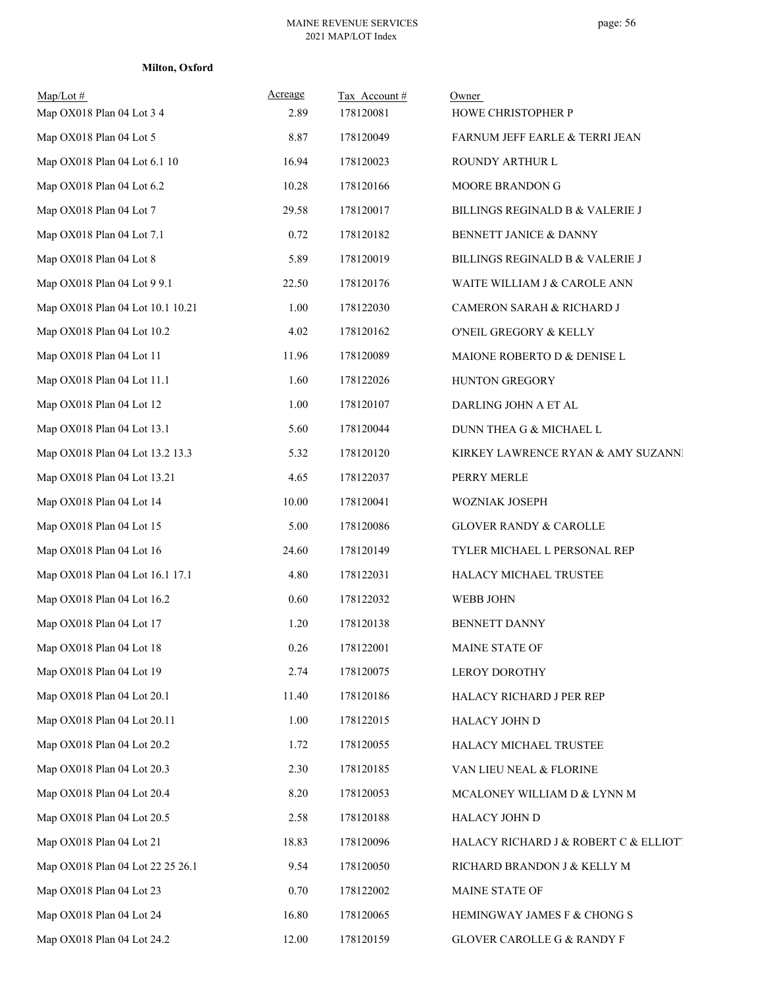# **Milton, Oxford**

| $Map/Lot \#$<br>Map OX018 Plan 04 Lot 3 4 | Acreage<br>2.89 | Tax Account#<br>178120081 | Owner<br>HOWE CHRISTOPHER P           |
|-------------------------------------------|-----------------|---------------------------|---------------------------------------|
| Map OX018 Plan 04 Lot 5                   | 8.87            | 178120049                 | FARNUM JEFF EARLE & TERRI JEAN        |
| Map OX018 Plan 04 Lot 6.1 10              | 16.94           | 178120023                 | ROUNDY ARTHUR L                       |
| Map OX018 Plan 04 Lot 6.2                 | 10.28           | 178120166                 | MOORE BRANDON G                       |
| Map OX018 Plan 04 Lot 7                   | 29.58           | 178120017                 | BILLINGS REGINALD B & VALERIE J       |
| Map OX018 Plan 04 Lot 7.1                 | 0.72            | 178120182                 | BENNETT JANICE & DANNY                |
| Map OX018 Plan 04 Lot 8                   | 5.89            | 178120019                 | BILLINGS REGINALD B & VALERIE J       |
| Map OX018 Plan 04 Lot 9 9.1               | 22.50           | 178120176                 | WAITE WILLIAM J & CAROLE ANN          |
| Map OX018 Plan 04 Lot 10.1 10.21          | 1.00            | 178122030                 | CAMERON SARAH & RICHARD J             |
| Map OX018 Plan 04 Lot 10.2                | 4.02            | 178120162                 | O'NEIL GREGORY & KELLY                |
| Map OX018 Plan 04 Lot 11                  | 11.96           | 178120089                 | MAIONE ROBERTO D & DENISE L           |
| Map OX018 Plan 04 Lot 11.1                | 1.60            | 178122026                 | HUNTON GREGORY                        |
| Map OX018 Plan 04 Lot 12                  | 1.00            | 178120107                 | DARLING JOHN A ET AL                  |
| Map OX018 Plan 04 Lot 13.1                | 5.60            | 178120044                 | DUNN THEA G & MICHAEL L               |
| Map OX018 Plan 04 Lot 13.2 13.3           | 5.32            | 178120120                 | KIRKEY LAWRENCE RYAN & AMY SUZANNI    |
| Map OX018 Plan 04 Lot 13.21               | 4.65            | 178122037                 | PERRY MERLE                           |
| Map OX018 Plan 04 Lot 14                  | 10.00           | 178120041                 | WOZNIAK JOSEPH                        |
| Map OX018 Plan 04 Lot 15                  | 5.00            | 178120086                 | <b>GLOVER RANDY &amp; CAROLLE</b>     |
| Map OX018 Plan 04 Lot 16                  | 24.60           | 178120149                 | TYLER MICHAEL L PERSONAL REP          |
| Map OX018 Plan 04 Lot 16.1 17.1           | 4.80            | 178122031                 | HALACY MICHAEL TRUSTEE                |
| Map OX018 Plan 04 Lot 16.2                | 0.60            | 178122032                 | WEBB JOHN                             |
| Map OX018 Plan 04 Lot 17                  | 1.20            | 178120138                 | <b>BENNETT DANNY</b>                  |
| Map OX018 Plan 04 Lot 18                  | 0.26            | 178122001                 | MAINE STATE OF                        |
| Map OX018 Plan 04 Lot 19                  | 2.74            | 178120075                 | LEROY DOROTHY                         |
| Map OX018 Plan 04 Lot 20.1                | 11.40           | 178120186                 | HALACY RICHARD J PER REP              |
| Map OX018 Plan 04 Lot 20.11               | 1.00            | 178122015                 | HALACY JOHN D                         |
| Map OX018 Plan 04 Lot 20.2                | 1.72            | 178120055                 | HALACY MICHAEL TRUSTEE                |
| Map OX018 Plan 04 Lot 20.3                | 2.30            | 178120185                 | VAN LIEU NEAL & FLORINE               |
| Map OX018 Plan 04 Lot 20.4                | 8.20            | 178120053                 | MCALONEY WILLIAM D & LYNN M           |
| Map OX018 Plan 04 Lot 20.5                | 2.58            | 178120188                 | HALACY JOHN D                         |
| Map OX018 Plan 04 Lot 21                  | 18.83           | 178120096                 | HALACY RICHARD J & ROBERT C & ELLIOTI |
| Map OX018 Plan 04 Lot 22 25 26.1          | 9.54            | 178120050                 | RICHARD BRANDON J & KELLY M           |
| Map OX018 Plan 04 Lot 23                  | 0.70            | 178122002                 | MAINE STATE OF                        |
| Map OX018 Plan 04 Lot 24                  | 16.80           | 178120065                 | HEMINGWAY JAMES F & CHONG S           |
| Map OX018 Plan 04 Lot 24.2                | 12.00           | 178120159                 | GLOVER CAROLLE G & RANDY F            |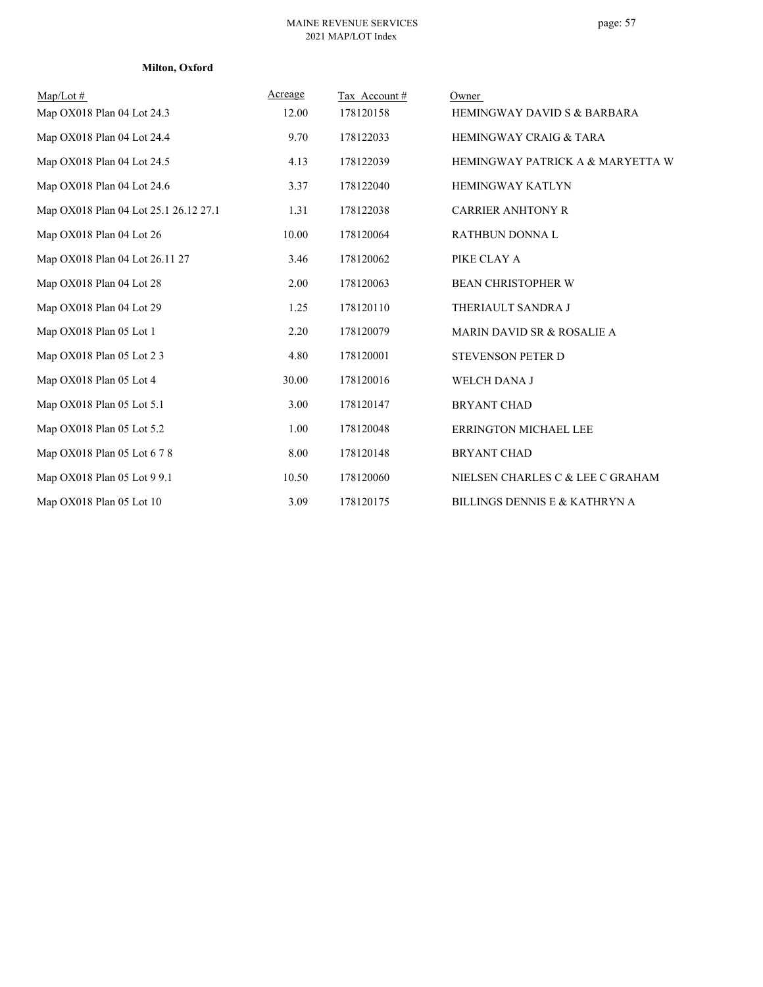#### **Milton, Oxford**

| Map/Lot $#$<br>Map OX018 Plan 04 Lot 24.3 | Acreage<br>12.00 | Tax Account#<br>178120158 | Owner<br><b>HEMINGWAY DAVID S &amp; BARBARA</b> |
|-------------------------------------------|------------------|---------------------------|-------------------------------------------------|
| Map OX018 Plan 04 Lot 24.4                | 9.70             | 178122033                 | <b>HEMINGWAY CRAIG &amp; TARA</b>               |
| Map OX018 Plan 04 Lot 24.5                | 4.13             | 178122039                 | HEMINGWAY PATRICK A & MARYETTA W                |
| Map OX018 Plan 04 Lot 24.6                | 3.37             | 178122040                 | <b>HEMINGWAY KATLYN</b>                         |
| Map OX018 Plan 04 Lot 25.1 26.12 27.1     | 1.31             | 178122038                 | <b>CARRIER ANHTONY R</b>                        |
| Map OX018 Plan 04 Lot 26                  | 10.00            | 178120064                 | RATHBUN DONNA L                                 |
| Map OX018 Plan 04 Lot 26.11 27            | 3.46             | 178120062                 | PIKE CLAY A                                     |
| Map OX018 Plan 04 Lot 28                  | 2.00             | 178120063                 | <b>BEAN CHRISTOPHER W</b>                       |
| Map OX018 Plan 04 Lot 29                  | 1.25             | 178120110                 | THERIAULT SANDRA J                              |
| Map OX018 Plan 05 Lot 1                   | 2.20             | 178120079                 | <b>MARIN DAVID SR &amp; ROSALIE A</b>           |
| Map OX018 Plan 05 Lot 2 3                 | 4.80             | 178120001                 | <b>STEVENSON PETER D</b>                        |
| Map OX018 Plan 05 Lot 4                   | 30.00            | 178120016                 | WELCH DANA J                                    |
| Map OX018 Plan 05 Lot 5.1                 | 3.00             | 178120147                 | <b>BRYANT CHAD</b>                              |
| Map OX018 Plan 05 Lot 5.2                 | 1.00             | 178120048                 | <b>ERRINGTON MICHAEL LEE</b>                    |
| Map OX018 Plan 05 Lot 6 7 8               | 8.00             | 178120148                 | <b>BRYANT CHAD</b>                              |
| Map OX018 Plan 05 Lot 9 9.1               | 10.50            | 178120060                 | NIELSEN CHARLES C & LEE C GRAHAM                |
| Map OX018 Plan 05 Lot 10                  | 3.09             | 178120175                 | BILLINGS DENNIS E & KATHRYN A                   |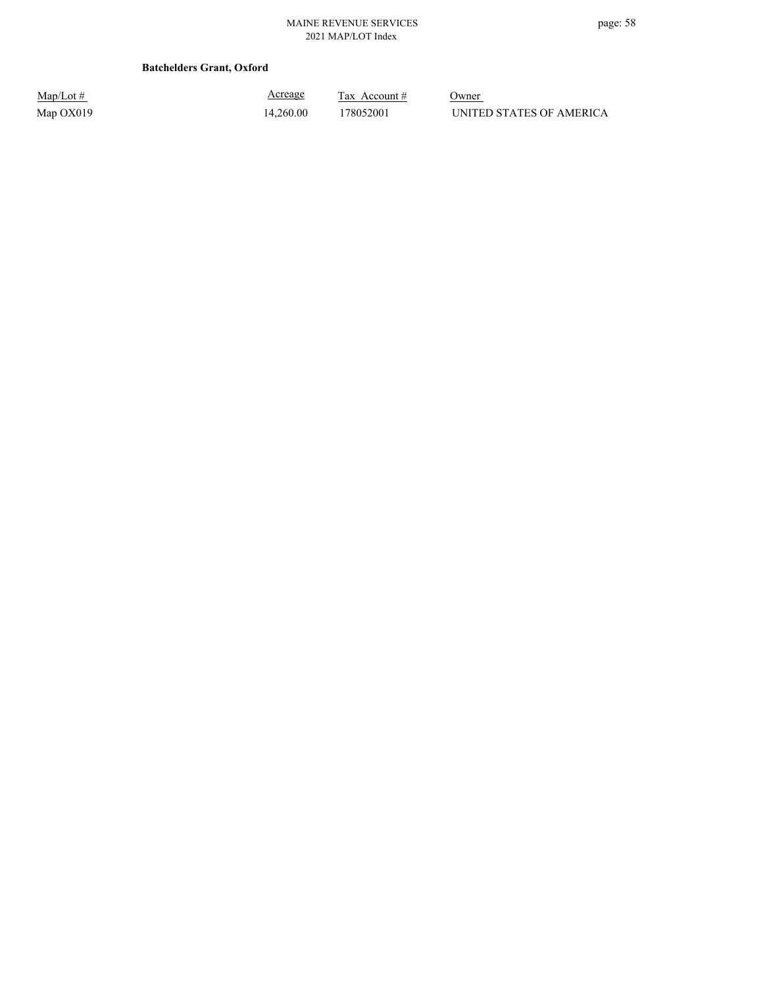#### **Batchelders Grant, Oxford**

| $Map/Lot \#$ |  |
|--------------|--|
| Map OX019    |  |

Acreage

 $\frac{\text{Tax} \text{ Account #}}{}$  Owner 14,260.00 178052001 UNITED STATES OF AMERICA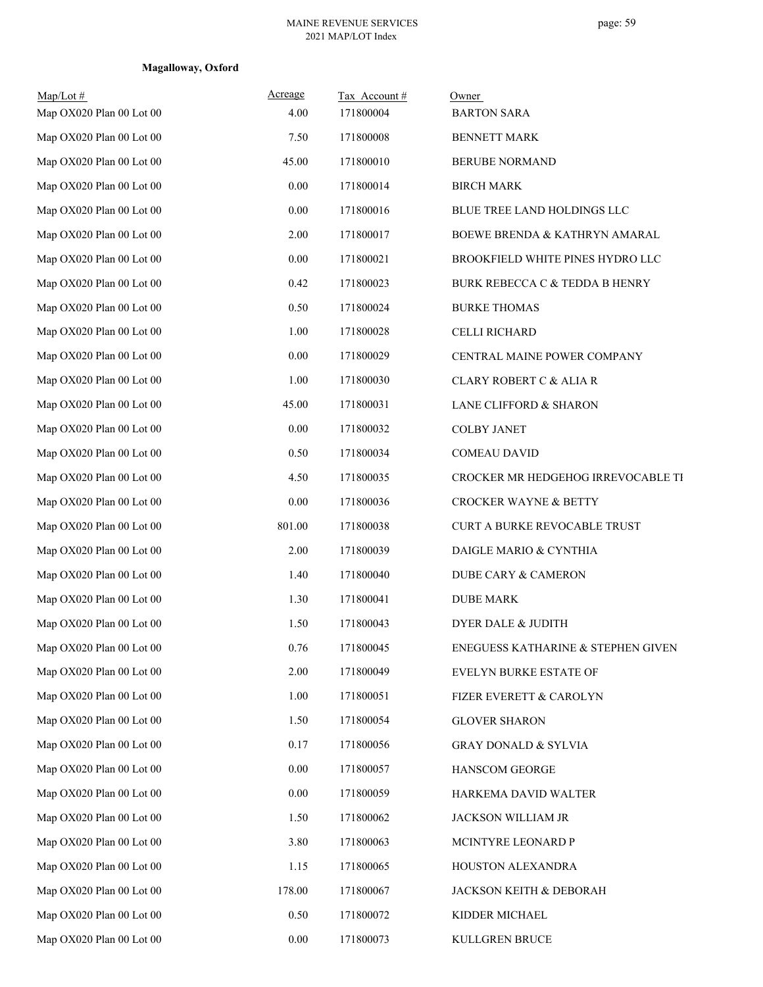| $Map/Lot \#$<br>Map OX020 Plan 00 Lot 00 | Acreage<br>4.00 | Tax Account#<br>171800004 | Owner<br><b>BARTON SARA</b>              |
|------------------------------------------|-----------------|---------------------------|------------------------------------------|
| Map OX020 Plan 00 Lot 00                 | 7.50            | 171800008                 | <b>BENNETT MARK</b>                      |
| Map OX020 Plan 00 Lot 00                 | 45.00           | 171800010                 | <b>BERUBE NORMAND</b>                    |
| Map OX020 Plan 00 Lot 00                 | $0.00\,$        | 171800014                 | <b>BIRCH MARK</b>                        |
| Map OX020 Plan 00 Lot 00                 | 0.00            | 171800016                 | BLUE TREE LAND HOLDINGS LLC              |
| Map OX020 Plan 00 Lot 00                 | 2.00            | 171800017                 | <b>BOEWE BRENDA &amp; KATHRYN AMARAL</b> |
| Map OX020 Plan 00 Lot 00                 | 0.00            | 171800021                 | BROOKFIELD WHITE PINES HYDRO LLC         |
| Map OX020 Plan 00 Lot 00                 | 0.42            | 171800023                 | BURK REBECCA C & TEDDA B HENRY           |
| Map OX020 Plan 00 Lot 00                 | 0.50            | 171800024                 | <b>BURKE THOMAS</b>                      |
| Map OX020 Plan 00 Lot 00                 | 1.00            | 171800028                 | CELLI RICHARD                            |
| Map OX020 Plan 00 Lot 00                 | 0.00            | 171800029                 | CENTRAL MAINE POWER COMPANY              |
| Map OX020 Plan 00 Lot 00                 | 1.00            | 171800030                 | CLARY ROBERT C & ALIA R                  |
| Map OX020 Plan 00 Lot 00                 | 45.00           | 171800031                 | LANE CLIFFORD & SHARON                   |
| Map OX020 Plan 00 Lot 00                 | 0.00            | 171800032                 | <b>COLBY JANET</b>                       |
| Map OX020 Plan 00 Lot 00                 | 0.50            | 171800034                 | <b>COMEAU DAVID</b>                      |
| Map OX020 Plan 00 Lot 00                 | 4.50            | 171800035                 | CROCKER MR HEDGEHOG IRREVOCABLE TI       |
| Map OX020 Plan 00 Lot 00                 | $0.00\,$        | 171800036                 | <b>CROCKER WAYNE &amp; BETTY</b>         |
| Map OX020 Plan 00 Lot 00                 | 801.00          | 171800038                 | CURT A BURKE REVOCABLE TRUST             |
| Map OX020 Plan 00 Lot 00                 | 2.00            | 171800039                 | DAIGLE MARIO & CYNTHIA                   |
| Map OX020 Plan 00 Lot 00                 | 1.40            | 171800040                 | DUBE CARY & CAMERON                      |
| Map OX020 Plan 00 Lot 00                 | 1.30            | 171800041                 | <b>DUBE MARK</b>                         |
| Map OX020 Plan 00 Lot 00                 | 1.50            | 171800043                 | <b>DYER DALE &amp; JUDITH</b>            |
| Map OX020 Plan 00 Lot 00                 | 0.76            | 171800045                 | ENEGUESS KATHARINE & STEPHEN GIVEN       |
| Map OX020 Plan 00 Lot 00                 | 2.00            | 171800049                 | EVELYN BURKE ESTATE OF                   |
| Map OX020 Plan 00 Lot 00                 | 1.00            | 171800051                 | FIZER EVERETT & CAROLYN                  |
| Map OX020 Plan 00 Lot 00                 | 1.50            | 171800054                 | <b>GLOVER SHARON</b>                     |
| Map OX020 Plan 00 Lot 00                 | 0.17            | 171800056                 | <b>GRAY DONALD &amp; SYLVIA</b>          |
| Map OX020 Plan 00 Lot 00                 | 0.00            | 171800057                 | HANSCOM GEORGE                           |
| Map OX020 Plan 00 Lot 00                 | 0.00            | 171800059                 | HARKEMA DAVID WALTER                     |
| Map OX020 Plan 00 Lot 00                 | 1.50            | 171800062                 | JACKSON WILLIAM JR                       |
| Map OX020 Plan 00 Lot 00                 | 3.80            | 171800063                 | MCINTYRE LEONARD P                       |
| Map OX020 Plan 00 Lot 00                 | 1.15            | 171800065                 | HOUSTON ALEXANDRA                        |
| Map OX020 Plan 00 Lot 00                 | 178.00          | 171800067                 | JACKSON KEITH & DEBORAH                  |
| Map OX020 Plan 00 Lot 00                 | 0.50            | 171800072                 | KIDDER MICHAEL                           |
| Map OX020 Plan 00 Lot 00                 | $0.00\,$        | 171800073                 | KULLGREN BRUCE                           |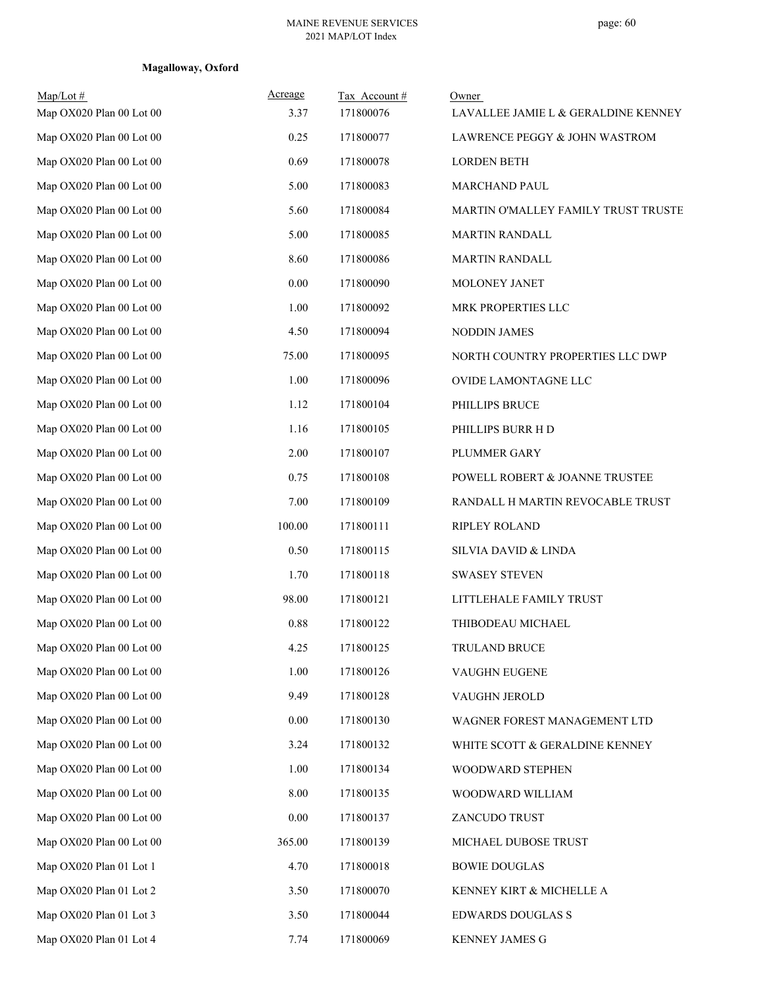| $Map/Lot \#$<br>Map OX020 Plan 00 Lot 00 | Acreage<br>3.37 | Tax Account #<br>171800076 | Owner<br>LAVALLEE JAMIE L & GERALDINE KENNEY |
|------------------------------------------|-----------------|----------------------------|----------------------------------------------|
| Map OX020 Plan 00 Lot 00                 | 0.25            | 171800077                  | LAWRENCE PEGGY & JOHN WASTROM                |
| Map OX020 Plan 00 Lot 00                 | 0.69            | 171800078                  | <b>LORDEN BETH</b>                           |
| Map OX020 Plan 00 Lot 00                 | 5.00            | 171800083                  | MARCHAND PAUL                                |
| Map OX020 Plan 00 Lot 00                 | 5.60            | 171800084                  | MARTIN O'MALLEY FAMILY TRUST TRUSTE          |
| Map OX020 Plan 00 Lot 00                 | 5.00            | 171800085                  | <b>MARTIN RANDALL</b>                        |
| Map OX020 Plan 00 Lot 00                 | 8.60            | 171800086                  | <b>MARTIN RANDALL</b>                        |
| Map OX020 Plan 00 Lot 00                 | 0.00            | 171800090                  | MOLONEY JANET                                |
| Map OX020 Plan 00 Lot 00                 | 1.00            | 171800092                  | MRK PROPERTIES LLC                           |
| Map OX020 Plan 00 Lot 00                 | 4.50            | 171800094                  | NODDIN JAMES                                 |
| Map OX020 Plan 00 Lot 00                 | 75.00           | 171800095                  | NORTH COUNTRY PROPERTIES LLC DWP             |
| Map OX020 Plan 00 Lot 00                 | 1.00            | 171800096                  | OVIDE LAMONTAGNE LLC                         |
| Map OX020 Plan 00 Lot 00                 | 1.12            | 171800104                  | PHILLIPS BRUCE                               |
| Map OX020 Plan 00 Lot 00                 | 1.16            | 171800105                  | PHILLIPS BURR H D                            |
| Map OX020 Plan 00 Lot 00                 | 2.00            | 171800107                  | PLUMMER GARY                                 |
| Map OX020 Plan 00 Lot 00                 | 0.75            | 171800108                  | POWELL ROBERT & JOANNE TRUSTEE               |
| Map OX020 Plan 00 Lot 00                 | 7.00            | 171800109                  | RANDALL H MARTIN REVOCABLE TRUST             |
| Map OX020 Plan 00 Lot 00                 | 100.00          | 171800111                  | RIPLEY ROLAND                                |
| Map OX020 Plan 00 Lot 00                 | 0.50            | 171800115                  | SILVIA DAVID & LINDA                         |
| Map OX020 Plan 00 Lot 00                 | 1.70            | 171800118                  | <b>SWASEY STEVEN</b>                         |
| Map OX020 Plan 00 Lot 00                 | 98.00           | 171800121                  | LITTLEHALE FAMILY TRUST                      |
| Map OX020 Plan 00 Lot 00                 | 0.88            | 171800122                  | THIBODEAU MICHAEL                            |
| Map OX020 Plan 00 Lot 00                 | 4.25            | 171800125                  | TRULAND BRUCE                                |
| Map OX020 Plan 00 Lot 00                 | 1.00            | 171800126                  | VAUGHN EUGENE                                |
| Map OX020 Plan 00 Lot 00                 | 9.49            | 171800128                  | VAUGHN JEROLD                                |
| Map OX020 Plan 00 Lot 00                 | 0.00            | 171800130                  | WAGNER FOREST MANAGEMENT LTD                 |
| Map OX020 Plan 00 Lot 00                 | 3.24            | 171800132                  | WHITE SCOTT & GERALDINE KENNEY               |
| Map OX020 Plan 00 Lot 00                 | 1.00            | 171800134                  | WOODWARD STEPHEN                             |
| Map OX020 Plan 00 Lot 00                 | 8.00            | 171800135                  | WOODWARD WILLIAM                             |
| Map OX020 Plan 00 Lot 00                 | 0.00            | 171800137                  | ZANCUDO TRUST                                |
| Map OX020 Plan 00 Lot 00                 | 365.00          | 171800139                  | MICHAEL DUBOSE TRUST                         |
| Map OX020 Plan 01 Lot 1                  | 4.70            | 171800018                  | <b>BOWIE DOUGLAS</b>                         |
| Map OX020 Plan 01 Lot 2                  | 3.50            | 171800070                  | KENNEY KIRT & MICHELLE A                     |
| Map OX020 Plan 01 Lot 3                  | 3.50            | 171800044                  | <b>EDWARDS DOUGLAS S</b>                     |
| Map OX020 Plan 01 Lot 4                  | 7.74            | 171800069                  | KENNEY JAMES G                               |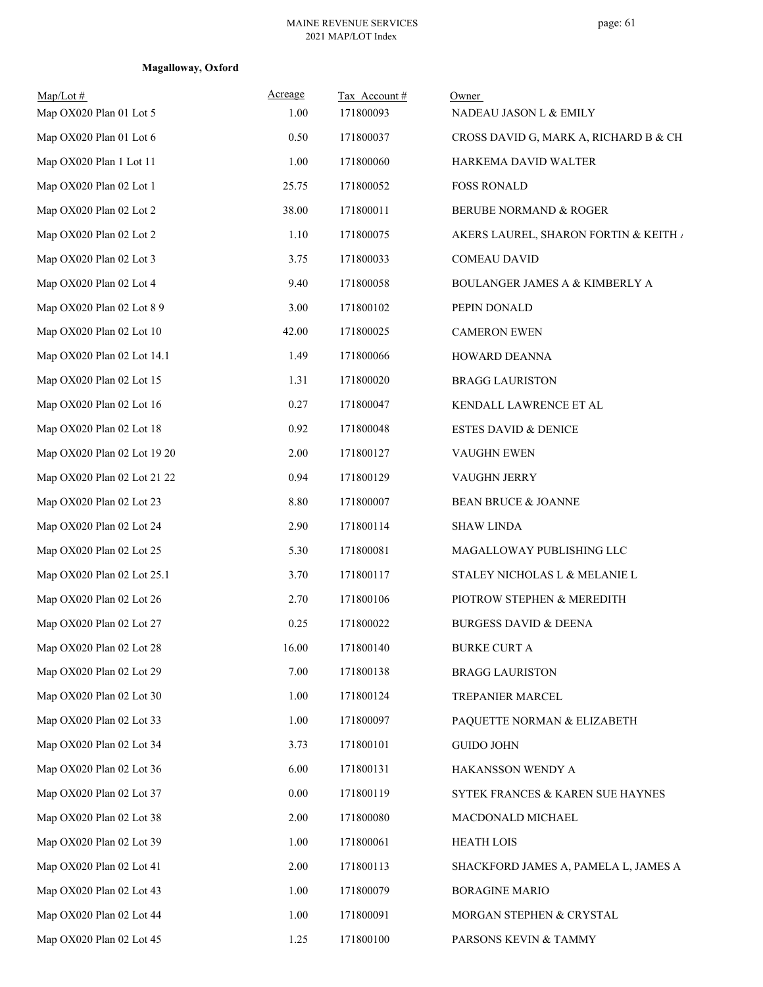| $Map/Lot \#$<br>Map OX020 Plan 01 Lot 5 | Acreage<br>1.00 | Tax Account#<br>171800093 | Owner<br>NADEAU JASON L & EMILY       |
|-----------------------------------------|-----------------|---------------------------|---------------------------------------|
| Map OX020 Plan 01 Lot 6                 | 0.50            | 171800037                 | CROSS DAVID G, MARK A, RICHARD B & CH |
| Map OX020 Plan 1 Lot 11                 | 1.00            | 171800060                 | HARKEMA DAVID WALTER                  |
| Map OX020 Plan 02 Lot 1                 | 25.75           | 171800052                 | <b>FOSS RONALD</b>                    |
| Map OX020 Plan 02 Lot 2                 | 38.00           | 171800011                 | BERUBE NORMAND & ROGER                |
| Map OX020 Plan 02 Lot 2                 | 1.10            | 171800075                 | AKERS LAUREL, SHARON FORTIN & KEITH / |
| Map OX020 Plan 02 Lot 3                 | 3.75            | 171800033                 | <b>COMEAU DAVID</b>                   |
| Map OX020 Plan 02 Lot 4                 | 9.40            | 171800058                 | BOULANGER JAMES A & KIMBERLY A        |
| Map OX020 Plan 02 Lot 8 9               | 3.00            | 171800102                 | PEPIN DONALD                          |
| Map OX020 Plan 02 Lot 10                | 42.00           | 171800025                 | <b>CAMERON EWEN</b>                   |
| Map OX020 Plan 02 Lot 14.1              | 1.49            | 171800066                 | HOWARD DEANNA                         |
| Map OX020 Plan 02 Lot 15                | 1.31            | 171800020                 | <b>BRAGG LAURISTON</b>                |
| Map OX020 Plan 02 Lot 16                | 0.27            | 171800047                 | KENDALL LAWRENCE ET AL                |
| Map OX020 Plan 02 Lot 18                | 0.92            | 171800048                 | <b>ESTES DAVID &amp; DENICE</b>       |
| Map OX020 Plan 02 Lot 19 20             | 2.00            | 171800127                 | VAUGHN EWEN                           |
| Map OX020 Plan 02 Lot 21 22             | 0.94            | 171800129                 | VAUGHN JERRY                          |
| Map OX020 Plan 02 Lot 23                | 8.80            | 171800007                 | <b>BEAN BRUCE &amp; JOANNE</b>        |
| Map OX020 Plan 02 Lot 24                | 2.90            | 171800114                 | <b>SHAW LINDA</b>                     |
| Map OX020 Plan 02 Lot 25                | 5.30            | 171800081                 | MAGALLOWAY PUBLISHING LLC             |
| Map OX020 Plan 02 Lot 25.1              | 3.70            | 171800117                 | STALEY NICHOLAS L & MELANIE L         |
| Map OX020 Plan 02 Lot 26                | 2.70            | 171800106                 | PIOTROW STEPHEN & MEREDITH            |
| Map OX020 Plan 02 Lot 27                | 0.25            | 171800022                 | <b>BURGESS DAVID &amp; DEENA</b>      |
| Map OX020 Plan 02 Lot 28                | 16.00           | 171800140                 | <b>BURKE CURT A</b>                   |
| Map OX020 Plan 02 Lot 29                | 7.00            | 171800138                 | <b>BRAGG LAURISTON</b>                |
| Map OX020 Plan 02 Lot 30                | 1.00            | 171800124                 | TREPANIER MARCEL                      |
| Map OX020 Plan 02 Lot 33                | 1.00            | 171800097                 | PAQUETTE NORMAN & ELIZABETH           |
| Map OX020 Plan 02 Lot 34                | 3.73            | 171800101                 | <b>GUIDO JOHN</b>                     |
| Map OX020 Plan 02 Lot 36                | 6.00            | 171800131                 | HAKANSSON WENDY A                     |
| Map OX020 Plan 02 Lot 37                | 0.00            | 171800119                 | SYTEK FRANCES & KAREN SUE HAYNES      |
| Map OX020 Plan 02 Lot 38                | 2.00            | 171800080                 | MACDONALD MICHAEL                     |
| Map OX020 Plan 02 Lot 39                | 1.00            | 171800061                 | <b>HEATH LOIS</b>                     |
| Map OX020 Plan 02 Lot 41                | 2.00            | 171800113                 | SHACKFORD JAMES A, PAMELA L, JAMES A  |
| Map OX020 Plan 02 Lot 43                | 1.00            | 171800079                 | <b>BORAGINE MARIO</b>                 |
| Map OX020 Plan 02 Lot 44                | 1.00            | 171800091                 | MORGAN STEPHEN & CRYSTAL              |
| Map OX020 Plan 02 Lot 45                | 1.25            | 171800100                 | PARSONS KEVIN & TAMMY                 |